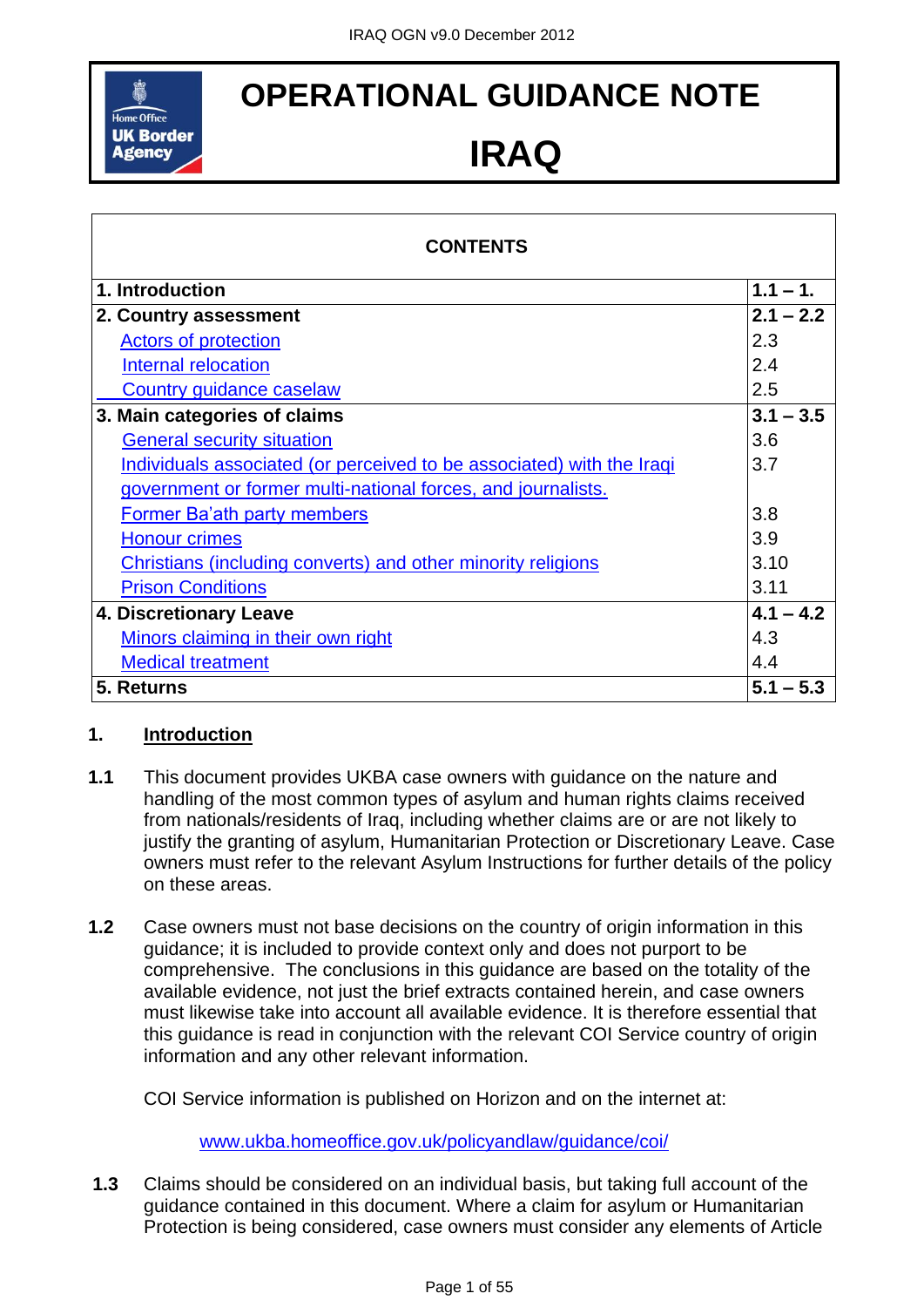

# **OPERATIONAL GUIDANCE NOTE**

# **IRAQ**

| <b>CONTENTS</b>                                                       |             |
|-----------------------------------------------------------------------|-------------|
| 1. Introduction                                                       | $1.1 - 1.$  |
| 2. Country assessment                                                 | $2.1 - 2.2$ |
| <b>Actors of protection</b>                                           | 2.3         |
| Internal relocation                                                   | 2.4         |
| Country guidance caselaw                                              | 2.5         |
| 3. Main categories of claims                                          | $3.1 - 3.5$ |
| <b>General security situation</b>                                     | 3.6         |
| Individuals associated (or perceived to be associated) with the Iraqi | 3.7         |
| government or former multi-national forces, and journalists.          |             |
| <b>Former Ba'ath party members</b>                                    | 3.8         |
| <b>Honour crimes</b>                                                  | 3.9         |
| Christians (including converts) and other minority religions          | 3.10        |
| <b>Prison Conditions</b>                                              | 3.11        |
| 4. Discretionary Leave                                                | $4.1 - 4.2$ |
| Minors claiming in their own right                                    | 4.3         |
| <b>Medical treatment</b>                                              | 4.4         |
| 5. Returns                                                            | $5.1 - 5.3$ |

# <span id="page-0-0"></span>**1. Introduction**

- **1.1** This document provides UKBA case owners with guidance on the nature and handling of the most common types of asylum and human rights claims received from nationals/residents of Iraq, including whether claims are or are not likely to justify the granting of asylum, Humanitarian Protection or Discretionary Leave. Case owners must refer to the relevant Asylum Instructions for further details of the policy on these areas.
- **1.2** Case owners must not base decisions on the country of origin information in this guidance; it is included to provide context only and does not purport to be comprehensive. The conclusions in this guidance are based on the totality of the available evidence, not just the brief extracts contained herein, and case owners must likewise take into account all available evidence. It is therefore essential that this guidance is read in conjunction with the relevant COI Service country of origin information and any other relevant information.

COI Service information is published on Horizon and on the internet at:

[www.ukba.homeoffice.gov.uk/policyandlaw/guidance/coi/](http://www.ukba.homeoffice.gov.uk/policyandlaw/guidance/coi/)

**1.3** Claims should be considered on an individual basis, but taking full account of the guidance contained in this document. Where a claim for asylum or Humanitarian Protection is being considered, case owners must consider any elements of Article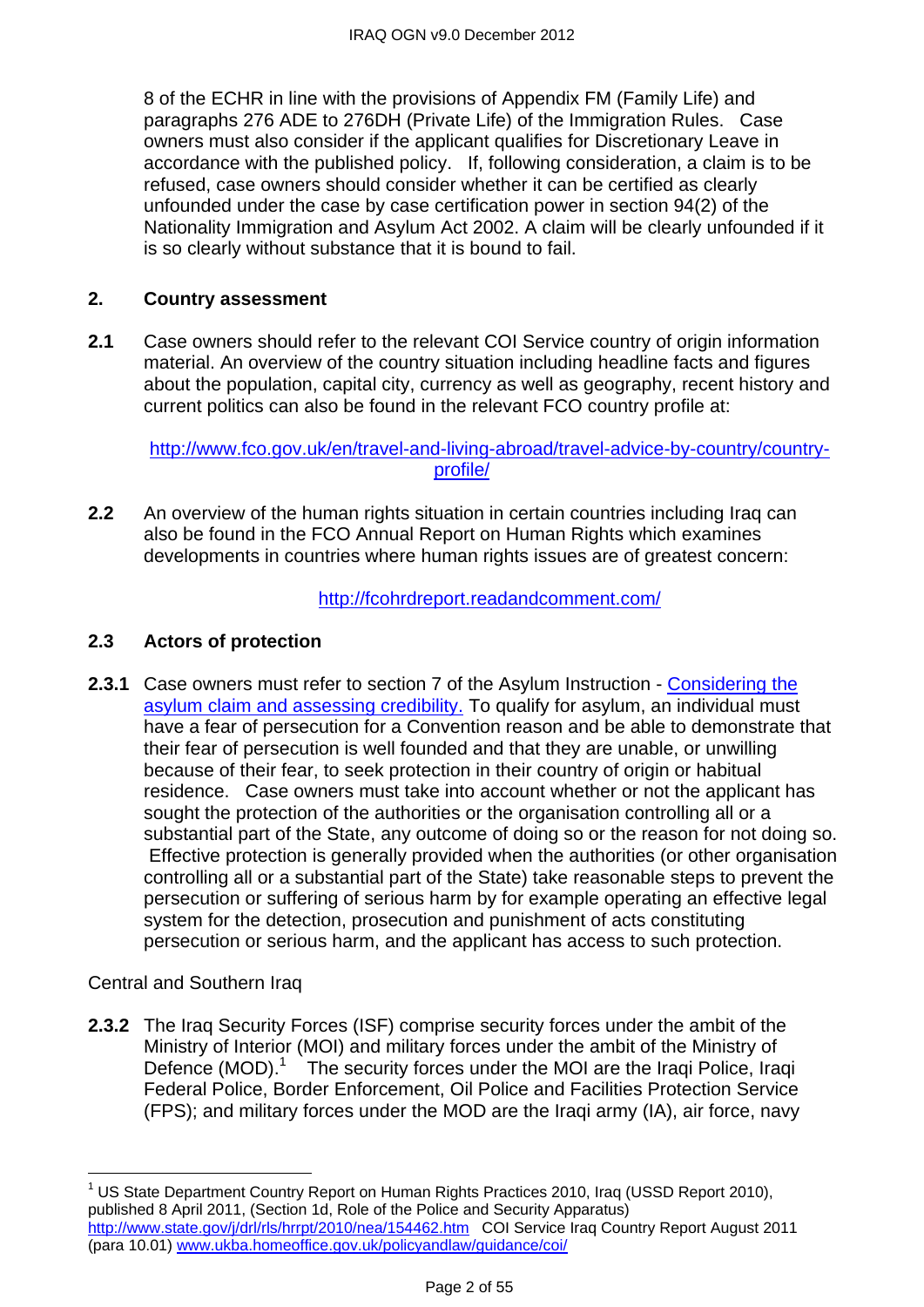8 of the ECHR in line with the provisions of Appendix FM (Family Life) and paragraphs 276 ADE to 276DH (Private Life) of the Immigration Rules. Case owners must also consider if the applicant qualifies for Discretionary Leave in accordance with the published policy. If, following consideration, a claim is to be refused, case owners should consider whether it can be certified as clearly unfounded under the case by case certification power in section 94(2) of the Nationality Immigration and Asylum Act 2002. A claim will be clearly unfounded if it is so clearly without substance that it is bound to fail.

#### <span id="page-1-0"></span>**2. Country assessment**

**2.1** Case owners should refer to the relevant COI Service country of origin information material. An overview of the country situation including headline facts and figures about the population, capital city, currency as well as geography, recent history and current politics can also be found in the relevant FCO country profile at:

#### [http://www.fco.gov.uk/en/travel-and-living-abroad/travel-advice-by-country/country](http://www.fco.gov.uk/en/travel-and-living-abroad/travel-advice-by-country/country-profile/)[profile/](http://www.fco.gov.uk/en/travel-and-living-abroad/travel-advice-by-country/country-profile/)

**2.2** An overview of the human rights situation in certain countries including Iraq can also be found in the FCO Annual Report on Human Rights which examines developments in countries where human rights issues are of greatest concern:

<http://fcohrdreport.readandcomment.com/>

#### <span id="page-1-1"></span>**2.3 Actors of protection**

**2.3.1** Case owners must refer to section 7 of the Asylum Instruction - Considering the [asylum claim and assessing credibility.](http://www.ukba.homeoffice.gov.uk/sitecontent/documents/policyandlaw/asylumprocessguidance/consideringanddecidingtheclaim/guidance/considering-protection-.pdf?view=Binary) To qualify for asylum, an individual must have a fear of persecution for a Convention reason and be able to demonstrate that their fear of persecution is well founded and that they are unable, or unwilling because of their fear, to seek protection in their country of origin or habitual residence. Case owners must take into account whether or not the applicant has sought the protection of the authorities or the organisation controlling all or a substantial part of the State, any outcome of doing so or the reason for not doing so. Effective protection is generally provided when the authorities (or other organisation controlling all or a substantial part of the State) take reasonable steps to prevent the persecution or suffering of serious harm by for example operating an effective legal system for the detection, prosecution and punishment of acts constituting persecution or serious harm, and the applicant has access to such protection.

Central and Southern Iraq

 $\overline{a}$ 

**2.3.2** The Iraq Security Forces (ISF) comprise security forces under the ambit of the Ministry of Interior (MOI) and military forces under the ambit of the Ministry of Defence (MOD).<sup>1</sup> The security forces under the MOI are the Iraqi Police, Iraqi Federal Police, Border Enforcement, Oil Police and Facilities Protection Service (FPS); and military forces under the MOD are the Iraqi army (IA), air force, navy

<sup>&</sup>lt;sup>1</sup> US State Department Country Report on Human Rights Practices 2010, Iraq (USSD Report 2010), published 8 April 2011, (Section 1d, Role of the Police and Security Apparatus) <http://www.state.gov/j/drl/rls/hrrpt/2010/nea/154462.htm>COI Service Iraq Country Report August 2011 (para 10.01) [www.ukba.homeoffice.gov.uk/policyandlaw/guidance/coi/](http://www.ukba.homeoffice.gov.uk/policyandlaw/guidance/coi/)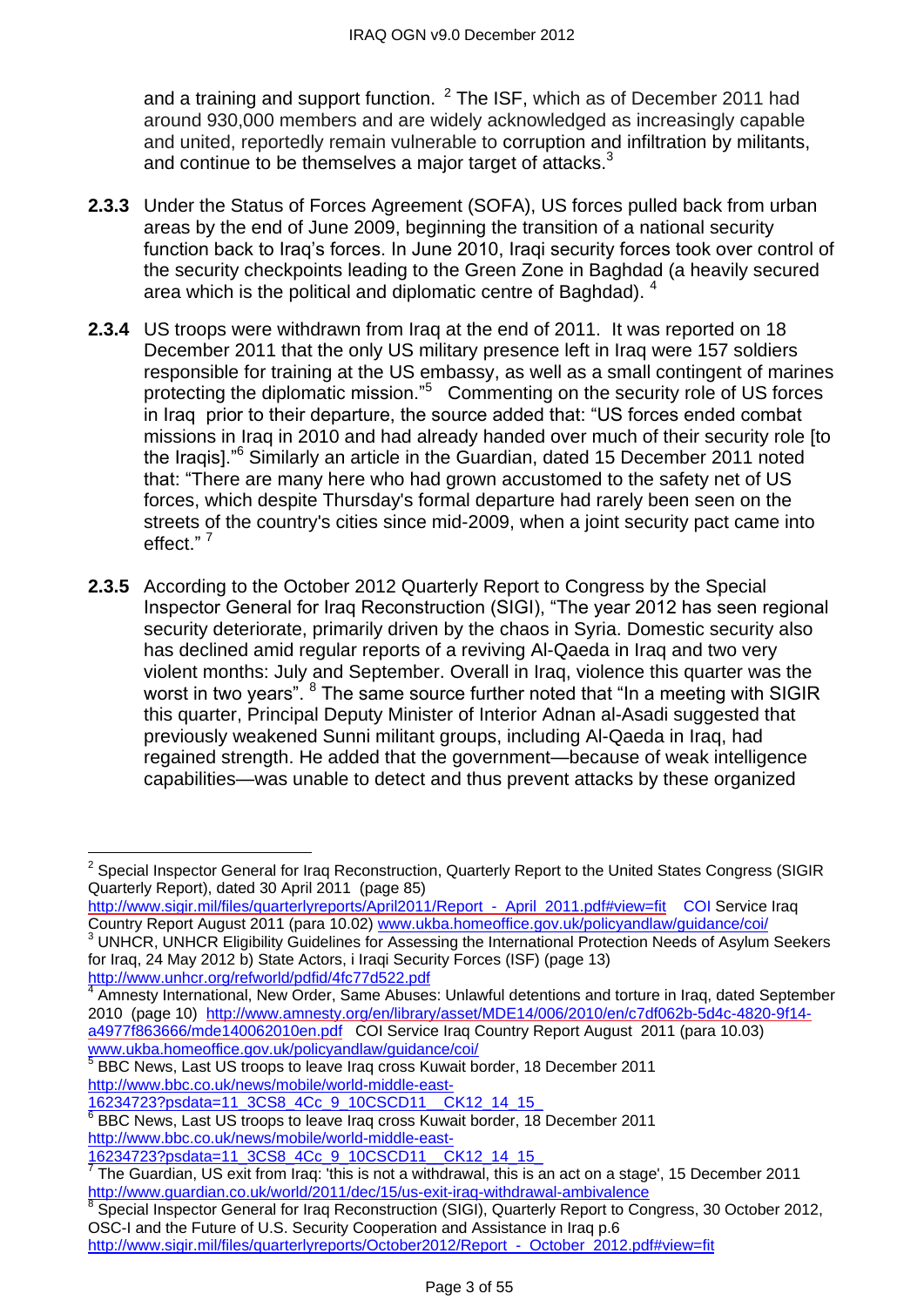and a training and support function.  $2$  The ISF, which as of December 2011 had around 930,000 members and are widely acknowledged as increasingly capable and united, reportedly remain vulnerable to corruption and infiltration by militants, and continue to be themselves a major target of attacks.<sup>3</sup>

- **2.3.3** Under the Status of Forces Agreement (SOFA), US forces pulled back from urban areas by the end of June 2009, beginning the transition of a national security function back to Iraq's forces. In June 2010, Iraqi security forces took over control of the security checkpoints leading to the Green Zone in Baghdad (a heavily secured area which is the political and diplomatic centre of Baghdad). <sup>4</sup>
- **2.3.4** US troops were withdrawn from Iraq at the end of 2011. It was reported on 18 December 2011 that the only US military presence left in Iraq were 157 soldiers responsible for training at the US embassy, as well as a small contingent of marines protecting the diplomatic mission."<sup>5</sup> Commenting on the security role of US forces in Iraq prior to their departure, the source added that: "US forces ended combat missions in Iraq in 2010 and had already handed over much of their security role [to the Iraqis].<sup>N</sup><sup>6</sup> Similarly an article in the Guardian, dated 15 December 2011 noted that: "There are many here who had grown accustomed to the safety net of US forces, which despite Thursday's formal departure had rarely been seen on the streets of the country's cities since mid-2009, when a joint security pact came into effect."<sup>7</sup>
- **2.3.5** According to the October 2012 Quarterly Report to Congress by the Special Inspector General for Iraq Reconstruction (SIGI), "The year 2012 has seen regional security deteriorate, primarily driven by the chaos in Syria. Domestic security also has declined amid regular reports of a reviving Al-Qaeda in Iraq and two very violent months: July and September. Overall in Iraq, violence this quarter was the worst in two years". <sup>8</sup> The same source further noted that "In a meeting with SIGIR this quarter, Principal Deputy Minister of Interior Adnan al-Asadi suggested that previously weakened Sunni militant groups, including Al-Qaeda in Iraq, had regained strength. He added that the government—because of weak intelligence capabilities—was unable to detect and thus prevent attacks by these organized

<sup>2</sup> Special Inspector General for Iraq Reconstruction, Quarterly Report to the United States Congress (SIGIR Quarterly Report), dated 30 April 2011 (page 85)

[http://www.sigir.mil/files/quarterlyreports/April2011/Report\\_-\\_April\\_2011.pdf#view=fit](http://www.sigir.mil/files/quarterlyreports/April2011/Report_-_April_2011.pdf#view=fit) COI Service Iraq Country Report August 2011 (para 10.02) [www.ukba.homeoffice.gov.uk/policyandlaw/guidance/coi/](http://www.ukba.homeoffice.gov.uk/policyandlaw/guidance/coi/)

UNHCR, UNHCR Eligibility Guidelines for Assessing the International Protection Needs of Asylum Seekers for Iraq, 24 May 2012 b) State Actors, i Iraqi Security Forces (ISF) (page 13)

<http://www.unhcr.org/refworld/pdfid/4fc77d522.pdf>

Amnesty International, New Order, Same Abuses: Unlawful detentions and torture in Iraq, dated September 2010 (page 10) [http://www.amnesty.org/en/library/asset/MDE14/006/2010/en/c7df062b-5d4c-4820-9f14](http://www.amnesty.org/en/library/asset/MDE14/006/2010/en/c7df062b-5d4c-4820-9f14-a4977f863666/mde140062010en.pdf) [a4977f863666/mde140062010en.pdf](http://www.amnesty.org/en/library/asset/MDE14/006/2010/en/c7df062b-5d4c-4820-9f14-a4977f863666/mde140062010en.pdf)COI Service Iraq Country Report August 2011 (para 10.03) [www.ukba.homeoffice.gov.uk/policyandlaw/guidance/coi/](http://www.ukba.homeoffice.gov.uk/policyandlaw/guidance/coi/)

<sup>&</sup>lt;sup>5</sup> BBC News, Last US troops to leave Iraq cross Kuwait border, 18 December 2011 [http://www.bbc.co.uk/news/mobile/world-middle-east-](http://www.bbc.co.uk/news/mobile/world-middle-east-16234723?psdata=11_3CS8_4Cc_9_10CSCD11__CK12_14_15_)

[<sup>16234723?</sup>psdata=11\\_3CS8\\_4Cc\\_9\\_10CSCD11\\_\\_CK12\\_14\\_15\\_](http://www.bbc.co.uk/news/mobile/world-middle-east-16234723?psdata=11_3CS8_4Cc_9_10CSCD11__CK12_14_15_)

<sup>&</sup>lt;sup>6</sup> BBC News, Last US troops to leave Iraq cross Kuwait border, 18 December 2011 [http://www.bbc.co.uk/news/mobile/world-middle-east-](http://www.bbc.co.uk/news/mobile/world-middle-east-16234723?psdata=11_3CS8_4Cc_9_10CSCD11__CK12_14_15_)

[<sup>16234723?</sup>psdata=11\\_3CS8\\_4Cc\\_9\\_10CSCD11\\_\\_CK12\\_14\\_15\\_](http://www.bbc.co.uk/news/mobile/world-middle-east-16234723?psdata=11_3CS8_4Cc_9_10CSCD11__CK12_14_15_)

 $^7$  The Guardian, US exit from Iraq: 'this is not a withdrawal, this is an act on a stage', 15 December 2011 <http://www.guardian.co.uk/world/2011/dec/15/us-exit-iraq-withdrawal-ambivalence>

Special Inspector General for Iraq Reconstruction (SIGI), Quarterly Report to Congress, 30 October 2012, OSC-I and the Future of U.S. Security Cooperation and Assistance in Iraq p.6 [http://www.sigir.mil/files/quarterlyreports/October2012/Report\\_-\\_October\\_2012.pdf#view=fit](http://www.sigir.mil/files/quarterlyreports/October2012/Report_-_October_2012.pdf#view=fit)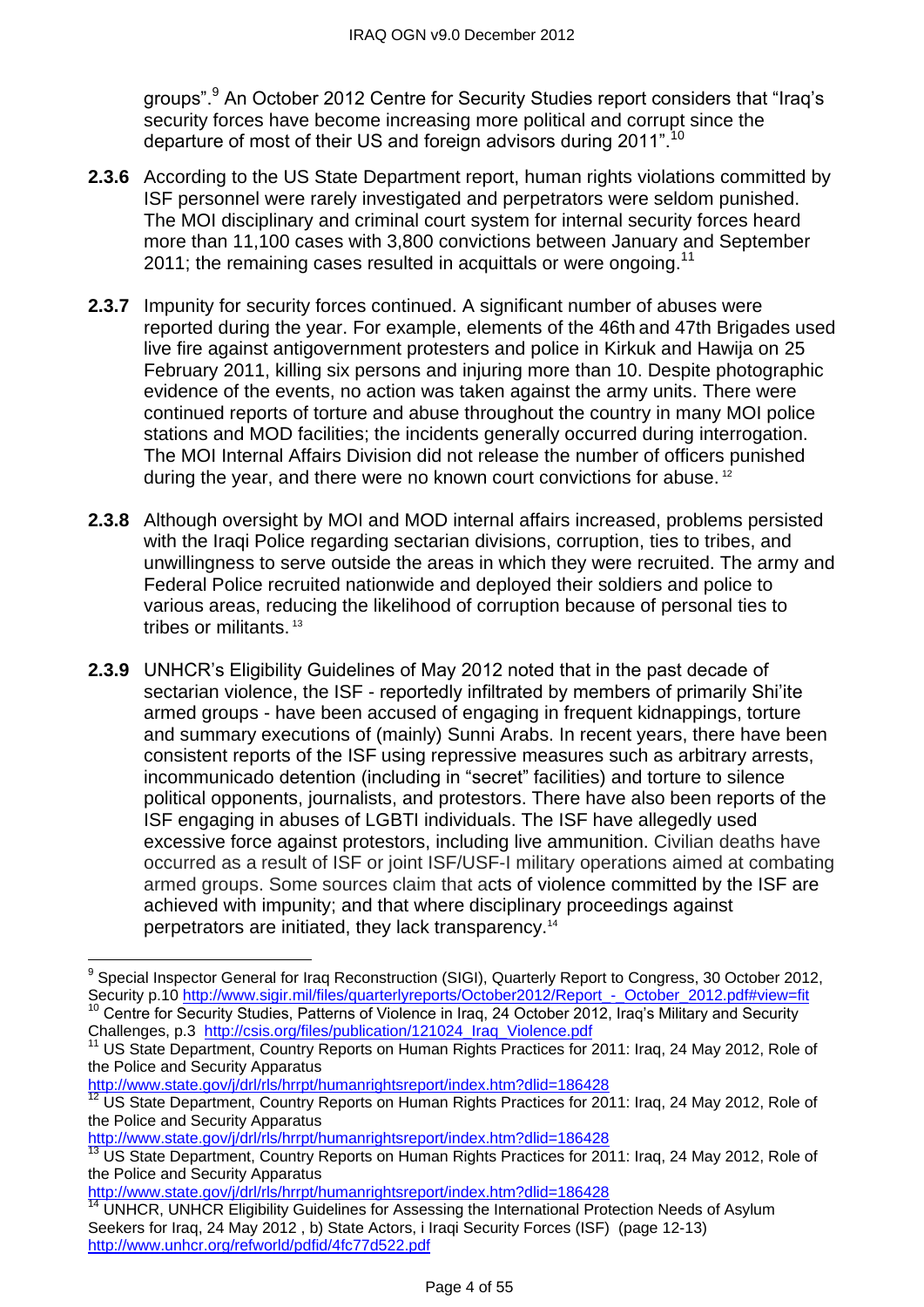groups".<sup>9</sup> An October 2012 Centre for Security Studies report considers that "Iraq's security forces have become increasing more political and corrupt since the departure of most of their US and foreign advisors during 2011".<sup>10</sup>

- **2.3.6** According to the US State Department report, human rights violations committed by ISF personnel were rarely investigated and perpetrators were seldom punished. The MOI disciplinary and criminal court system for internal security forces heard more than 11,100 cases with 3,800 convictions between January and September 2011; the remaining cases resulted in acquittals or were ongoing.<sup>11</sup>
- **2.3.7** Impunity for security forces continued. A significant number of abuses were reported during the year. For example, elements of the 46th and 47th Brigades used live fire against antigovernment protesters and police in Kirkuk and Hawija on 25 February 2011, killing six persons and injuring more than 10. Despite photographic evidence of the events, no action was taken against the army units. There were continued reports of torture and abuse throughout the country in many MOI police stations and MOD facilities; the incidents generally occurred during interrogation. The MOI Internal Affairs Division did not release the number of officers punished during the year, and there were no known court convictions for abuse.<sup>12</sup>
- **2.3.8** Although oversight by MOI and MOD internal affairs increased, problems persisted with the Iraqi Police regarding sectarian divisions, corruption, ties to tribes, and unwillingness to serve outside the areas in which they were recruited. The army and Federal Police recruited nationwide and deployed their soldiers and police to various areas, reducing the likelihood of corruption because of personal ties to tribes or militants. <sup>13</sup>
- **2.3.9** UNHCR's Eligibility Guidelines of May 2012 noted that in the past decade of sectarian violence, the ISF - reportedly infiltrated by members of primarily Shi'ite armed groups - have been accused of engaging in frequent kidnappings, torture and summary executions of (mainly) Sunni Arabs. In recent years, there have been consistent reports of the ISF using repressive measures such as arbitrary arrests, incommunicado detention (including in "secret" facilities) and torture to silence political opponents, journalists, and protestors. There have also been reports of the ISF engaging in abuses of LGBTI individuals. The ISF have allegedly used excessive force against protestors, including live ammunition. Civilian deaths have occurred as a result of ISF or joint ISF/USF-I military operations aimed at combating armed groups. Some sources claim that acts of violence committed by the ISF are achieved with impunity; and that where disciplinary proceedings against perpetrators are initiated, they lack transparency.<sup>14</sup>

<http://www.state.gov/j/drl/rls/hrrpt/humanrightsreport/index.htm?dlid=186428>

 $\overline{a}$ 

<http://www.state.gov/j/drl/rls/hrrpt/humanrightsreport/index.htm?dlid=186428>

<http://www.state.gov/j/drl/rls/hrrpt/humanrightsreport/index.htm?dlid=186428>

<sup>&</sup>lt;sup>9</sup> Special Inspector General for Iraq Reconstruction (SIGI), Quarterly Report to Congress, 30 October 2012, Security p.10 [http://www.sigir.mil/files/quarterlyreports/October2012/Report\\_-\\_October\\_2012.pdf#view=fit](http://www.sigir.mil/files/quarterlyreports/October2012/Report_-_October_2012.pdf#view=fit) <sup>10</sup> Centre for Security Studies, Patterns of Violence in Iraq, 24 October 2012, Iraq's Military and Security Challenges, p.3 [http://csis.org/files/publication/121024\\_Iraq\\_Violence.pdf](http://csis.org/files/publication/121024_Iraq_Violence.pdf)

<sup>11</sup> US State Department, Country Reports on Human Rights Practices for 2011: Iraq, 24 May 2012, Role of the Police and Security Apparatus

<sup>12</sup> US State Department, Country Reports on Human Rights Practices for 2011: Iraq, 24 May 2012, Role of the Police and Security Apparatus

<sup>13</sup> US State Department, Country Reports on Human Rights Practices for 2011: Iraq, 24 May 2012, Role of the Police and Security Apparatus

UNHCR, UNHCR Eligibility Guidelines for Assessing the International Protection Needs of Asylum Seekers for Iraq, 24 May 2012 , b) State Actors, i Iraqi Security Forces (ISF) (page 12-13) <http://www.unhcr.org/refworld/pdfid/4fc77d522.pdf>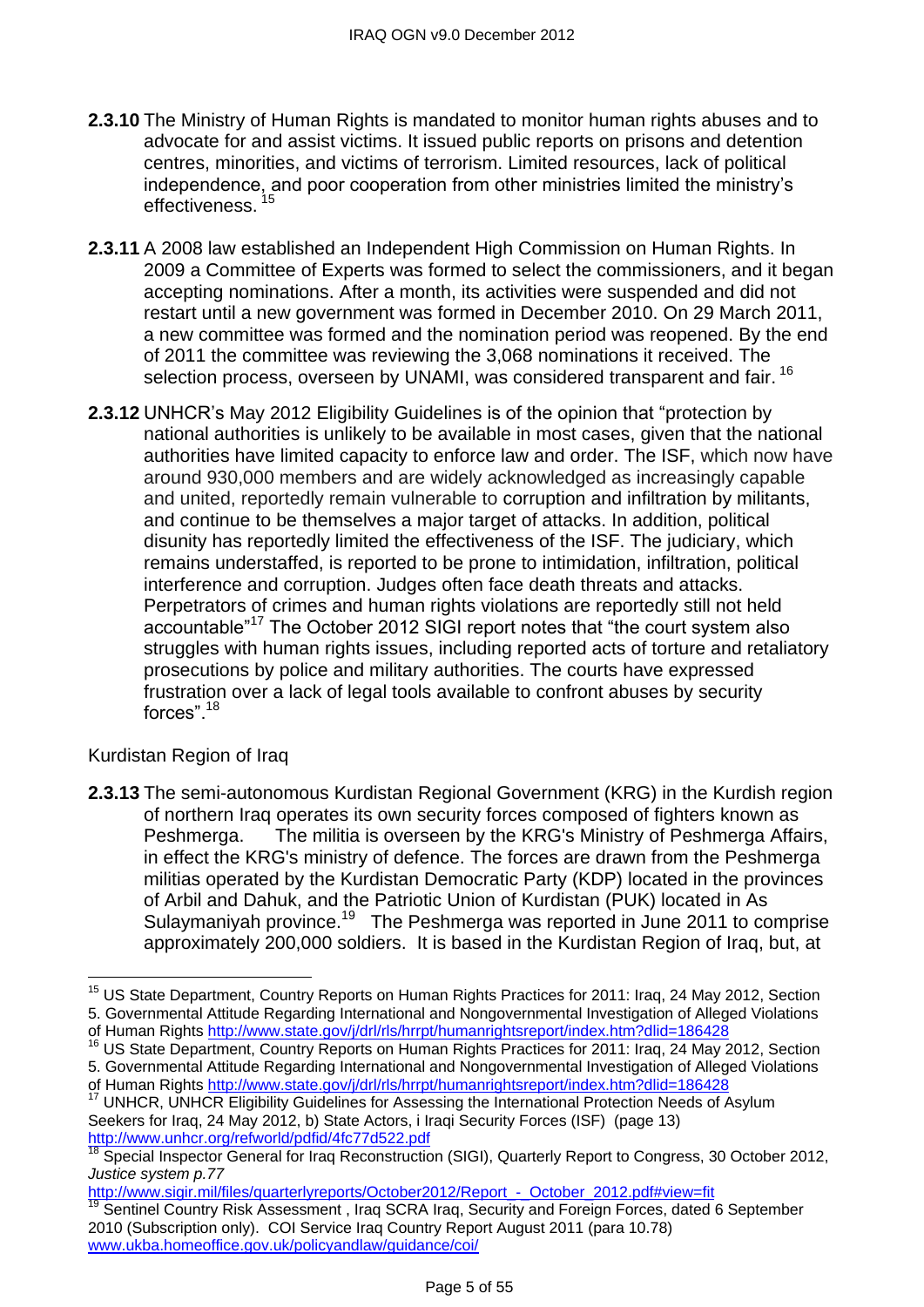- **2.3.10** The Ministry of Human Rights is mandated to monitor human rights abuses and to advocate for and assist victims. It issued public reports on prisons and detention centres, minorities, and victims of terrorism. Limited resources, lack of political independence, and poor cooperation from other ministries limited the ministry's effectiveness.<sup>15</sup>
- **2.3.11** A 2008 law established an Independent High Commission on Human Rights. In 2009 a Committee of Experts was formed to select the commissioners, and it began accepting nominations. After a month, its activities were suspended and did not restart until a new government was formed in December 2010. On 29 March 2011, a new committee was formed and the nomination period was reopened. By the end of 2011 the committee was reviewing the 3,068 nominations it received. The selection process, overseen by UNAMI, was considered transparent and fair.<sup>16</sup>
- **2.3.12** UNHCR's May 2012 Eligibility Guidelines is of the opinion that "protection by national authorities is unlikely to be available in most cases, given that the national authorities have limited capacity to enforce law and order. The ISF, which now have around 930,000 members and are widely acknowledged as increasingly capable and united, reportedly remain vulnerable to corruption and infiltration by militants, and continue to be themselves a major target of attacks. In addition, political disunity has reportedly limited the effectiveness of the ISF. The judiciary, which remains understaffed, is reported to be prone to intimidation, infiltration, political interference and corruption. Judges often face death threats and attacks. Perpetrators of crimes and human rights violations are reportedly still not held accountable"<sup>17</sup> The October 2012 SIGI report notes that "the court system also struggles with human rights issues, including reported acts of torture and retaliatory prosecutions by police and military authorities. The courts have expressed frustration over a lack of legal tools available to confront abuses by security forces" $18$

# Kurdistan Region of Iraq

 $\overline{a}$ 

**2.3.13** The semi-autonomous Kurdistan Regional Government (KRG) in the Kurdish region of northern Iraq operates its own security forces composed of fighters known as Peshmerga. The militia is overseen by the KRG's Ministry of Peshmerga Affairs, in effect the KRG's ministry of defence. The forces are drawn from the Peshmerga militias operated by the Kurdistan Democratic Party (KDP) located in the provinces of Arbil and Dahuk, and the Patriotic Union of Kurdistan (PUK) located in As Sulaymaniyah province.<sup>19</sup> The Peshmerga was reported in June 2011 to comprise approximately 200,000 soldiers. It is based in the Kurdistan Region of Iraq, but, at

<sup>&</sup>lt;sup>15</sup> US State Department, Country Reports on Human Rights Practices for 2011: Iraq, 24 May 2012, Section 5. Governmental Attitude Regarding International and Nongovernmental Investigation of Alleged Violations of Human Rights<http://www.state.gov/j/drl/rls/hrrpt/humanrightsreport/index.htm?dlid=186428>

<sup>16</sup> US State Department, Country Reports on Human Rights Practices for 2011: Iraq, 24 May 2012, Section 5. Governmental Attitude Regarding International and Nongovernmental Investigation of Alleged Violations

of Human Rights<http://www.state.gov/j/drl/rls/hrrpt/humanrightsreport/index.htm?dlid=186428>

<sup>17</sup> UNHCR, UNHCR Eligibility Guidelines for Assessing the International Protection Needs of Asylum Seekers for Iraq, 24 May 2012, b) State Actors, i Iraqi Security Forces (ISF) (page 13) <http://www.unhcr.org/refworld/pdfid/4fc77d522.pdf>

Special Inspector General for Iraq Reconstruction (SIGI), Quarterly Report to Congress, 30 October 2012, *Justice system p.77* 

[http://www.sigir.mil/files/quarterlyreports/October2012/Report\\_-\\_October\\_2012.pdf#view=fit](http://www.sigir.mil/files/quarterlyreports/October2012/Report_-_October_2012.pdf#view=fit)

Sentinel Country Risk Assessment, Iraq SCRA Iraq, Security and Foreign Forces, dated 6 September 2010 (Subscription only). COI Service Iraq Country Report August 2011 (para 10.78) [www.ukba.homeoffice.gov.uk/policyandlaw/guidance/coi/](http://www.ukba.homeoffice.gov.uk/policyandlaw/guidance/coi/)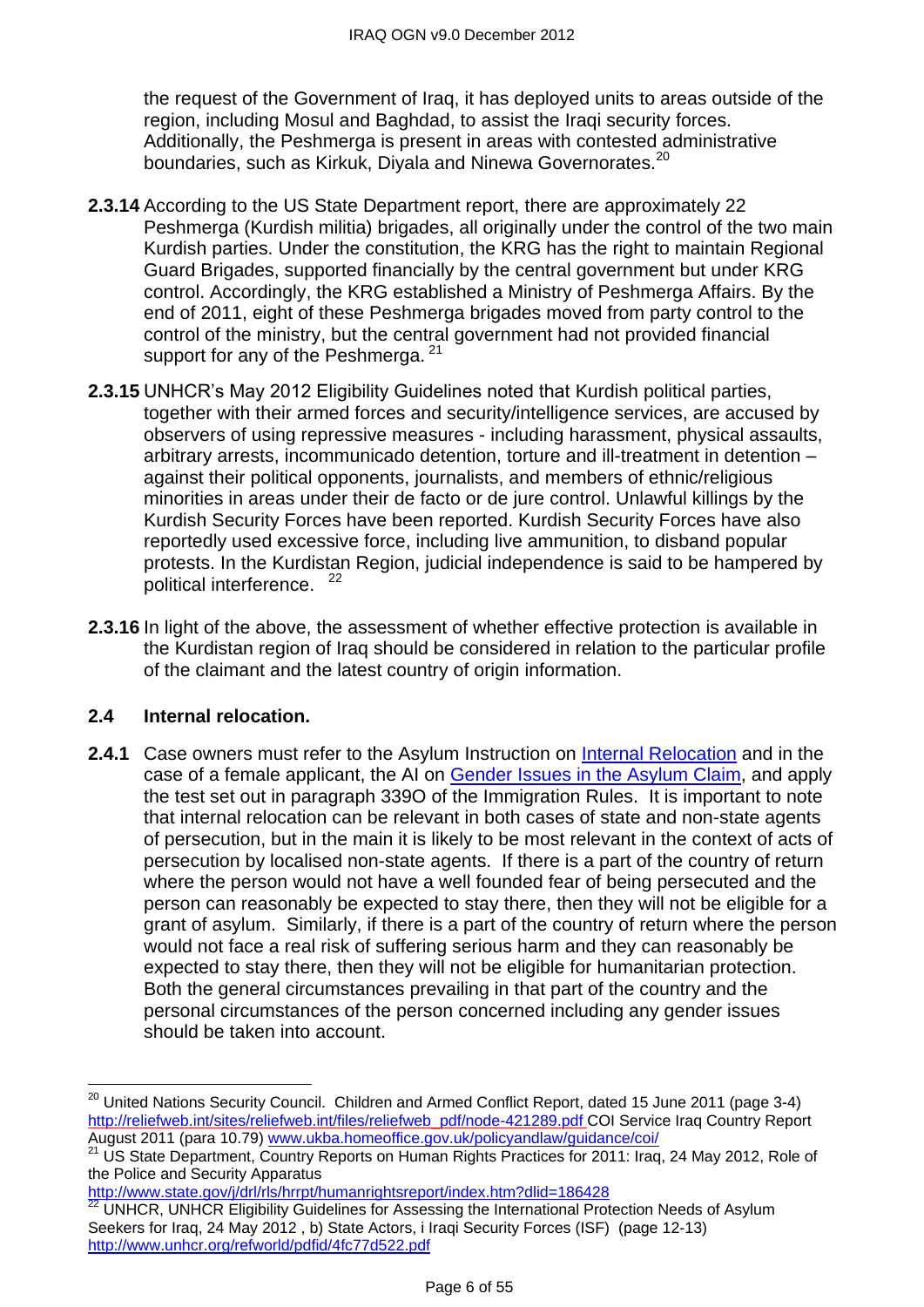the request of the Government of Iraq, it has deployed units to areas outside of the region, including Mosul and Baghdad, to assist the Iraqi security forces. Additionally, the Peshmerga is present in areas with contested administrative boundaries, such as Kirkuk, Diyala and Ninewa Governorates.<sup>20</sup>

- **2.3.14** According to the US State Department report, there are approximately 22 Peshmerga (Kurdish militia) brigades, all originally under the control of the two main Kurdish parties. Under the constitution, the KRG has the right to maintain Regional Guard Brigades, supported financially by the central government but under KRG control. Accordingly, the KRG established a Ministry of Peshmerga Affairs. By the end of 2011, eight of these Peshmerga brigades moved from party control to the control of the ministry, but the central government had not provided financial support for any of the Peshmerga. <sup>21</sup>
- **2.3.15** UNHCR's May 2012 Eligibility Guidelines noted that Kurdish political parties, together with their armed forces and security/intelligence services, are accused by observers of using repressive measures - including harassment, physical assaults, arbitrary arrests, incommunicado detention, torture and ill-treatment in detention – against their political opponents, journalists, and members of ethnic/religious minorities in areas under their de facto or de jure control. Unlawful killings by the Kurdish Security Forces have been reported. Kurdish Security Forces have also reportedly used excessive force, including live ammunition, to disband popular protests. In the Kurdistan Region, judicial independence is said to be hampered by political interference. <sup>22</sup>
- **2.3.16** In light of the above, the assessment of whether effective protection is available in the Kurdistan region of Iraq should be considered in relation to the particular profile of the claimant and the latest country of origin information.

# <span id="page-5-0"></span>**2.4 Internal relocation.**

 $\overline{a}$ 

**2.4.1** Case owners must refer to the Asylum Instruction on [Internal Relocation](http://www.ukba.homeoffice.gov.uk/sitecontent/documents/policyandlaw/asylumpolicyinstructions/apis/internalrelocation.pdf?view=Binary) and in the case of a female applicant, the AI on [Gender Issues in the Asylum Claim,](http://www.ukba.homeoffice.gov.uk/sitecontent/documents/policyandlaw/asylumpolicyinstructions/apis/gender-issue-in-the-asylum.pdf?view=Binary) and apply the test set out in paragraph 339O of the Immigration Rules. It is important to note that internal relocation can be relevant in both cases of state and non-state agents of persecution, but in the main it is likely to be most relevant in the context of acts of persecution by localised non-state agents. If there is a part of the country of return where the person would not have a well founded fear of being persecuted and the person can reasonably be expected to stay there, then they will not be eligible for a grant of asylum. Similarly, if there is a part of the country of return where the person would not face a real risk of suffering serious harm and they can reasonably be expected to stay there, then they will not be eligible for humanitarian protection. Both the general circumstances prevailing in that part of the country and the personal circumstances of the person concerned including any gender issues should be taken into account.

<http://www.state.gov/j/drl/rls/hrrpt/humanrightsreport/index.htm?dlid=186428>

 $^{20}$  United Nations Security Council. Children and Armed Conflict Report, dated 15 June 2011 (page 3-4) [http://reliefweb.int/sites/reliefweb.int/files/reliefweb\\_pdf/node-421289.pdf](http://reliefweb.int/sites/reliefweb.int/files/reliefweb_pdf/node-421289.pdf) COI Service Iraq Country Report August 2011 (para 10.79) <u>www.ukba.homeoffice.gov.uk/policyandlaw/guidance/coi</u>/

<sup>&</sup>lt;sup>21</sup> US State Department, Country Reports on Human Rights Practices for 2011: Iraq, 24 May 2012, Role of the Police and Security Apparatus

<sup>22</sup> UNHCR, UNHCR Eligibility Guidelines for Assessing the International Protection Needs of Asylum Seekers for Iraq, 24 May 2012 , b) State Actors, i Iraqi Security Forces (ISF) (page 12-13) <http://www.unhcr.org/refworld/pdfid/4fc77d522.pdf>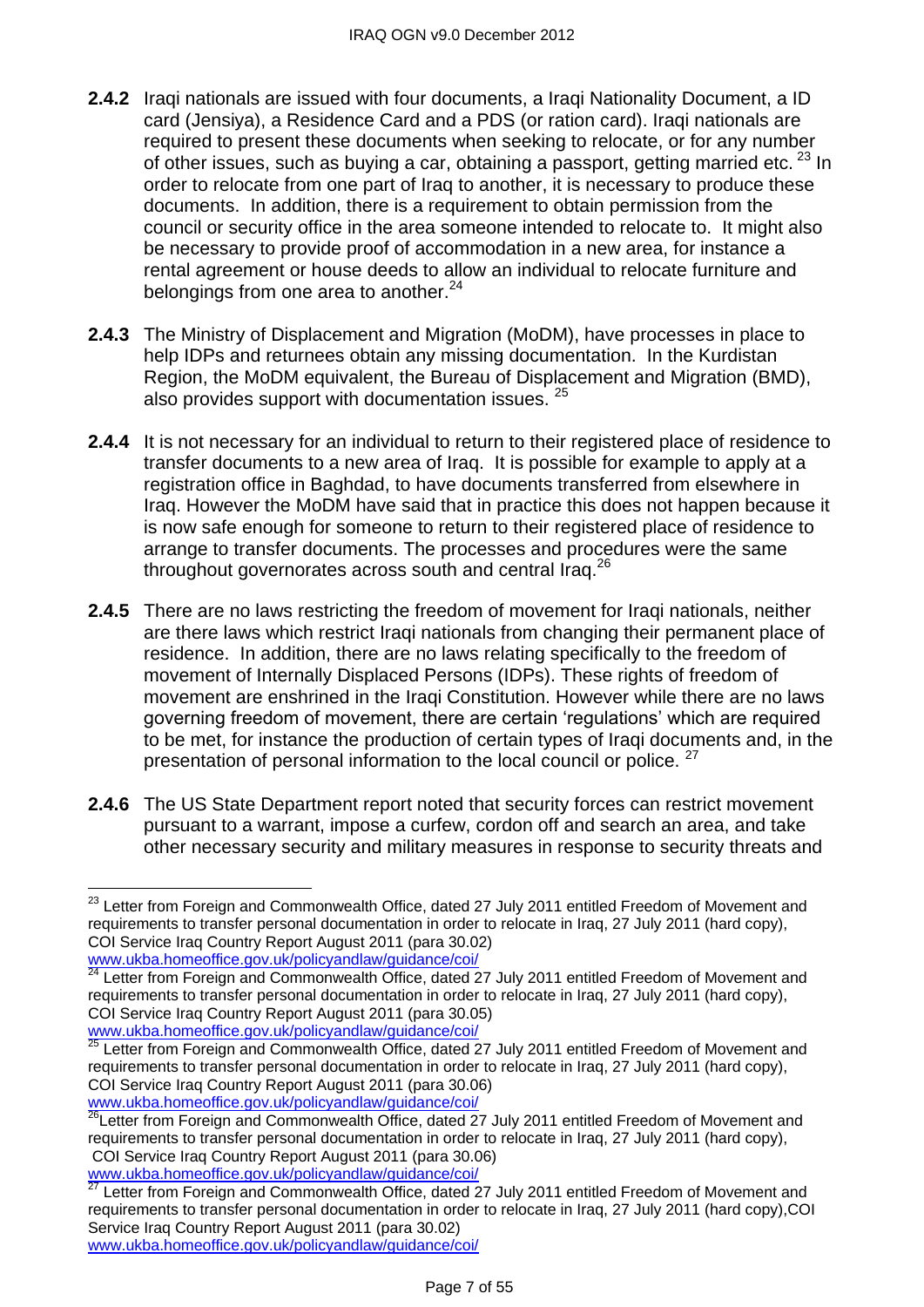- **2.4.2** Iragi nationals are issued with four documents, a Iragi Nationality Document, a ID card (Jensiya), a Residence Card and a PDS (or ration card). Iraqi nationals are required to present these documents when seeking to relocate, or for any number of other issues, such as buying a car, obtaining a passport, getting married etc. <sup>23</sup> In order to relocate from one part of Iraq to another, it is necessary to produce these documents. In addition, there is a requirement to obtain permission from the council or security office in the area someone intended to relocate to. It might also be necessary to provide proof of accommodation in a new area, for instance a rental agreement or house deeds to allow an individual to relocate furniture and belongings from one area to another. $24$
- **2.4.3** The Ministry of Displacement and Migration (MoDM), have processes in place to help IDPs and returnees obtain any missing documentation. In the Kurdistan Region, the MoDM equivalent, the Bureau of Displacement and Migration (BMD), also provides support with documentation issues.  $25$
- **2.4.4** It is not necessary for an individual to return to their registered place of residence to transfer documents to a new area of Iraq. It is possible for example to apply at a registration office in Baghdad, to have documents transferred from elsewhere in Iraq. However the MoDM have said that in practice this does not happen because it is now safe enough for someone to return to their registered place of residence to arrange to transfer documents. The processes and procedures were the same throughout governorates across south and central Iraq.<sup>26</sup>
- **2.4.5** There are no laws restricting the freedom of movement for Iraqi nationals, neither are there laws which restrict Iraqi nationals from changing their permanent place of residence. In addition, there are no laws relating specifically to the freedom of movement of Internally Displaced Persons (IDPs). These rights of freedom of movement are enshrined in the Iraqi Constitution. However while there are no laws governing freedom of movement, there are certain 'regulations' which are required to be met, for instance the production of certain types of Iraqi documents and, in the presentation of personal information to the local council or police. <sup>27</sup>
- **2.4.6** The US State Department report noted that security forces can restrict movement pursuant to a warrant, impose a curfew, cordon off and search an area, and take other necessary security and military measures in response to security threats and

[www.ukba.homeoffice.gov.uk/policyandlaw/guidance/coi/](http://www.ukba.homeoffice.gov.uk/policyandlaw/guidance/coi/)

 $\overline{\phantom{a}}$ <sup>23</sup> Letter from Foreian and Commonwealth Office, dated 27 July 2011 entitled Freedom of Movement and requirements to transfer personal documentation in order to relocate in Iraq, 27 July 2011 (hard copy), COI Service Iraq Country Report August 2011 (para 30.02) [www.ukba.homeoffice.gov.uk/policyandlaw/guidance/coi/](http://www.ukba.homeoffice.gov.uk/policyandlaw/guidance/coi/)

<sup>24</sup> Letter from Foreign and Commonwealth Office, dated 27 July 2011 entitled Freedom of Movement and requirements to transfer personal documentation in order to relocate in Iraq, 27 July 2011 (hard copy), COI Service Iraq Country Report August 2011 (para 30.05)

 $25$  Letter from Foreign and Commonwealth Office, dated 27 July 2011 entitled Freedom of Movement and requirements to transfer personal documentation in order to relocate in Iraq, 27 July 2011 (hard copy), COI Service Iraq Country Report August 2011 (para 30.06) [www.ukba.homeoffice.gov.uk/policyandlaw/guidance/coi/](http://www.ukba.homeoffice.gov.uk/policyandlaw/guidance/coi/)

 $^{26}$ Letter from Foreign and Commonwealth Office, dated 27 July 2011 entitled Freedom of Movement and requirements to transfer personal documentation in order to relocate in Iraq, 27 July 2011 (hard copy), COI Service Iraq Country Report August 2011 (para 30.06)

[www.ukba.homeoffice.gov.uk/policyandlaw/guidance/coi/](http://www.ukba.homeoffice.gov.uk/policyandlaw/guidance/coi/)<br>27 Lotter from Fassius Carelian Control of Carelian Carelian Carelian Carelian Carelian Carelian Carelian Care<br>27 Lotter from Fassius Carelian Carelian Carelian Carelia

Letter from Foreign and Commonwealth Office, dated 27 July 2011 entitled Freedom of Movement and requirements to transfer personal documentation in order to relocate in Iraq, 27 July 2011 (hard copy),COI Service Iraq Country Report August 2011 (para 30.02) [www.ukba.homeoffice.gov.uk/policyandlaw/guidance/coi/](http://www.ukba.homeoffice.gov.uk/policyandlaw/guidance/coi/)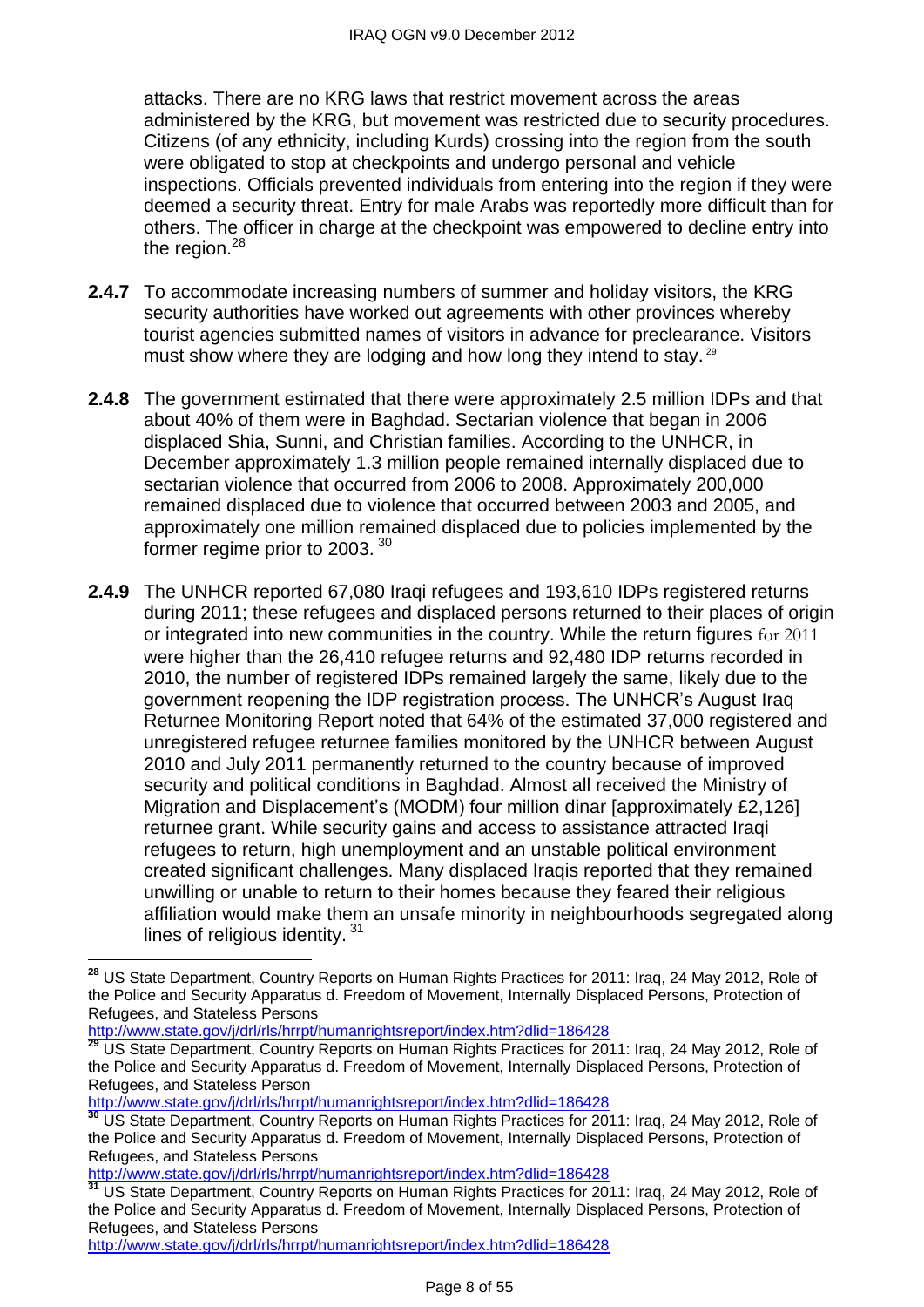attacks. There are no KRG laws that restrict movement across the areas administered by the KRG, but movement was restricted due to security procedures. Citizens (of any ethnicity, including Kurds) crossing into the region from the south were obligated to stop at checkpoints and undergo personal and vehicle inspections. Officials prevented individuals from entering into the region if they were deemed a security threat. Entry for male Arabs was reportedly more difficult than for others. The officer in charge at the checkpoint was empowered to decline entry into the region.<sup>28</sup>

- **2.4.7** To accommodate increasing numbers of summer and holiday visitors, the KRG security authorities have worked out agreements with other provinces whereby tourist agencies submitted names of visitors in advance for preclearance. Visitors must show where they are lodging and how long they intend to stay.<sup>29</sup>
- **2.4.8** The government estimated that there were approximately 2.5 million IDPs and that about 40% of them were in Baghdad. Sectarian violence that began in 2006 displaced Shia, Sunni, and Christian families. According to the UNHCR, in December approximately 1.3 million people remained internally displaced due to sectarian violence that occurred from 2006 to 2008. Approximately 200,000 remained displaced due to violence that occurred between 2003 and 2005, and approximately one million remained displaced due to policies implemented by the former regime prior to 2003. <sup>30</sup>
- **2.4.9** The UNHCR reported 67,080 Iraqi refugees and 193,610 IDPs registered returns during 2011; these refugees and displaced persons returned to their places of origin or integrated into new communities in the country. While the return figures for 2011 were higher than the 26,410 refugee returns and 92,480 IDP returns recorded in 2010, the number of registered IDPs remained largely the same, likely due to the government reopening the IDP registration process. The UNHCR's August Iraq Returnee Monitoring Report noted that 64% of the estimated 37,000 registered and unregistered refugee returnee families monitored by the UNHCR between August 2010 and July 2011 permanently returned to the country because of improved security and political conditions in Baghdad. Almost all received the Ministry of Migration and Displacement's (MODM) four million dinar [approximately £2,126] returnee grant. While security gains and access to assistance attracted Iraqi refugees to return, high unemployment and an unstable political environment created significant challenges. Many displaced Iraqis reported that they remained unwilling or unable to return to their homes because they feared their religious affiliation would make them an unsafe minority in neighbourhoods segregated along lines of religious identity.<sup>31</sup>

<http://www.state.gov/j/drl/rls/hrrpt/humanrightsreport/index.htm?dlid=186428>

 $\overline{a}$ 

<http://www.state.gov/j/drl/rls/hrrpt/humanrightsreport/index.htm?dlid=186428>

<http://www.state.gov/j/drl/rls/hrrpt/humanrightsreport/index.htm?dlid=186428>

**<sup>31</sup>** US State Department, Country Reports on Human Rights Practices for 2011: Iraq, 24 May 2012, Role of the Police and Security Apparatus d. Freedom of Movement, Internally Displaced Persons, Protection of Refugees, and Stateless Persons

<http://www.state.gov/j/drl/rls/hrrpt/humanrightsreport/index.htm?dlid=186428>

**<sup>28</sup>** US State Department, Country Reports on Human Rights Practices for 2011: Iraq, 24 May 2012, Role of the Police and Security Apparatus d. Freedom of Movement, Internally Displaced Persons, Protection of Refugees, and Stateless Persons

**<sup>29</sup>** US State Department, Country Reports on Human Rights Practices for 2011: Iraq, 24 May 2012, Role of the Police and Security Apparatus d. Freedom of Movement, Internally Displaced Persons, Protection of Refugees, and Stateless Person

**<sup>30</sup>** US State Department, Country Reports on Human Rights Practices for 2011: Iraq, 24 May 2012, Role of the Police and Security Apparatus d. Freedom of Movement, Internally Displaced Persons, Protection of Refugees, and Stateless Persons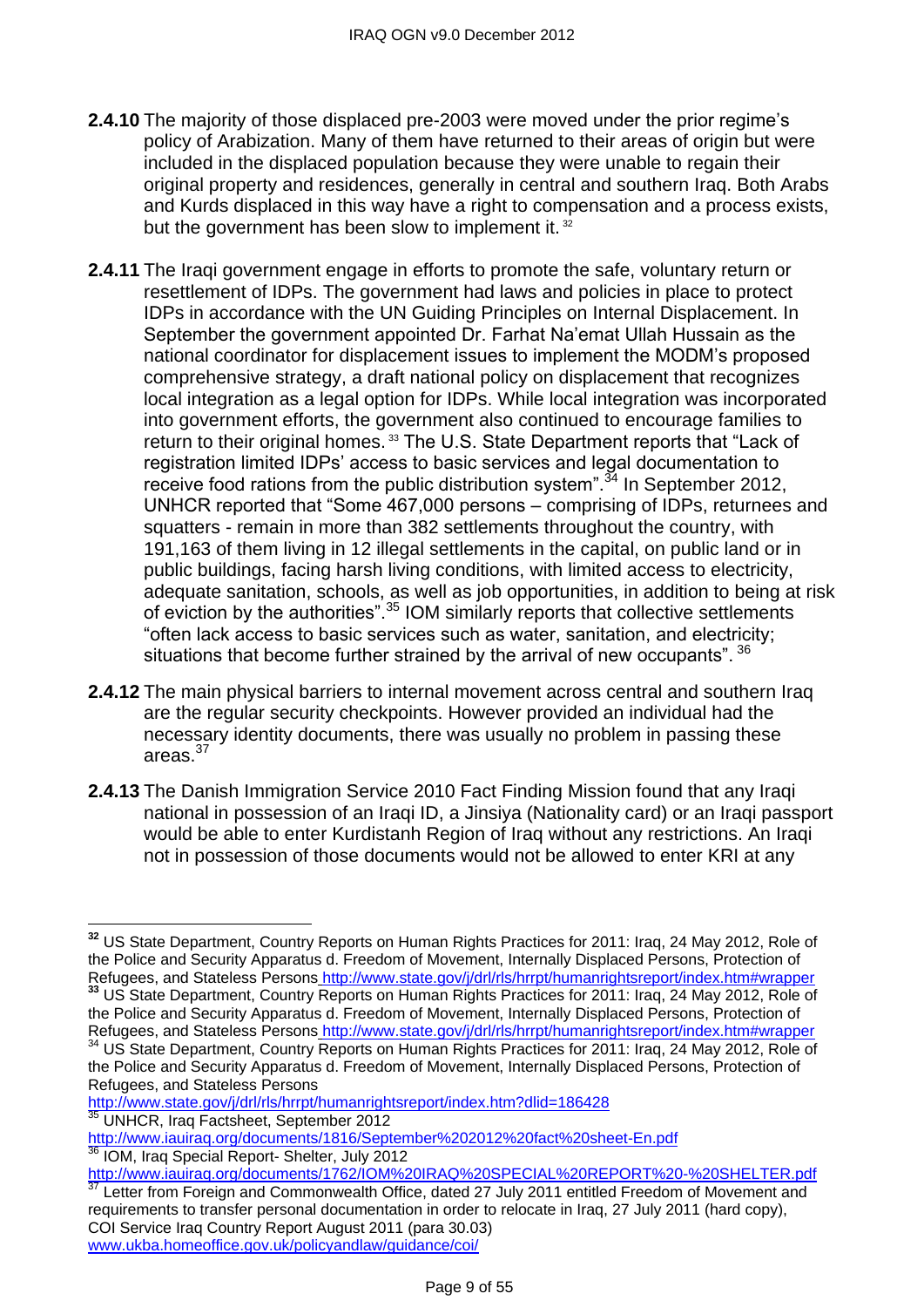- **2.4.10** The majority of those displaced pre-2003 were moved under the prior regime's policy of Arabization. Many of them have returned to their areas of origin but were included in the displaced population because they were unable to regain their original property and residences, generally in central and southern Iraq. Both Arabs and Kurds displaced in this way have a right to compensation and a process exists, but the government has been slow to implement it.<sup>32</sup>
- **2.4.11** The Iraqi government engage in efforts to promote the safe, voluntary return or resettlement of IDPs. The government had laws and policies in place to protect IDPs in accordance with the UN Guiding Principles on Internal Displacement. In September the government appointed Dr. Farhat Na'emat Ullah Hussain as the national coordinator for displacement issues to implement the MODM's proposed comprehensive strategy, a draft national policy on displacement that recognizes local integration as a legal option for IDPs. While local integration was incorporated into government efforts, the government also continued to encourage families to return to their original homes.<sup>33</sup> The U.S. State Department reports that "Lack of registration limited IDPs' access to basic services and legal documentation to receive food rations from the public distribution system".<sup>34</sup> In September 2012, UNHCR reported that "Some 467,000 persons – comprising of IDPs, returnees and squatters - remain in more than 382 settlements throughout the country, with 191,163 of them living in 12 illegal settlements in the capital, on public land or in public buildings, facing harsh living conditions, with limited access to electricity, adequate sanitation, schools, as well as job opportunities, in addition to being at risk of eviction by the authorities".  $35$  IOM similarly reports that collective settlements "often lack access to basic services such as water, sanitation, and electricity; situations that become further strained by the arrival of new occupants". <sup>36</sup>
- **2.4.12** The main physical barriers to internal movement across central and southern Iraq are the regular security checkpoints. However provided an individual had the necessary identity documents, there was usually no problem in passing these areas. $^{37}$
- **2.4.13** The Danish Immigration Service 2010 Fact Finding Mission found that any Iraqi national in possession of an Iraqi ID, a Jinsiya (Nationality card) or an Iraqi passport would be able to enter Kurdistanh Region of Iraq without any restrictions. An Iraqi not in possession of those documents would not be allowed to enter KRI at any

**<sup>32</sup>** US State Department, Country Reports on Human Rights Practices for 2011: Iraq, 24 May 2012, Role of the Police and Security Apparatus d. Freedom of Movement, Internally Displaced Persons, Protection of Refugees, and Stateless Persons <http://www.state.gov/j/drl/rls/hrrpt/humanrightsreport/index.htm#wrapper> **<sup>33</sup>** US State Department, Country Reports on Human Rights Practices for 2011: Iraq, 24 May 2012, Role of the Police and Security Apparatus d. Freedom of Movement, Internally Displaced Persons, Protection of Refugees, and Stateless Persons <http://www.state.gov/j/drl/rls/hrrpt/humanrightsreport/index.htm#wrapper> <sup>34</sup> US State Department, Country Reports on Human Rights Practices for 2011: Iraq, 24 May 2012, Role of the Police and Security Apparatus d. Freedom of Movement, Internally Displaced Persons, Protection of Refugees, and Stateless Persons

<http://www.state.gov/j/drl/rls/hrrpt/humanrightsreport/index.htm?dlid=186428>

<sup>&</sup>lt;sup>35</sup> UNHCR, Iraq Factsheet, September 2012 <http://www.iauiraq.org/documents/1816/September%202012%20fact%20sheet-En.pdf> IOM, Iraq Special Report- Shelter, July 2012

<http://www.iauiraq.org/documents/1762/IOM%20IRAQ%20SPECIAL%20REPORT%20-%20SHELTER.pdf> Letter from Foreign and Commonwealth Office, dated 27 July 2011 entitled Freedom of Movement and requirements to transfer personal documentation in order to relocate in Iraq, 27 July 2011 (hard copy), COI Service Iraq Country Report August 2011 (para 30.03) [www.ukba.homeoffice.gov.uk/policyandlaw/guidance/coi/](http://www.ukba.homeoffice.gov.uk/policyandlaw/guidance/coi/)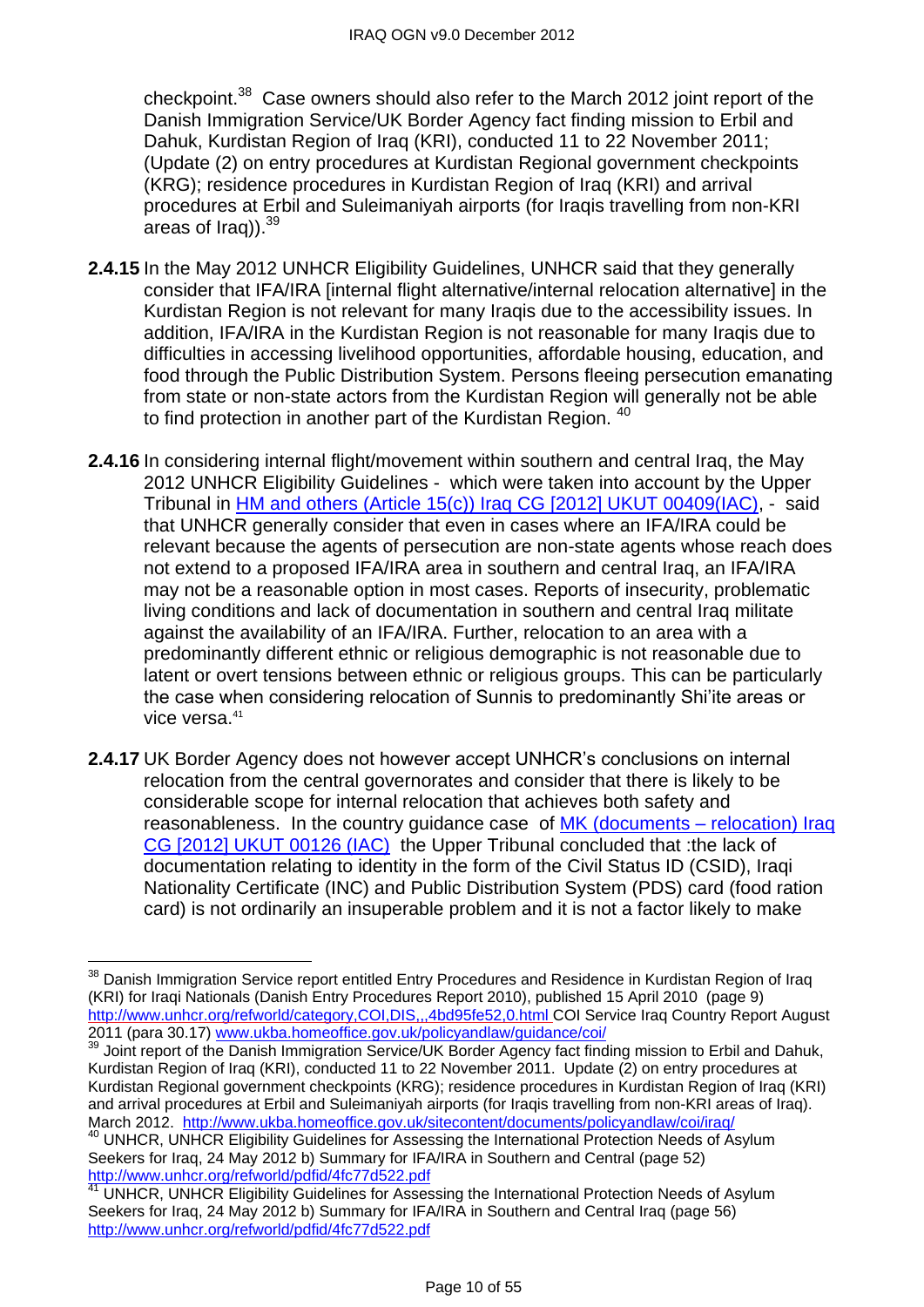checkpoint.<sup>38</sup> Case owners should also refer to the March 2012 joint report of the Danish Immigration Service/UK Border Agency fact finding mission to Erbil and Dahuk, Kurdistan Region of Iraq (KRI), conducted 11 to 22 November 2011; (Update (2) on entry procedures at Kurdistan Regional government checkpoints (KRG); residence procedures in Kurdistan Region of Iraq (KRI) and arrival procedures at Erbil and Suleimaniyah airports (for Iraqis travelling from non-KRI areas of Iraq)). $^{39}$ 

- **2.4.15** In the May 2012 UNHCR Eligibility Guidelines, UNHCR said that they generally consider that IFA/IRA [internal flight alternative/internal relocation alternative] in the Kurdistan Region is not relevant for many Iraqis due to the accessibility issues. In addition, IFA/IRA in the Kurdistan Region is not reasonable for many Iraqis due to difficulties in accessing livelihood opportunities, affordable housing, education, and food through the Public Distribution System. Persons fleeing persecution emanating from state or non-state actors from the Kurdistan Region will generally not be able to find protection in another part of the Kurdistan Region. <sup>40</sup>
- **2.4.16** In considering internal flight/movement within southern and central Iraq, the May 2012 UNHCR Eligibility Guidelines - which were taken into account by the Upper Tribunal in [HM and others \(Article 15\(c\)\) Iraq CG \[2012\] UKUT 00409\(IAC\),](http://www.bailii.org/uk/cases/UKUT/IAC/2012/00409_ukut_iac_2012_hm_ors_iraq_cg.html) - said that UNHCR generally consider that even in cases where an IFA/IRA could be relevant because the agents of persecution are non-state agents whose reach does not extend to a proposed IFA/IRA area in southern and central Iraq, an IFA/IRA may not be a reasonable option in most cases. Reports of insecurity, problematic living conditions and lack of documentation in southern and central Iraq militate against the availability of an IFA/IRA. Further, relocation to an area with a predominantly different ethnic or religious demographic is not reasonable due to latent or overt tensions between ethnic or religious groups. This can be particularly the case when considering relocation of Sunnis to predominantly Shi'ite areas or vice versa.<sup>41</sup>
- **2.4.17** UK Border Agency does not however accept UNHCR's conclusions on internal relocation from the central governorates and consider that there is likely to be considerable scope for internal relocation that achieves both safety and reasonableness. In the country guidance case of [MK \(documents –](http://www.bailii.org/uk/cases/UKUT/IAC/2012/00126_ukut_iac_2012_mk_iraq_cg.html) relocation) Iraq [CG \[2012\] UKUT 00126 \(IAC\)](http://www.bailii.org/uk/cases/UKUT/IAC/2012/00126_ukut_iac_2012_mk_iraq_cg.html) the Upper Tribunal concluded that :the lack of documentation relating to identity in the form of the Civil Status ID (CSID), Iraqi Nationality Certificate (INC) and Public Distribution System (PDS) card (food ration card) is not ordinarily an insuperable problem and it is not a factor likely to make

<sup>&</sup>lt;sup>38</sup> Danish Immigration Service report entitled Entry Procedures and Residence in Kurdistan Region of Iraq (KRI) for Iraqi Nationals (Danish Entry Procedures Report 2010), published 15 April 2010 (page 9) <http://www.unhcr.org/refworld/category,COI,DIS,,,4bd95fe52,0.html> COI Service Iraq Country Report August 2011 (para 30.17) [www.ukba.homeoffice.gov.uk/policyandlaw/guidance/coi/](http://www.ukba.homeoffice.gov.uk/policyandlaw/guidance/coi/)

<sup>&</sup>lt;sup>39</sup> Joint report of the Danish Immigration Service/UK Border Agency fact finding mission to Erbil and Dahuk, Kurdistan Region of Iraq (KRI), conducted 11 to 22 November 2011. Update (2) on entry procedures at Kurdistan Regional government checkpoints (KRG); residence procedures in Kurdistan Region of Iraq (KRI) and arrival procedures at Erbil and Suleimaniyah airports (for Iraqis travelling from non-KRI areas of Iraq). March 2012. <http://www.ukba.homeoffice.gov.uk/sitecontent/documents/policyandlaw/coi/iraq/>

<sup>&</sup>lt;sup>40</sup> UNHCR, UNHCR Eligibility Guidelines for Assessing the International Protection Needs of Asylum Seekers for Iraq, 24 May 2012 b) Summary for IFA/IRA in Southern and Central (page 52) <http://www.unhcr.org/refworld/pdfid/4fc77d522.pdf>

<sup>41</sup> UNHCR, UNHCR Eligibility Guidelines for Assessing the International Protection Needs of Asylum Seekers for Iraq, 24 May 2012 b) Summary for IFA/IRA in Southern and Central Iraq (page 56) <http://www.unhcr.org/refworld/pdfid/4fc77d522.pdf>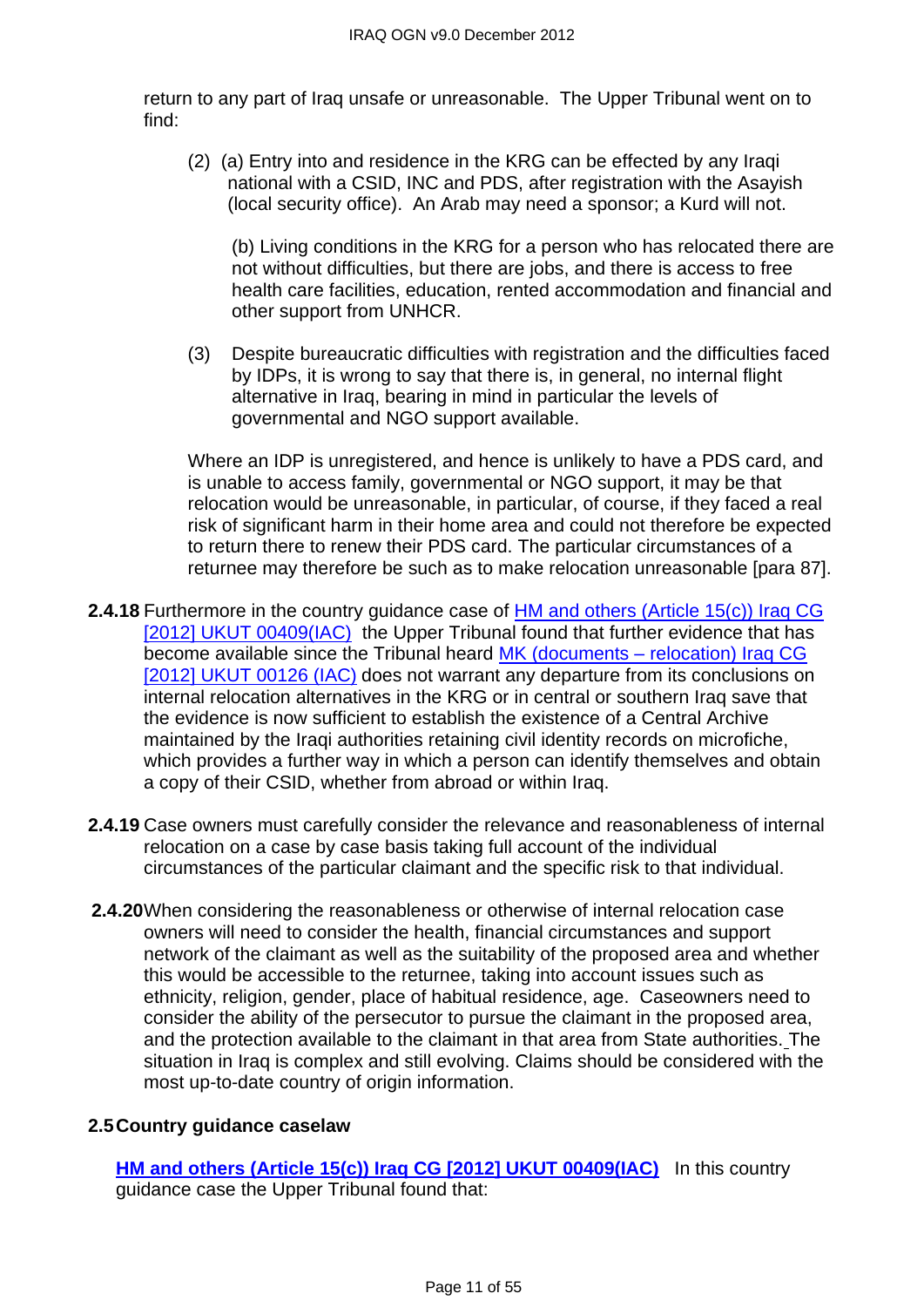return to any part of Iraq unsafe or unreasonable. The Upper Tribunal went on to find:

(2) (a) Entry into and residence in the KRG can be effected by any Iraqi national with a CSID, INC and PDS, after registration with the Asayish (local security office). An Arab may need a sponsor; a Kurd will not.

(b) Living conditions in the KRG for a person who has relocated there are not without difficulties, but there are jobs, and there is access to free health care facilities, education, rented accommodation and financial and other support from UNHCR.

(3) Despite bureaucratic difficulties with registration and the difficulties faced by IDPs, it is wrong to say that there is, in general, no internal flight alternative in Iraq, bearing in mind in particular the levels of governmental and NGO support available.

Where an IDP is unregistered, and hence is unlikely to have a PDS card, and is unable to access family, governmental or NGO support, it may be that relocation would be unreasonable, in particular, of course, if they faced a real risk of significant harm in their home area and could not therefore be expected to return there to renew their PDS card. The particular circumstances of a returnee may therefore be such as to make relocation unreasonable [para 87].

- **2.4.18** Furthermore in the country guidance case of **HM** and others (Article 15(c)) Iraq CG [\[2012\] UKUT 00409\(IAC\)](http://www.bailii.org/uk/cases/UKUT/IAC/2012/00409_ukut_iac_2012_hm_ors_iraq_cg.html) the Upper Tribunal found that further evidence that has become available since the Tribunal heard MK (documents - relocation) Iraq CG [\[2012\] UKUT 00126 \(IAC\)](http://www.bailii.org/uk/cases/UKUT/IAC/2012/00126_ukut_iac_2012_mk_iraq_cg.html) does not warrant any departure from its conclusions on internal relocation alternatives in the KRG or in central or southern Iraq save that the evidence is now sufficient to establish the existence of a Central Archive maintained by the Iraqi authorities retaining civil identity records on microfiche. which provides a further way in which a person can identify themselves and obtain a copy of their CSID, whether from abroad or within Iraq.
- **2.4.19** Case owners must carefully consider the relevance and reasonableness of internal relocation on a case by case basis taking full account of the individual circumstances of the particular claimant and the specific risk to that individual.
- **2.4.20**When considering the reasonableness or otherwise of internal relocation case owners will need to consider the health, financial circumstances and support network of the claimant as well as the suitability of the proposed area and whether this would be accessible to the returnee, taking into account issues such as ethnicity, religion, gender, place of habitual residence, age. Caseowners need to consider the ability of the persecutor to pursue the claimant in the proposed area, and the protection available to the claimant in that area from State authorities. The situation in Iraq is complex and still evolving. Claims should be considered with the most up-to-date country of origin information.

# <span id="page-10-0"></span>**2.5Country guidance caselaw**

**[HM and others \(Article 15\(c\)\) Iraq CG \[2012\] UKUT 00409\(IAC\)](http://www.bailii.org/uk/cases/UKUT/IAC/2012/00409_ukut_iac_2012_hm_ors_iraq_cg.html)** In this country guidance case the Upper Tribunal found that: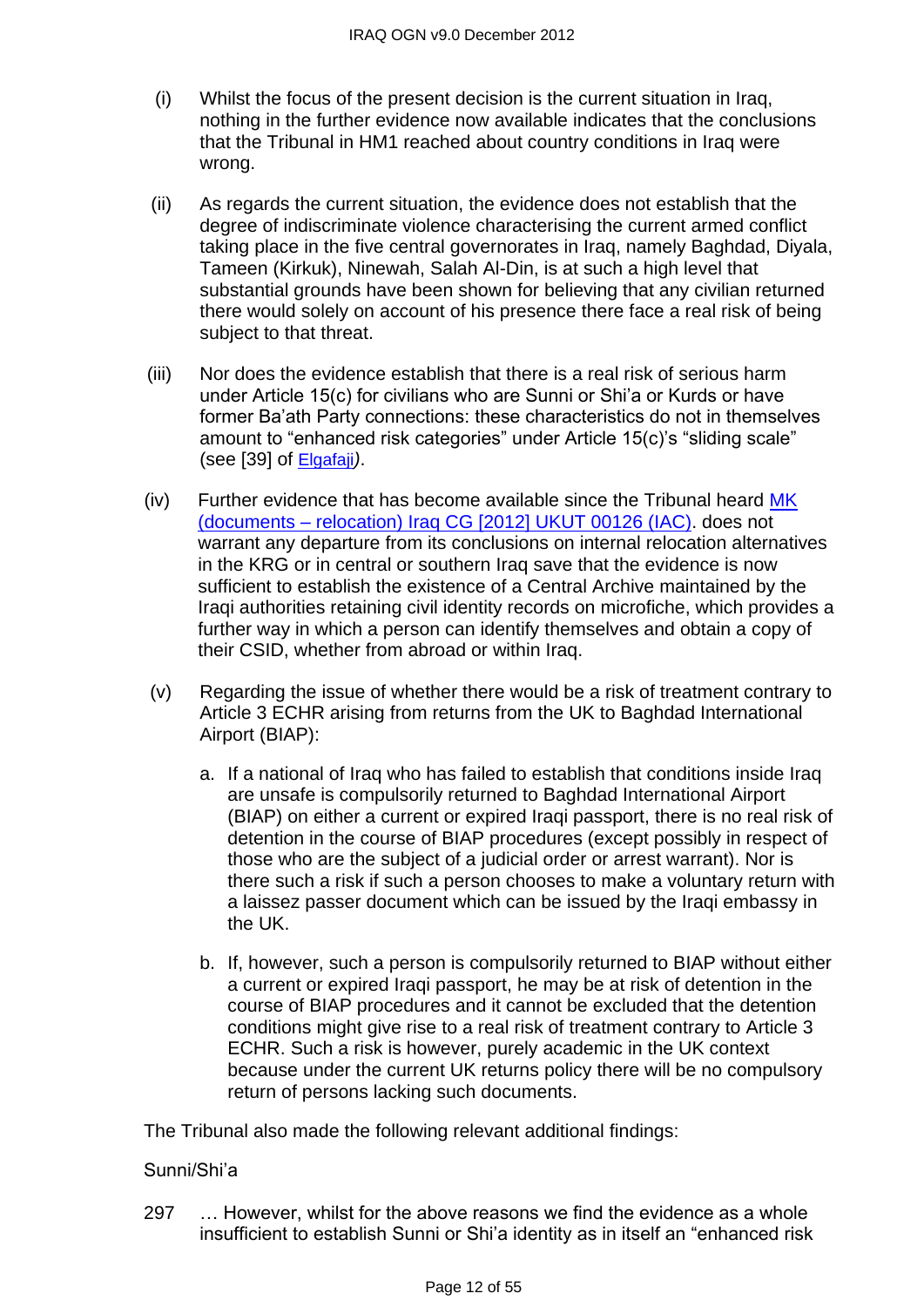- (i) Whilst the focus of the present decision is the current situation in Iraq, nothing in the further evidence now available indicates that the conclusions that the Tribunal in HM1 reached about country conditions in Iraq were wrong.
- (ii) As regards the current situation, the evidence does not establish that the degree of indiscriminate violence characterising the current armed conflict taking place in the five central governorates in Iraq, namely Baghdad, Diyala, Tameen (Kirkuk), Ninewah, Salah Al-Din, is at such a high level that substantial grounds have been shown for believing that any civilian returned there would solely on account of his presence there face a real risk of being subject to that threat.
- (iii) Nor does the evidence establish that there is a real risk of serious harm under Article 15(c) for civilians who are Sunni or Shi'a or Kurds or have former Ba'ath Party connections: these characteristics do not in themselves amount to "enhanced risk categories" under Article 15(c)'s "sliding scale" (see [39] of [Elgafaji](http://www.bailii.org/eu/cases/EUECJ/2009/C46507.html)*)*.
- (iv) Further evidence that has become available since the Tribunal heard [MK](http://www.bailii.org/uk/cases/UKUT/IAC/2012/00126_ukut_iac_2012_mk_iraq_cg.html)  (documents – [relocation\) Iraq CG \[2012\] UKUT 00126 \(IAC\).](http://www.bailii.org/uk/cases/UKUT/IAC/2012/00126_ukut_iac_2012_mk_iraq_cg.html) does not warrant any departure from its conclusions on internal relocation alternatives in the KRG or in central or southern Iraq save that the evidence is now sufficient to establish the existence of a Central Archive maintained by the Iraqi authorities retaining civil identity records on microfiche, which provides a further way in which a person can identify themselves and obtain a copy of their CSID, whether from abroad or within Iraq.
- (v) Regarding the issue of whether there would be a risk of treatment contrary to Article 3 ECHR arising from returns from the UK to Baghdad International Airport (BIAP):
	- a. If a national of Iraq who has failed to establish that conditions inside Iraq are unsafe is compulsorily returned to Baghdad International Airport (BIAP) on either a current or expired Iraqi passport, there is no real risk of detention in the course of BIAP procedures (except possibly in respect of those who are the subject of a judicial order or arrest warrant). Nor is there such a risk if such a person chooses to make a voluntary return with a laissez passer document which can be issued by the Iraqi embassy in the UK.
	- b. If, however, such a person is compulsorily returned to BIAP without either a current or expired Iraqi passport, he may be at risk of detention in the course of BIAP procedures and it cannot be excluded that the detention conditions might give rise to a real risk of treatment contrary to Article 3 ECHR. Such a risk is however, purely academic in the UK context because under the current UK returns policy there will be no compulsory return of persons lacking such documents.

The Tribunal also made the following relevant additional findings:

#### Sunni/Shi'a

297 … However, whilst for the above reasons we find the evidence as a whole insufficient to establish Sunni or Shi'a identity as in itself an "enhanced risk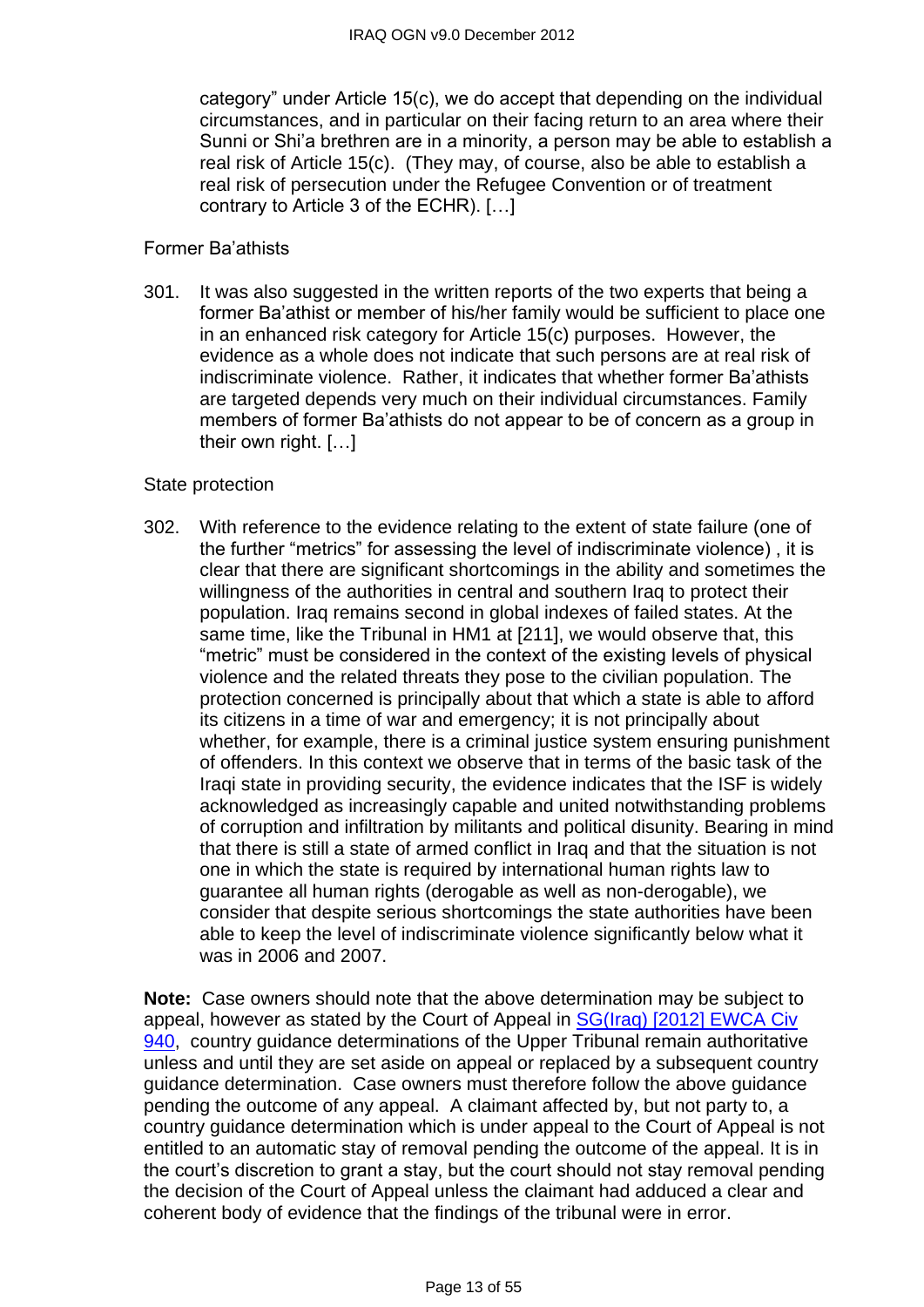category" under Article 15(c), we do accept that depending on the individual circumstances, and in particular on their facing return to an area where their Sunni or Shi'a brethren are in a minority, a person may be able to establish a real risk of Article 15(c). (They may, of course, also be able to establish a real risk of persecution under the Refugee Convention or of treatment contrary to Article 3 of the ECHR). […]

#### Former Ba'athists

301. It was also suggested in the written reports of the two experts that being a former Ba'athist or member of his/her family would be sufficient to place one in an enhanced risk category for Article 15(c) purposes. However, the evidence as a whole does not indicate that such persons are at real risk of indiscriminate violence. Rather, it indicates that whether former Ba'athists are targeted depends very much on their individual circumstances. Family members of former Ba'athists do not appear to be of concern as a group in their own right. […]

#### State protection

302. With reference to the evidence relating to the extent of state failure (one of the further "metrics" for assessing the level of indiscriminate violence), it is clear that there are significant shortcomings in the ability and sometimes the willingness of the authorities in central and southern Iraq to protect their population. Iraq remains second in global indexes of failed states. At the same time, like the Tribunal in HM1 at [211], we would observe that, this "metric" must be considered in the context of the existing levels of physical violence and the related threats they pose to the civilian population. The protection concerned is principally about that which a state is able to afford its citizens in a time of war and emergency; it is not principally about whether, for example, there is a criminal justice system ensuring punishment of offenders. In this context we observe that in terms of the basic task of the Iraqi state in providing security, the evidence indicates that the ISF is widely acknowledged as increasingly capable and united notwithstanding problems of corruption and infiltration by militants and political disunity. Bearing in mind that there is still a state of armed conflict in Iraq and that the situation is not one in which the state is required by international human rights law to guarantee all human rights (derogable as well as non-derogable), we consider that despite serious shortcomings the state authorities have been able to keep the level of indiscriminate violence significantly below what it was in 2006 and 2007.

**Note:** Case owners should note that the above determination may be subject to appeal, however as stated by the Court of Appeal in SG(Iraq) [2012] EWCA Civ [940,](http://www.bailii.org/ew/cases/EWCA/Civ/2012/940.html) country guidance determinations of the Upper Tribunal remain authoritative unless and until they are set aside on appeal or replaced by a subsequent country guidance determination. Case owners must therefore follow the above guidance pending the outcome of any appeal. A claimant affected by, but not party to, a country guidance determination which is under appeal to the Court of Appeal is not entitled to an automatic stay of removal pending the outcome of the appeal. It is in the court's discretion to grant a stay, but the court should not stay removal pending the decision of the Court of Appeal unless the claimant had adduced a clear and coherent body of evidence that the findings of the tribunal were in error.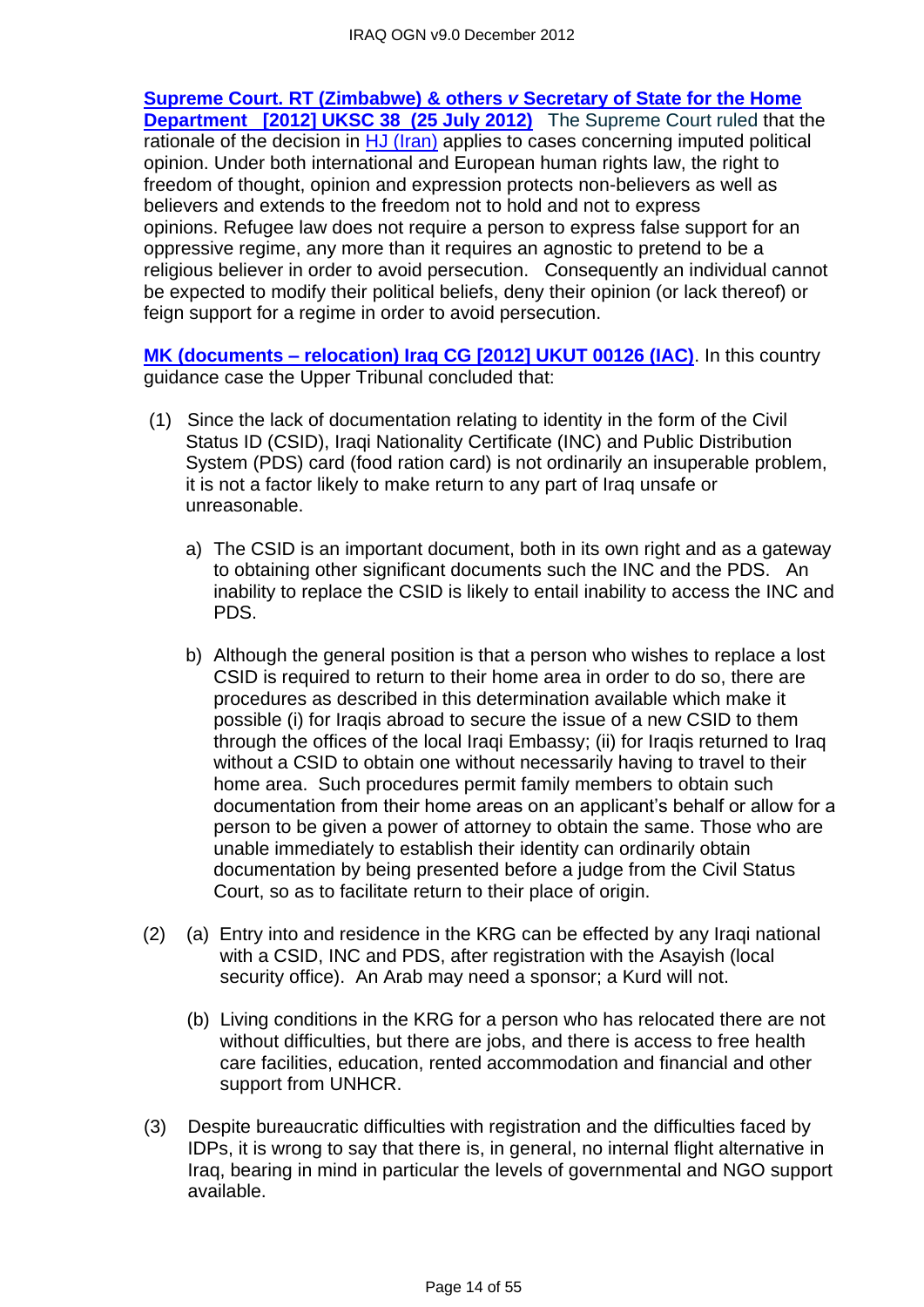**[Supreme Court. RT \(Zimbabwe\) & others](http://www.bailii.org/uk/cases/UKSC/2012/38.html)** *v* **Secretary of State for the Home [Department \[2012\] UKSC 38 \(25 July 2012\)](http://www.bailii.org/uk/cases/UKSC/2012/38.html)** The Supreme Court ruled that the rationale of the decision in [HJ \(Iran\)](http://www.bailii.org/uk/cases/UKSC/2010/31.html) applies to cases concerning imputed political opinion. Under both international and European human rights law, the right to freedom of thought, opinion and expression protects non-believers as well as believers and extends to the freedom not to hold and not to express opinions. Refugee law does not require a person to express false support for an oppressive regime, any more than it requires an agnostic to pretend to be a religious believer in order to avoid persecution.Consequently an individual cannot be expected to modify their political beliefs, deny their opinion (or lack thereof) or feign support for a regime in order to avoid persecution.

**MK (documents – [relocation\) Iraq CG \[2012\] UKUT 00126 \(IAC\)](http://www.bailii.org/uk/cases/UKUT/IAC/2012/00126_ukut_iac_2012_mk_iraq_cg.html)**. In this country guidance case the Upper Tribunal concluded that:

- (1) Since the lack of documentation relating to identity in the form of the Civil Status ID (CSID), Iraqi Nationality Certificate (INC) and Public Distribution System (PDS) card (food ration card) is not ordinarily an insuperable problem, it is not a factor likely to make return to any part of Iraq unsafe or unreasonable.
	- a) The CSID is an important document, both in its own right and as a gateway to obtaining other significant documents such the INC and the PDS. An inability to replace the CSID is likely to entail inability to access the INC and PDS.
	- b) Although the general position is that a person who wishes to replace a lost CSID is required to return to their home area in order to do so, there are procedures as described in this determination available which make it possible (i) for Iraqis abroad to secure the issue of a new CSID to them through the offices of the local Iraqi Embassy; (ii) for Iraqis returned to Iraq without a CSID to obtain one without necessarily having to travel to their home area. Such procedures permit family members to obtain such documentation from their home areas on an applicant's behalf or allow for a person to be given a power of attorney to obtain the same. Those who are unable immediately to establish their identity can ordinarily obtain documentation by being presented before a judge from the Civil Status Court, so as to facilitate return to their place of origin.
- (2) (a) Entry into and residence in the KRG can be effected by any Iraqi national with a CSID, INC and PDS, after registration with the Asayish (local security office). An Arab may need a sponsor; a Kurd will not.
	- (b) Living conditions in the KRG for a person who has relocated there are not without difficulties, but there are jobs, and there is access to free health care facilities, education, rented accommodation and financial and other support from UNHCR.
- (3) Despite bureaucratic difficulties with registration and the difficulties faced by IDPs, it is wrong to say that there is, in general, no internal flight alternative in Iraq, bearing in mind in particular the levels of governmental and NGO support available.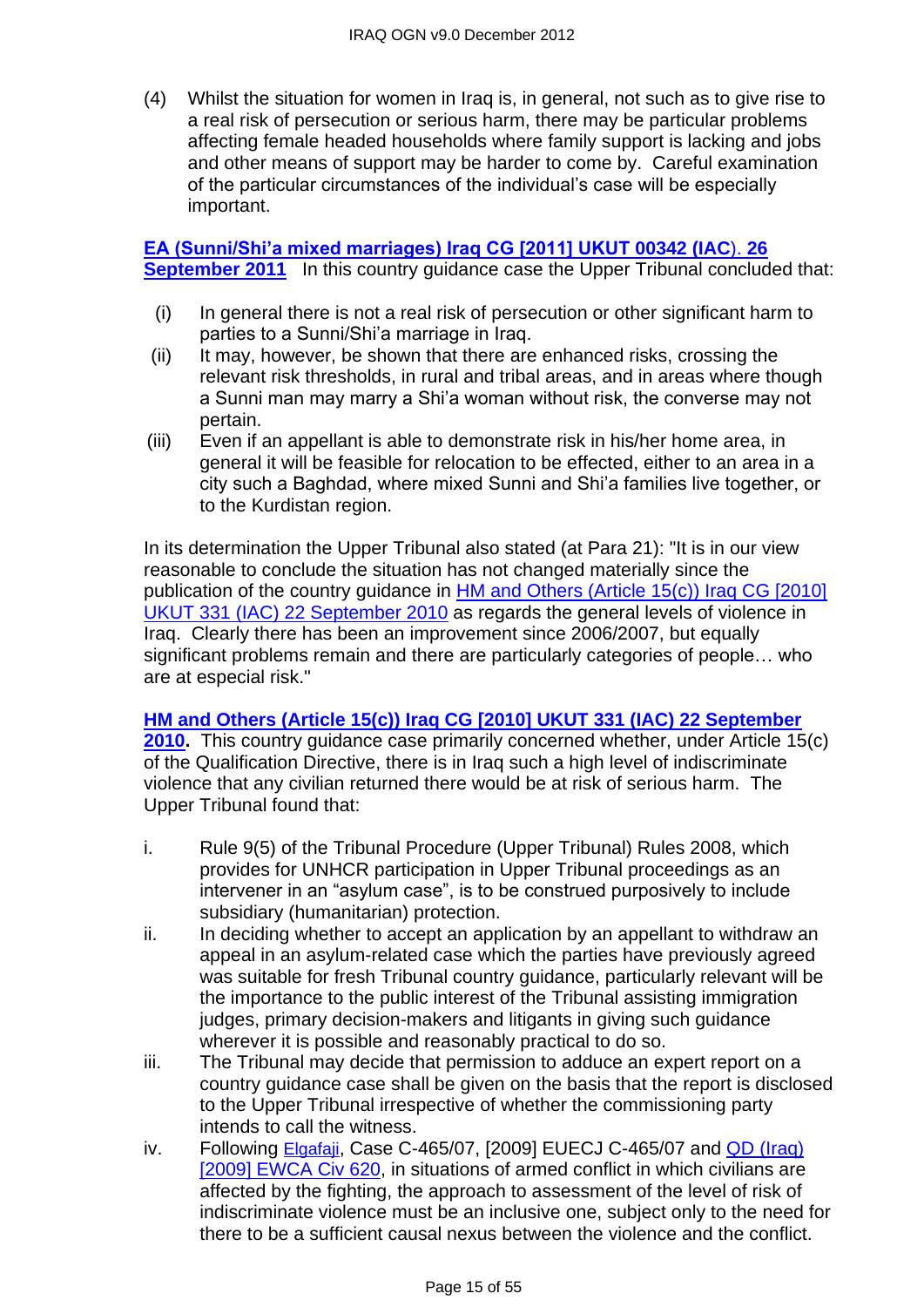(4) Whilst the situation for women in Iraq is, in general, not such as to give rise to a real risk of persecution or serious harm, there may be particular problems affecting female headed households where family support is lacking and jobs and other means of support may be harder to come by. Careful examination of the particular circumstances of the individual's case will be especially important.

#### **[EA \(Sunni/Shi'a mixed marriages\) Iraq CG \[2011\] UKUT 00342 \(IAC](http://www.bailii.org/uk/cases/UKUT/IAC/2011/00342_ukut_iac_2011_ea_iraq_cg.html)**). **26 [September 2011](http://www.bailii.org/uk/cases/UKUT/IAC/2011/00342_ukut_iac_2011_ea_iraq_cg.html)** In this country quidance case the Upper Tribunal concluded that:

- (i) In general there is not a real risk of persecution or other significant harm to parties to a Sunni/Shi'a marriage in Iraq.
- (ii) It may, however, be shown that there are enhanced risks, crossing the relevant risk thresholds, in rural and tribal areas, and in areas where though a Sunni man may marry a Shi'a woman without risk, the converse may not pertain.
- (iii) Even if an appellant is able to demonstrate risk in his/her home area, in general it will be feasible for relocation to be effected, either to an area in a city such a Baghdad, where mixed Sunni and Shi'a families live together, or to the Kurdistan region.

In its determination the Upper Tribunal also stated (at Para 21): "It is in our view reasonable to conclude the situation has not changed materially since the publication of the country guidance in [HM and Others \(Article 15\(c\)\) Iraq CG \[2010\]](http://www.bailii.org/uk/cases/UKUT/IAC/2010/00331_ukut_iac_2008_hm_others_iraq_cg.html)  [UKUT 331 \(IAC\) 22 September 2010](http://www.bailii.org/uk/cases/UKUT/IAC/2010/00331_ukut_iac_2008_hm_others_iraq_cg.html) as regards the general levels of violence in Iraq. Clearly there has been an improvement since 2006/2007, but equally significant problems remain and there are particularly categories of people… who are at especial risk."

#### **[HM and Others \(Article 15\(c\)\) Iraq CG \[2010\] UKUT 331 \(IAC\) 22 September](http://www.bailii.org/uk/cases/UKUT/IAC/2010/00331_ukut_iac_2008_hm_others_iraq_cg.html)**

**[2010.](http://www.bailii.org/uk/cases/UKUT/IAC/2010/00331_ukut_iac_2008_hm_others_iraq_cg.html)** This country guidance case primarily concerned whether, under Article 15(c) of the Qualification Directive, there is in Iraq such a high level of indiscriminate violence that any civilian returned there would be at risk of serious harm. The Upper Tribunal found that:

- i. Rule 9(5) of the Tribunal Procedure (Upper Tribunal) Rules 2008, which provides for UNHCR participation in Upper Tribunal proceedings as an intervener in an "asylum case", is to be construed purposively to include subsidiary (humanitarian) protection.
- ii. In deciding whether to accept an application by an appellant to withdraw an appeal in an asylum-related case which the parties have previously agreed was suitable for fresh Tribunal country guidance, particularly relevant will be the importance to the public interest of the Tribunal assisting immigration judges, primary decision-makers and litigants in giving such guidance wherever it is possible and reasonably practical to do so.
- iii. The Tribunal may decide that permission to adduce an expert report on a country guidance case shall be given on the basis that the report is disclosed to the Upper Tribunal irrespective of whether the commissioning party intends to call the witness.
- iv. Following [Elgafaji](http://www.bailii.org/eu/cases/EUECJ/2009/C46507.html), Case C-465/07, [2009] EUECJ C-465/07 and [QD \(Iraq\)](http://www.bailii.org/ew/cases/EWCA/Civ/2009/620.html)  [\[2009\] EWCA Civ 620,](http://www.bailii.org/ew/cases/EWCA/Civ/2009/620.html) in situations of armed conflict in which civilians are affected by the fighting, the approach to assessment of the level of risk of indiscriminate violence must be an inclusive one, subject only to the need for there to be a sufficient causal nexus between the violence and the conflict.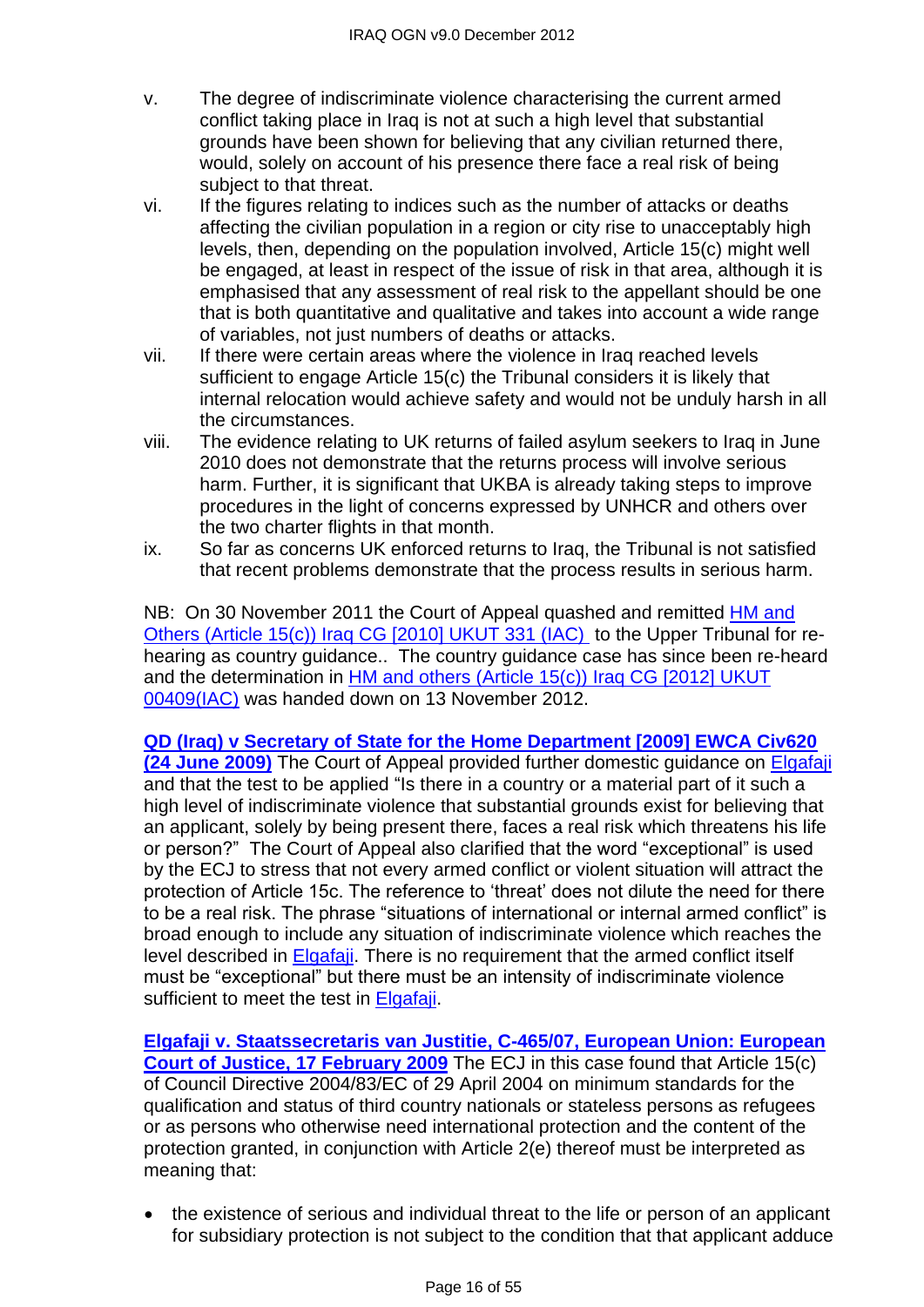- v. The degree of indiscriminate violence characterising the current armed conflict taking place in Iraq is not at such a high level that substantial grounds have been shown for believing that any civilian returned there, would, solely on account of his presence there face a real risk of being subject to that threat.
- vi. If the figures relating to indices such as the number of attacks or deaths affecting the civilian population in a region or city rise to unacceptably high levels, then, depending on the population involved, Article 15(c) might well be engaged, at least in respect of the issue of risk in that area, although it is emphasised that any assessment of real risk to the appellant should be one that is both quantitative and qualitative and takes into account a wide range of variables, not just numbers of deaths or attacks.
- vii. If there were certain areas where the violence in Iraq reached levels sufficient to engage Article 15(c) the Tribunal considers it is likely that internal relocation would achieve safety and would not be unduly harsh in all the circumstances.
- viii. The evidence relating to UK returns of failed asylum seekers to Iraq in June 2010 does not demonstrate that the returns process will involve serious harm. Further, it is significant that UKBA is already taking steps to improve procedures in the light of concerns expressed by UNHCR and others over the two charter flights in that month.
- ix. So far as concerns UK enforced returns to Iraq, the Tribunal is not satisfied that recent problems demonstrate that the process results in serious harm.

NB: On 30 November 2011 the Court of Appeal quashed and remitted **HM** and [Others \(Article 15\(c\)\) Iraq CG \[2010\] UKUT 331 \(IAC\)](http://www.bailii.org/uk/cases/UKUT/IAC/2010/00331_ukut_iac_2008_hm_others_iraq_cg.html) to the Upper Tribunal for rehearing as country guidance.. The country guidance case has since been re-heard and the determination in [HM and others \(Article 15\(c\)\) Iraq CG \[2012\] UKUT](http://www.bailii.org/uk/cases/UKUT/IAC/2012/00409_ukut_iac_2012_hm_ors_iraq_cg.html)  [00409\(IAC\)](http://www.bailii.org/uk/cases/UKUT/IAC/2012/00409_ukut_iac_2012_hm_ors_iraq_cg.html) was handed down on 13 November 2012.

**[QD \(Iraq\) v Secretary of State for the Home Department \[2009\] EWCA Civ620](http://www.bailii.org/ew/cases/EWCA/Civ/2009/620.html)  [\(24 June 2009\)](http://www.bailii.org/ew/cases/EWCA/Civ/2009/620.html)** The Court of Appeal provided further domestic guidance on [Elgafaji](http://www.bailii.org/eu/cases/EUECJ/2009/C46507.html) and that the test to be applied "Is there in a country or a material part of it such a high level of indiscriminate violence that substantial grounds exist for believing that an applicant, solely by being present there, faces a real risk which threatens his life or person?" The Court of Appeal also clarified that the word "exceptional" is used by the ECJ to stress that not every armed conflict or violent situation will attract the protection of Article 15c. The reference to 'threat' does not dilute the need for there to be a real risk. The phrase "situations of international or internal armed conflict" is broad enough to include any situation of indiscriminate violence which reaches the level described in [Elgafaji.](http://www.bailii.org/eu/cases/EUECJ/2009/C46507.html) There is no requirement that the armed conflict itself must be "exceptional" but there must be an intensity of indiscriminate violence sufficient to meet the test in [Elgafaji.](http://www.bailii.org/eu/cases/EUECJ/2009/C46507.html)

**[Elgafaji v. Staatssecretaris van Justitie,](http://www.bailii.org/eu/cases/EUECJ/2009/C46507.html) C-465/07, European Union: European Court of Justice, [17 February 2009](http://www.bailii.org/eu/cases/EUECJ/2009/C46507.html)** The ECJ in this case found that Article 15(c) of Council Directive 2004/83/EC of 29 April 2004 on minimum standards for the qualification and status of third country nationals or stateless persons as refugees or as persons who otherwise need international protection and the content of the protection granted, in conjunction with Article 2(e) thereof must be interpreted as meaning that:

• the existence of serious and individual threat to the life or person of an applicant for subsidiary protection is not subject to the condition that that applicant adduce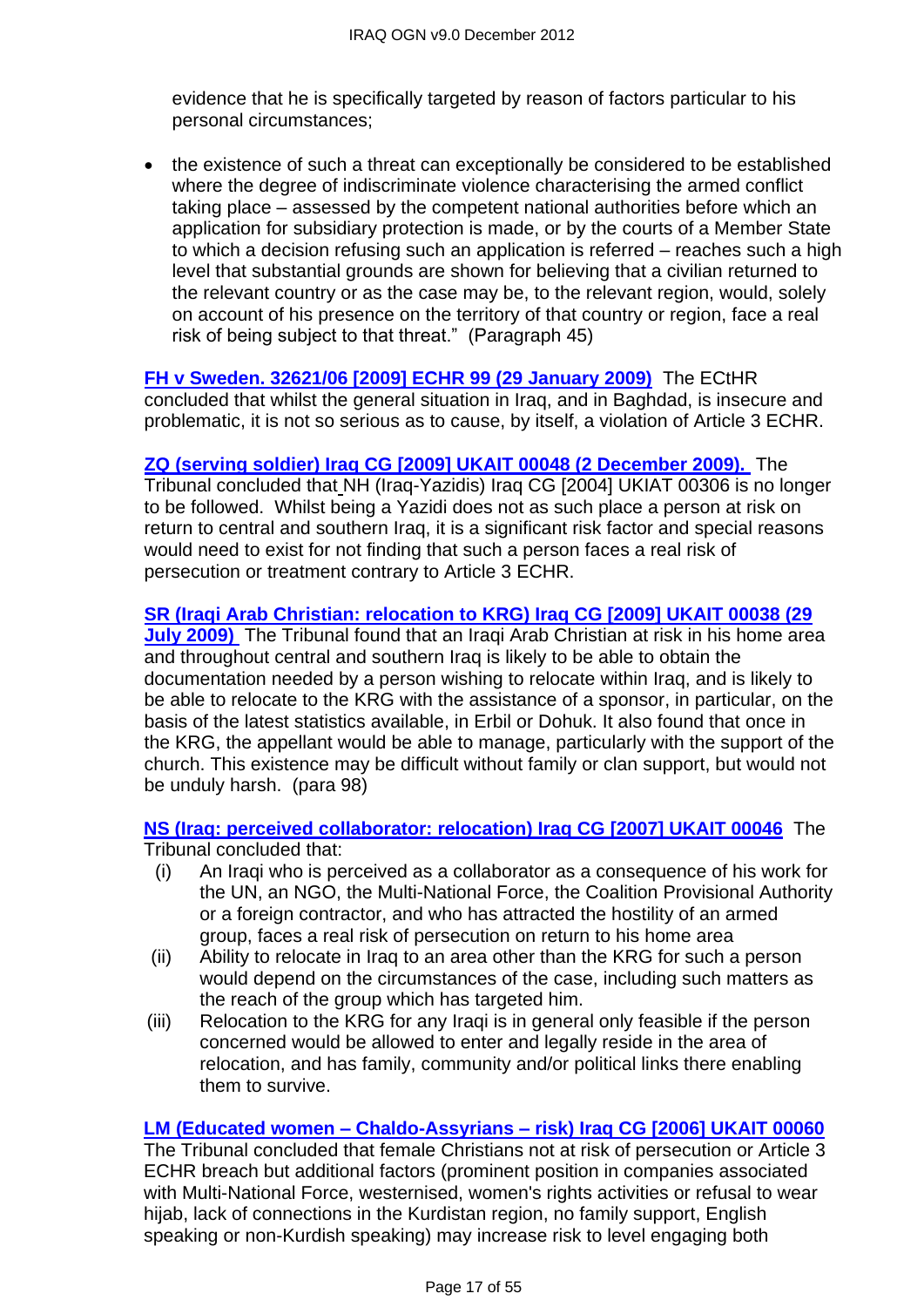evidence that he is specifically targeted by reason of factors particular to his personal circumstances;

• the existence of such a threat can exceptionally be considered to be established where the degree of indiscriminate violence characterising the armed conflict taking place – assessed by the competent national authorities before which an application for subsidiary protection is made, or by the courts of a Member State to which a decision refusing such an application is referred – reaches such a high level that substantial grounds are shown for believing that a civilian returned to the relevant country or as the case may be, to the relevant region, would, solely on account of his presence on the territory of that country or region, face a real risk of being subject to that threat." (Paragraph 45)

**[FH v Sweden. 32621/06 \[2009\] ECHR 99 \(29 January 2009\)](http://www.bailii.org/eu/cases/ECHR/2009/99.html)** The ECtHR concluded that whilst the general situation in Iraq, and in Baghdad, is insecure and problematic, it is not so serious as to cause, by itself, a violation of Article 3 ECHR.

**[ZQ \(serving soldier\) Iraq CG \[2009\] UKAIT 00048 \(2 December 2009\).](http://www.bailii.org/uk/cases/UKIAT/2009/00048.html)** The Tribunal concluded that NH (Iraq-Yazidis) Iraq CG [2004] UKIAT 00306 is no longer to be followed. Whilst being a Yazidi does not as such place a person at risk on return to central and southern Iraq, it is a significant risk factor and special reasons would need to exist for not finding that such a person faces a real risk of persecution or treatment contrary to Article 3 ECHR.

**[SR \(Iraqi Arab Christian: relocation to KRG\) Iraq CG \[2009\] UKAIT 00038 \(29](http://www.bailii.org/uk/cases/UKIAT/2009/00038.html)  [July 2009\)](http://www.bailii.org/uk/cases/UKIAT/2009/00038.html)** The Tribunal found that an Iraqi Arab Christian at risk in his home area and throughout central and southern Iraq is likely to be able to obtain the documentation needed by a person wishing to relocate within Iraq, and is likely to be able to relocate to the KRG with the assistance of a sponsor, in particular, on the basis of the latest statistics available, in Erbil or Dohuk. It also found that once in the KRG, the appellant would be able to manage, particularly with the support of the church. This existence may be difficult without family or clan support, but would not be unduly harsh. (para 98)

**[NS \(Iraq: perceived collaborator: relocation\) Iraq CG \[2007\] UKAIT 00046](http://www.bailii.org/uk/cases/UKIAT/2007/00046.html)** The Tribunal concluded that:

- (i) An Iraqi who is perceived as a collaborator as a consequence of his work for the UN, an NGO, the Multi-National Force, the Coalition Provisional Authority or a foreign contractor, and who has attracted the hostility of an armed group, faces a real risk of persecution on return to his home area
- (ii) Ability to relocate in Iraq to an area other than the KRG for such a person would depend on the circumstances of the case, including such matters as the reach of the group which has targeted him.
- (iii) Relocation to the KRG for any Iraqi is in general only feasible if the person concerned would be allowed to enter and legally reside in the area of relocation, and has family, community and/or political links there enabling them to survive.

#### **LM (Educated women – Chaldo-Assyrians – [risk\) Iraq CG \[2006\] UKAIT 00060](http://www.bailii.org/uk/cases/UKIAT/2006/00060.html)**

The Tribunal concluded that female Christians not at risk of persecution or Article 3 ECHR breach but additional factors (prominent position in companies associated with Multi-National Force, westernised, women's rights activities or refusal to wear hijab, lack of connections in the Kurdistan region, no family support, English speaking or non-Kurdish speaking) may increase risk to level engaging both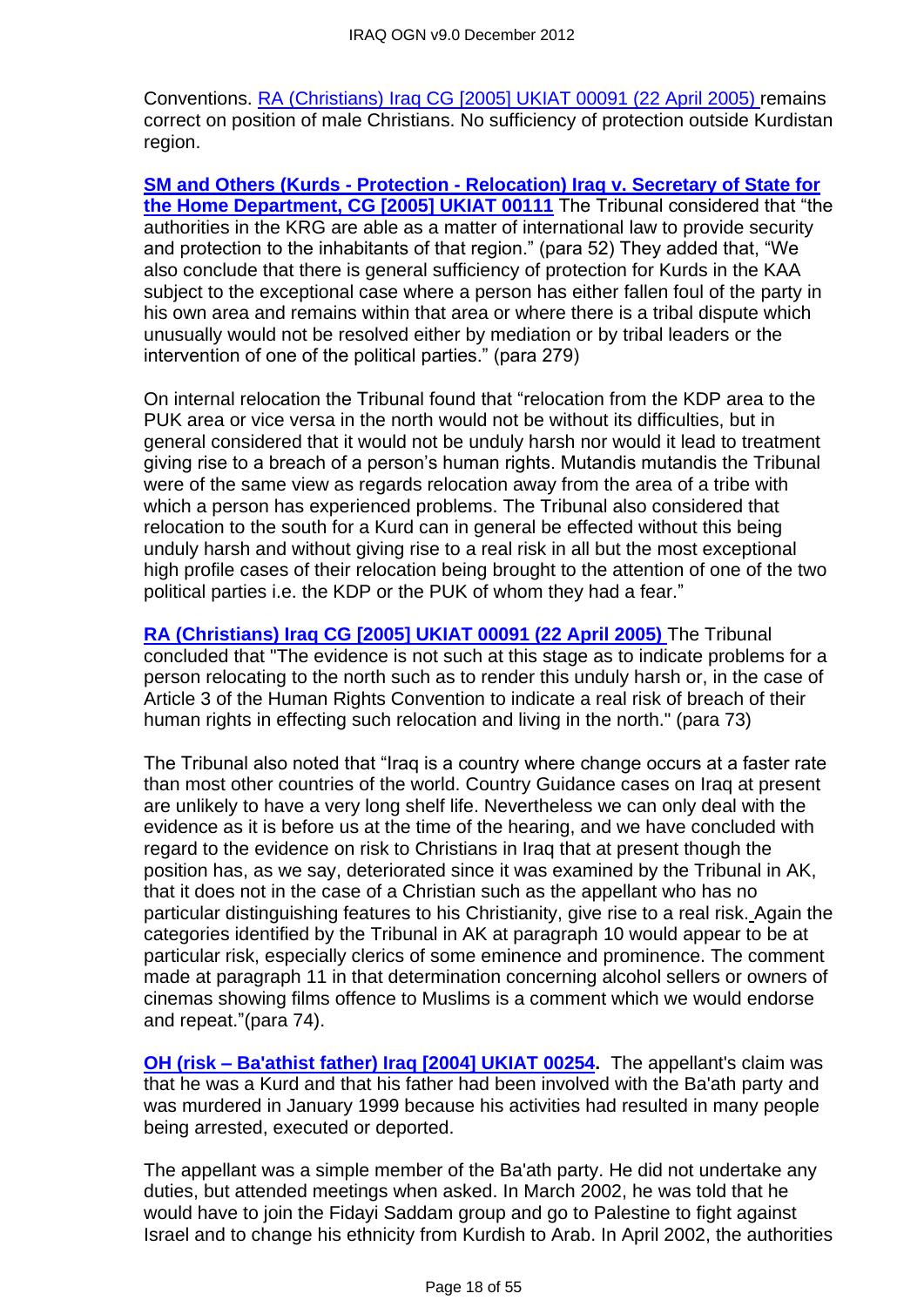Conventions. [RA \(Christians\) Iraq CG \[2005\] UKIAT 00091 \(22 April 2005\)](http://www.bailii.org/uk/cases/UKIAT/2005/00091.html) remains correct on position of male Christians. No sufficiency of protection outside Kurdistan region.

**SM and Others (Kurds - Protection - [Relocation\) Iraq v. Secretary of State for](http://www.bailii.org/uk/cases/UKIAT/2005/00111.html)  the Home Department, [CG \[2005\] UKIAT 00111](http://www.bailii.org/uk/cases/UKIAT/2005/00111.html)** The Tribunal considered that "the authorities in the KRG are able as a matter of international law to provide security and protection to the inhabitants of that region." (para 52) They added that, "We also conclude that there is general sufficiency of protection for Kurds in the KAA subject to the exceptional case where a person has either fallen foul of the party in his own area and remains within that area or where there is a tribal dispute which unusually would not be resolved either by mediation or by tribal leaders or the intervention of one of the political parties." (para 279)

On internal relocation the Tribunal found that "relocation from the KDP area to the PUK area or vice versa in the north would not be without its difficulties, but in general considered that it would not be unduly harsh nor would it lead to treatment giving rise to a breach of a person's human rights. Mutandis mutandis the Tribunal were of the same view as regards relocation away from the area of a tribe with which a person has experienced problems. The Tribunal also considered that relocation to the south for a Kurd can in general be effected without this being unduly harsh and without giving rise to a real risk in all but the most exceptional high profile cases of their relocation being brought to the attention of one of the two political parties i.e. the KDP or the PUK of whom they had a fear."

**[RA \(Christians\) Iraq CG \[2005\] UKIAT 00091 \(22 April 2005\)](http://www.bailii.org/uk/cases/UKIAT/2005/00091.html)** The Tribunal concluded that "The evidence is not such at this stage as to indicate problems for a person relocating to the north such as to render this unduly harsh or, in the case of Article 3 of the Human Rights Convention to indicate a real risk of breach of their human rights in effecting such relocation and living in the north." (para 73)

The Tribunal also noted that "Iraq is a country where change occurs at a faster rate than most other countries of the world. Country Guidance cases on Iraq at present are unlikely to have a very long shelf life. Nevertheless we can only deal with the evidence as it is before us at the time of the hearing, and we have concluded with regard to the evidence on risk to Christians in Iraq that at present though the position has, as we say, deteriorated since it was examined by the Tribunal in AK, that it does not in the case of a Christian such as the appellant who has no particular distinguishing features to his Christianity, give rise to a real risk. Again the categories identified by the Tribunal in AK at paragraph 10 would appear to be at particular risk, especially clerics of some eminence and prominence. The comment made at paragraph 11 in that determination concerning alcohol sellers or owners of cinemas showing films offence to Muslims is a comment which we would endorse and repeat."(para 74).

**OH (risk – [Ba'athist father\) Iraq \[2004\] UKIAT 00254.](http://www.bailii.org/uk/cases/UKIAT/2004/00254.html)** The appellant's claim was that he was a Kurd and that his father had been involved with the Ba'ath party and was murdered in January 1999 because his activities had resulted in many people being arrested, executed or deported.

The appellant was a simple member of the Ba'ath party. He did not undertake any duties, but attended meetings when asked. In March 2002, he was told that he would have to join the Fidayi Saddam group and go to Palestine to fight against Israel and to change his ethnicity from Kurdish to Arab. In April 2002, the authorities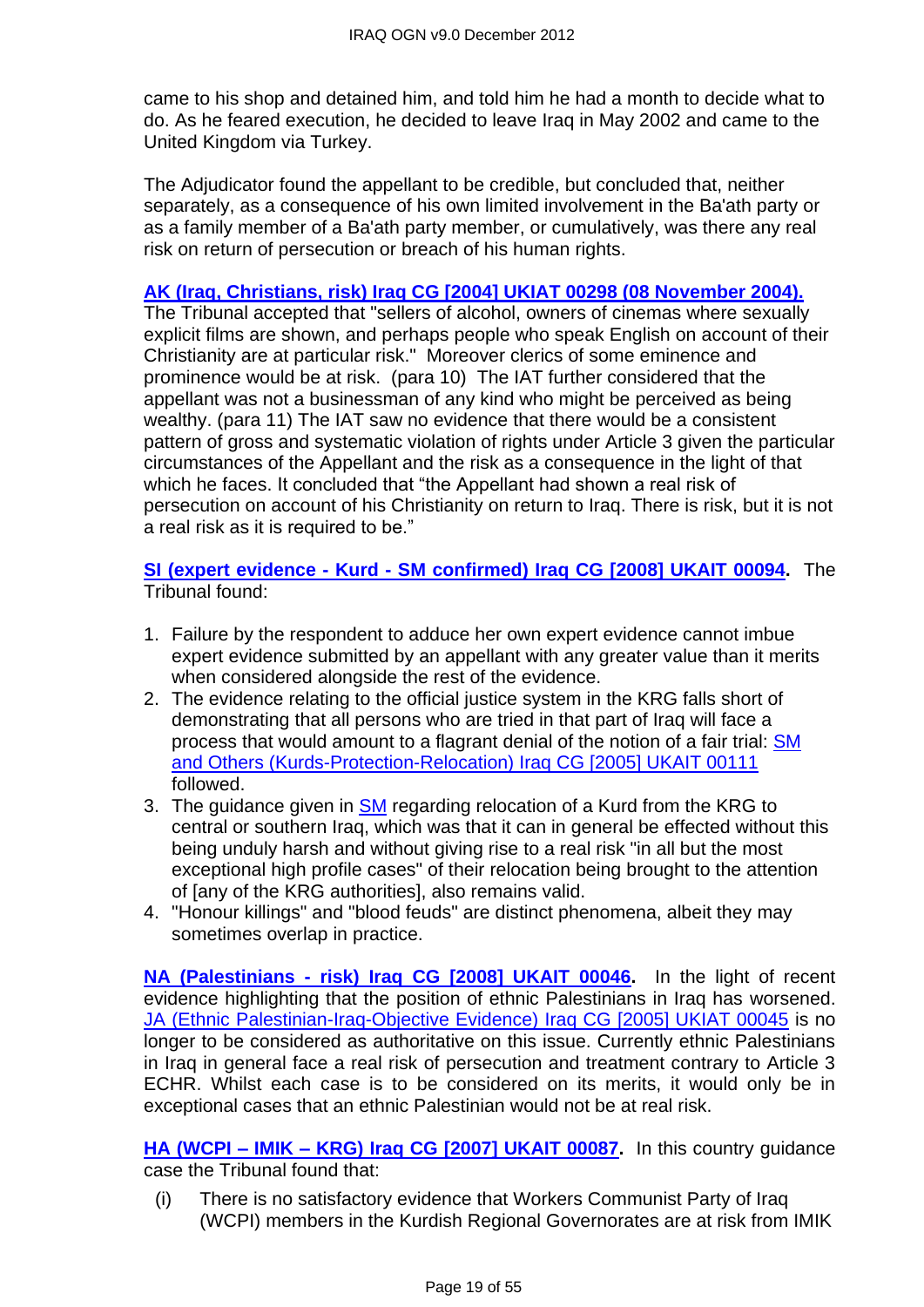came to his shop and detained him, and told him he had a month to decide what to do. As he feared execution, he decided to leave Iraq in May 2002 and came to the United Kingdom via Turkey.

The Adjudicator found the appellant to be credible, but concluded that, neither separately, as a consequence of his own limited involvement in the Ba'ath party or as a family member of a Ba'ath party member, or cumulatively, was there any real risk on return of persecution or breach of his human rights.

#### **[AK \(Iraq, Christians, risk\) Iraq CG \[2004\] UKIAT 00298 \(08 November 2004\).](http://www.bailii.org/uk/cases/UKIAT/2004/00298.html)**

The Tribunal accepted that "sellers of alcohol, owners of cinemas where sexually explicit films are shown, and perhaps people who speak English on account of their Christianity are at particular risk." Moreover clerics of some eminence and prominence would be at risk. (para 10) The IAT further considered that the appellant was not a businessman of any kind who might be perceived as being wealthy. (para 11) The IAT saw no evidence that there would be a consistent pattern of gross and systematic violation of rights under Article 3 given the particular circumstances of the Appellant and the risk as a consequence in the light of that which he faces. It concluded that "the Appellant had shown a real risk of persecution on account of his Christianity on return to Iraq. There is risk, but it is not a real risk as it is required to be."

**SI (expert evidence - Kurd - [SM confirmed\) Iraq CG \[2008\] UKAIT 00094.](http://www.bailii.org/uk/cases/UKIAT/2008/00094.html)** The Tribunal found:

- 1. Failure by the respondent to adduce her own expert evidence cannot imbue expert evidence submitted by an appellant with any greater value than it merits when considered alongside the rest of the evidence.
- 2. The evidence relating to the official justice system in the KRG falls short of demonstrating that all persons who are tried in that part of Iraq will face a process that would amount to a flagrant denial of the notion of a fair trial: [SM](http://www.bailii.org/uk/cases/UKIAT/2007/00077.html)  [and Others \(Kurds-Protection-Relocation\) Iraq CG \[2005\] UKAIT 00111](http://www.bailii.org/uk/cases/UKIAT/2007/00077.html) followed.
- 3. The guidance given in [SM](http://www.bailii.org/uk/cases/UKIAT/2007/00077.html) regarding relocation of a Kurd from the KRG to central or southern Iraq, which was that it can in general be effected without this being unduly harsh and without giving rise to a real risk "in all but the most exceptional high profile cases" of their relocation being brought to the attention of [any of the KRG authorities], also remains valid.
- 4. "Honour killings" and "blood feuds" are distinct phenomena, albeit they may sometimes overlap in practice.

**NA (Palestinians - [risk\) Iraq CG \[2008\] UKAIT 00046.](http://www.bailii.org/uk/cases/UKIAT/2008/00046.html)** In the light of recent evidence highlighting that the position of ethnic Palestinians in Iraq has worsened. [JA \(Ethnic Palestinian-Iraq-Objective Evidence\) Iraq CG \[2005\] UKIAT 00045](http://www.bailii.org/uk/cases/UKIAT/2005/00045.html) is no longer to be considered as authoritative on this issue. Currently ethnic Palestinians in Iraq in general face a real risk of persecution and treatment contrary to Article 3 ECHR. Whilst each case is to be considered on its merits, it would only be in exceptional cases that an ethnic Palestinian would not be at real risk.

**HA (WCPI – IMIK – [KRG\) Iraq CG \[2007\] UKAIT 00087.](http://www.bailii.org/uk/cases/UKIAT/2007/00087.html)** In this country guidance case the Tribunal found that:

(i) There is no satisfactory evidence that Workers Communist Party of Iraq (WCPI) members in the Kurdish Regional Governorates are at risk from IMIK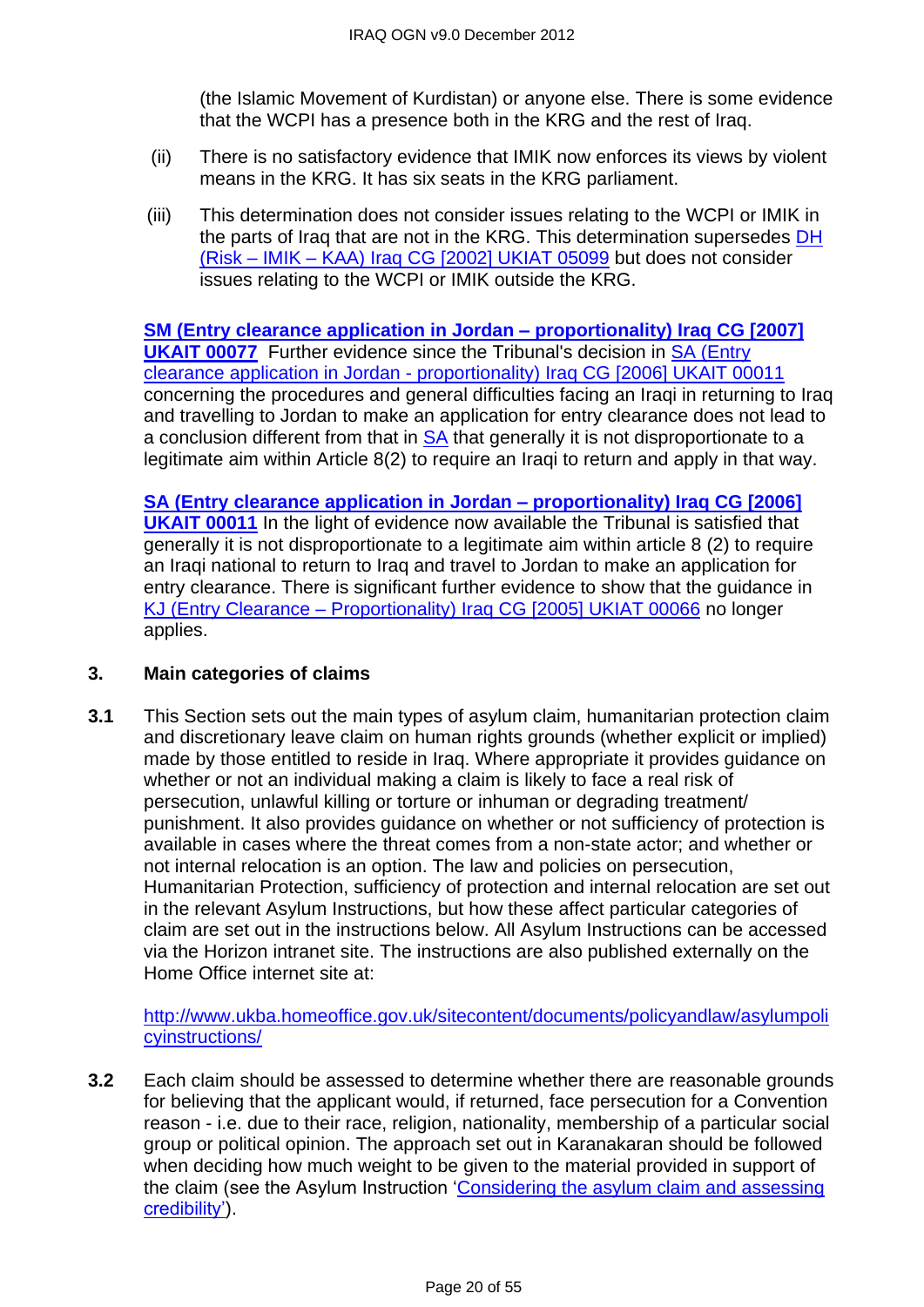(the Islamic Movement of Kurdistan) or anyone else. There is some evidence that the WCPI has a presence both in the KRG and the rest of Iraq.

- (ii) There is no satisfactory evidence that IMIK now enforces its views by violent means in the KRG. It has six seats in the KRG parliament.
- (iii) This determination does not consider issues relating to the WCPI or IMIK in the parts of Iraq that are not in the KRG. This determination supersedes [DH](http://www.bailii.org/uk/cases/UKIAT/2002/05099.html)  (Risk – IMIK – [KAA\) Iraq CG \[2002\] UKIAT 05099](http://www.bailii.org/uk/cases/UKIAT/2002/05099.html) but does not consider issues relating to the WCPI or IMIK outside the KRG.

**SM (Entry clearance application in Jordan – [proportionality\) Iraq CG \[2007\]](http://www.bailii.org/uk/cases/UKIAT/2007/00077.html)  [UKAIT 00077](http://www.bailii.org/uk/cases/UKIAT/2007/00077.html)** Further evidence since the Tribunal's decision in [SA \(Entry](http://www.bailii.org/uk/cases/UKIAT/2006/00011.html)  clearance application in Jordan - [proportionality\) Iraq CG \[2006\] UKAIT 00011](http://www.bailii.org/uk/cases/UKIAT/2006/00011.html) concerning the procedures and general difficulties facing an Iraqi in returning to Iraq and travelling to Jordan to make an application for entry clearance does not lead to a conclusion different from that in [SA](http://www.bailii.org/uk/cases/UKIAT/2006/00011.html) that generally it is not disproportionate to a legitimate aim within Article 8(2) to require an Iraqi to return and apply in that way.

**[SA \(Entry clearance application in Jordan –](http://www.bailii.org/uk/cases/UKIAT/2006/00011.html) proportionality) Iraq CG [2006] [UKAIT 00011](http://www.bailii.org/uk/cases/UKIAT/2006/00011.html)** In the light of evidence now available the Tribunal is satisfied that generally it is not disproportionate to a legitimate aim within article 8 (2) to require an Iraqi national to return to Iraq and travel to Jordan to make an application for entry clearance. There is significant further evidence to show that the guidance in KJ (Entry Clearance – [Proportionality\) Iraq CG \[2005\] UKIAT 00066](http://www.bailii.org/uk/cases/UKIAT/2005/00066.html) no longer applies.

#### <span id="page-19-0"></span>**3. Main categories of claims**

**3.1** This Section sets out the main types of asylum claim, humanitarian protection claim and discretionary leave claim on human rights grounds (whether explicit or implied) made by those entitled to reside in Iraq. Where appropriate it provides guidance on whether or not an individual making a claim is likely to face a real risk of persecution, unlawful killing or torture or inhuman or degrading treatment/ punishment. It also provides guidance on whether or not sufficiency of protection is available in cases where the threat comes from a non-state actor; and whether or not internal relocation is an option. The law and policies on persecution, Humanitarian Protection, sufficiency of protection and internal relocation are set out in the relevant Asylum Instructions, but how these affect particular categories of claim are set out in the instructions below. All Asylum Instructions can be accessed via the Horizon intranet site. The instructions are also published externally on the Home Office internet site at:

[http://www.ukba.homeoffice.gov.uk/sitecontent/documents/policyandlaw/asylumpoli](http://www.ukba.homeoffice.gov.uk/sitecontent/documents/policyandlaw/asylumpolicyinstructions/) [cyinstructions/](http://www.ukba.homeoffice.gov.uk/sitecontent/documents/policyandlaw/asylumpolicyinstructions/)

**3.2** Each claim should be assessed to determine whether there are reasonable grounds for believing that the applicant would, if returned, face persecution for a Convention reason - i.e. due to their race, religion, nationality, membership of a particular social group or political opinion. The approach set out in Karanakaran should be followed when deciding how much weight to be given to the material provided in support of the claim (see the Asylum Instruction 'Considering the asylum claim and assessing [credibility'\)](http://www.ukba.homeoffice.gov.uk/sitecontent/documents/policyandlaw/asylumprocessguidance/consideringanddecidingtheclaim/guidance/considering-protection-.pdf?view=Binary).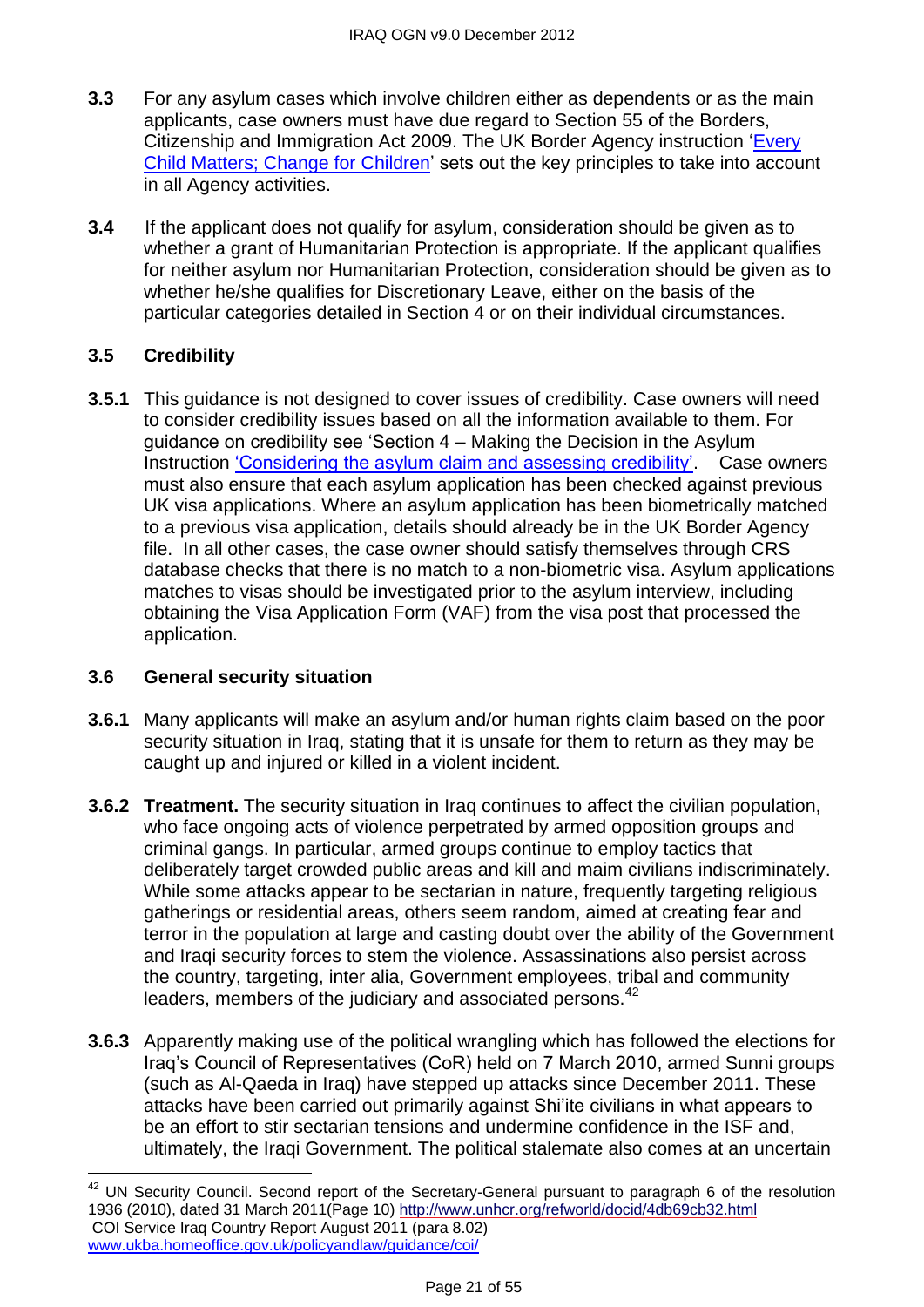- **3.3** For any asylum cases which involve children either as dependents or as the main applicants, case owners must have due regard to Section 55 of the Borders, Citizenship and Immigration Act 2009. The UK Border Agency instruction 'Every [Child Matters; Change for Children'](http://www.ukba.homeoffice.gov.uk/sitecontent/documents/policyandlaw/legislation/bci-act1/change-for-children.pdf?view=Binary) sets out the key principles to take into account in all Agency activities.
- **3.4** If the applicant does not qualify for asylum, consideration should be given as to whether a grant of Humanitarian Protection is appropriate. If the applicant qualifies for neither asylum nor Humanitarian Protection, consideration should be given as to whether he/she qualifies for Discretionary Leave, either on the basis of the particular categories detailed in Section 4 or on their individual circumstances.

# **3.5 Credibility**

 $\overline{a}$ 

**3.5.1** This guidance is not designed to cover issues of credibility. Case owners will need to consider credibility issues based on all the information available to them. For guidance on credibility see 'Section  $4 -$  Making the Decision in the Asylum Instruction 'Considering the asylum claim and assessing credibility'. Case owners must also ensure that each asylum application has been checked against previous UK visa applications. Where an asylum application has been biometrically matched to a previous visa application, details should already be in the UK Border Agency file. In all other cases, the case owner should satisfy themselves through CRS database checks that there is no match to a non-biometric visa. Asylum applications matches to visas should be investigated prior to the asylum interview, including obtaining the Visa Application Form (VAF) from the visa post that processed the application.

# <span id="page-20-0"></span>**3.6 General security situation**

- **3.6.1** Many applicants will make an asylum and/or human rights claim based on the poor security situation in Iraq, stating that it is unsafe for them to return as they may be caught up and injured or killed in a violent incident.
- **3.6.2 Treatment.** The security situation in Iraq continues to affect the civilian population, who face ongoing acts of violence perpetrated by armed opposition groups and criminal gangs. In particular, armed groups continue to employ tactics that deliberately target crowded public areas and kill and maim civilians indiscriminately. While some attacks appear to be sectarian in nature, frequently targeting religious gatherings or residential areas, others seem random, aimed at creating fear and terror in the population at large and casting doubt over the ability of the Government and Iraqi security forces to stem the violence. Assassinations also persist across the country, targeting, inter alia, Government employees, tribal and community leaders, members of the judiciary and associated persons.<sup>42</sup>
- **3.6.3** Apparently making use of the political wrangling which has followed the elections for Iraq's Council of Representatives (CoR) held on 7 March 2010, armed Sunni groups (such as Al-Qaeda in Iraq) have stepped up attacks since December 2011. These attacks have been carried out primarily against Shi'ite civilians in what appears to be an effort to stir sectarian tensions and undermine confidence in the ISF and, ultimately, the Iraqi Government. The political stalemate also comes at an uncertain

 $42$  UN Security Council. Second report of the Secretary-General pursuant to paragraph 6 of the resolution 1936 (2010), dated 31 March 2011(Page 10)<http://www.unhcr.org/refworld/docid/4db69cb32.html> COI Service Iraq Country Report August 2011 (para 8.02) [www.ukba.homeoffice.gov.uk/policyandlaw/guidance/coi/](http://www.ukba.homeoffice.gov.uk/policyandlaw/guidance/coi/)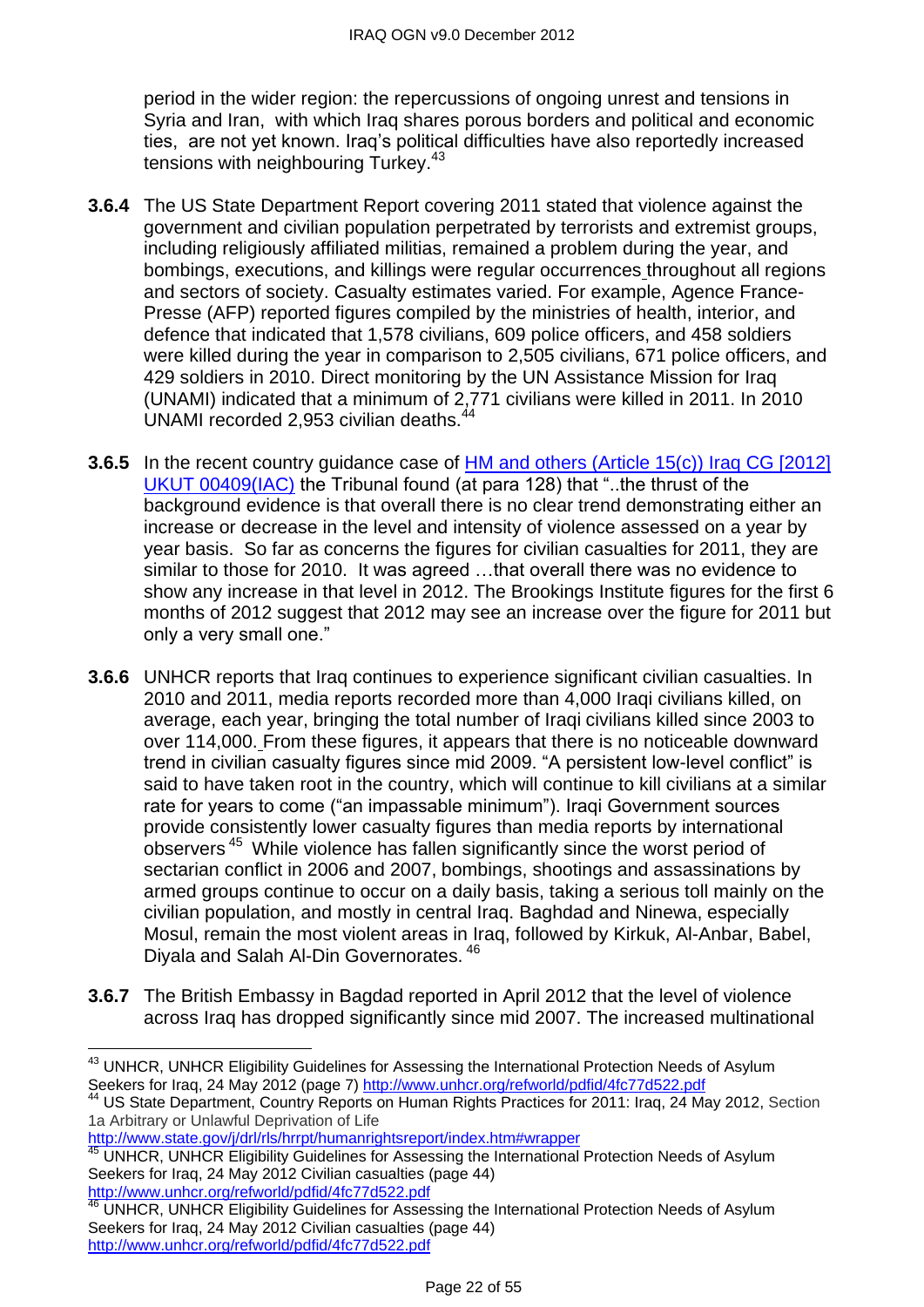period in the wider region: the repercussions of ongoing unrest and tensions in Syria and Iran, with which Iraq shares porous borders and political and economic ties, are not yet known. Iraq's political difficulties have also reportedly increased tensions with neighbouring Turkey.<sup>43</sup>

- **3.6.4** The US State Department Report covering 2011 stated that violence against the government and civilian population perpetrated by terrorists and extremist groups, including religiously affiliated militias, remained a problem during the year, and bombings, executions, and killings were regular occurrences throughout all regions and sectors of society. Casualty estimates varied. For example, Agence France-Presse (AFP) reported figures compiled by the ministries of health, interior, and defence that indicated that 1,578 civilians, 609 police officers, and 458 soldiers were killed during the year in comparison to 2,505 civilians, 671 police officers, and 429 soldiers in 2010. Direct monitoring by the UN Assistance Mission for Iraq (UNAMI) indicated that a minimum of 2,771 civilians were killed in 2011. In 2010 UNAMI recorded 2,953 civilian deaths.<sup>44</sup>
- **3.6.5** In the recent country guidance case of HM and others (Article 15(c)) Iraq CG [2012] [UKUT 00409\(IAC\)](http://www.bailii.org/uk/cases/UKUT/IAC/2012/00409_ukut_iac_2012_hm_ors_iraq_cg.html) the Tribunal found (at para 128) that ", the thrust of the background evidence is that overall there is no clear trend demonstrating either an increase or decrease in the level and intensity of violence assessed on a year by year basis. So far as concerns the figures for civilian casualties for 2011, they are similar to those for 2010. It was agreed …that overall there was no evidence to show any increase in that level in 2012. The Brookings Institute figures for the first 6 months of 2012 suggest that 2012 may see an increase over the figure for 2011 but only a very small one."
- **3.6.6** UNHCR reports that Iraq continues to experience significant civilian casualties. In 2010 and 2011, media reports recorded more than 4,000 Iraqi civilians killed, on average, each year, bringing the total number of Iraqi civilians killed since 2003 to over 114,000. From these figures, it appears that there is no noticeable downward trend in civilian casualty figures since mid 2009. "A persistent low-level conflict" is said to have taken root in the country, which will continue to kill civilians at a similar rate for years to come ("an impassable minimum"). Iraqi Government sources provide consistently lower casualty figures than media reports by international observers<sup>45</sup> While violence has fallen significantly since the worst period of sectarian conflict in 2006 and 2007, bombings, shootings and assassinations by armed groups continue to occur on a daily basis, taking a serious toll mainly on the civilian population, and mostly in central Iraq. Baghdad and Ninewa, especially Mosul, remain the most violent areas in Iraq, followed by Kirkuk, Al-Anbar, Babel, Diyala and Salah Al-Din Governorates. <sup>46</sup>
- **3.6.7** The British Embassy in Bagdad reported in April 2012 that the level of violence across Iraq has dropped significantly since mid 2007. The increased multinational

<http://www.state.gov/j/drl/rls/hrrpt/humanrightsreport/index.htm#wrapper>

 $\overline{\phantom{a}}$ <sup>43</sup> UNHCR, UNHCR Eligibility Guidelines for Assessing the International Protection Needs of Asylum Seekers for Iraq, 24 May 2012 (page 7)<http://www.unhcr.org/refworld/pdfid/4fc77d522.pdf>

US State Department, Country Reports on Human Rights Practices for 2011: Iraq, 24 May 2012, Section 1a Arbitrary or Unlawful Deprivation of Life

<sup>45</sup> UNHCR, UNHCR Eligibility Guidelines for Assessing the International Protection Needs of Asylum Seekers for Iraq, 24 May 2012 Civilian casualties (page 44) <http://www.unhcr.org/refworld/pdfid/4fc77d522.pdf>

<sup>46</sup> UNHCR, UNHCR Eligibility Guidelines for Assessing the International Protection Needs of Asylum Seekers for Iraq, 24 May 2012 Civilian casualties (page 44) <http://www.unhcr.org/refworld/pdfid/4fc77d522.pdf>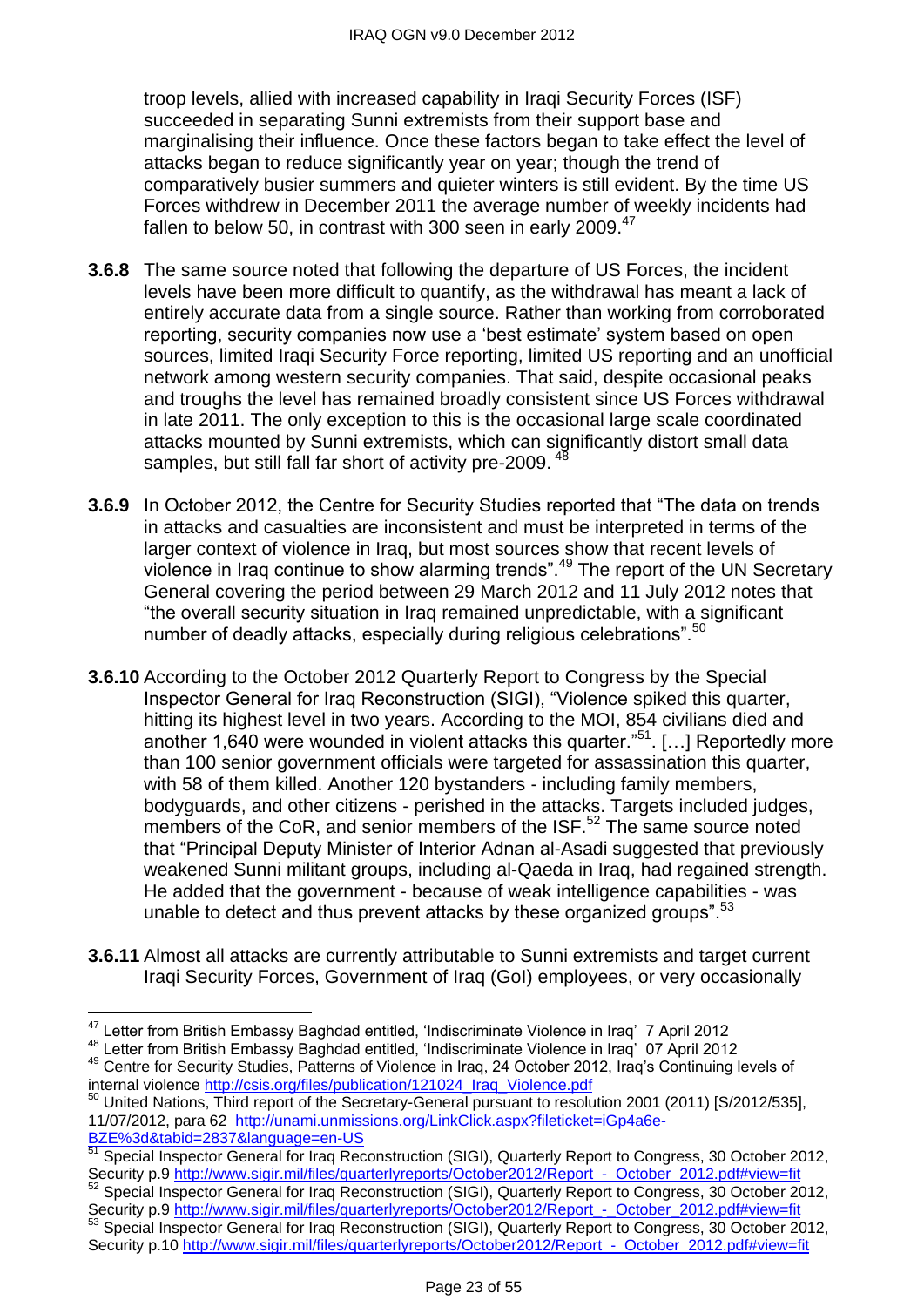troop levels, allied with increased capability in Iraqi Security Forces (ISF) succeeded in separating Sunni extremists from their support base and marginalising their influence. Once these factors began to take effect the level of attacks began to reduce significantly year on year; though the trend of comparatively busier summers and quieter winters is still evident. By the time US Forces withdrew in December 2011 the average number of weekly incidents had fallen to below 50, in contrast with 300 seen in early  $2009.<sup>47</sup>$ 

- **3.6.8** The same source noted that following the departure of US Forces, the incident levels have been more difficult to quantify, as the withdrawal has meant a lack of entirely accurate data from a single source. Rather than working from corroborated reporting, security companies now use a 'best estimate' system based on open sources, limited Iraqi Security Force reporting, limited US reporting and an unofficial network among western security companies. That said, despite occasional peaks and troughs the level has remained broadly consistent since US Forces withdrawal in late 2011. The only exception to this is the occasional large scale coordinated attacks mounted by Sunni extremists, which can significantly distort small data samples, but still fall far short of activity pre-2009.<sup>48</sup>
- **3.6.9** In October 2012, the Centre for Security Studies reported that "The data on trends in attacks and casualties are inconsistent and must be interpreted in terms of the larger context of violence in Iraq, but most sources show that recent levels of violence in Iraq continue to show alarming trends<sup>".49</sup> The report of the UN Secretary General covering the period between 29 March 2012 and 11 July 2012 notes that ―the overall security situation in Iraq remained unpredictable, with a significant number of deadly attacks, especially during religious celebrations".<sup>50</sup>
- **3.6.10** According to the October 2012 Quarterly Report to Congress by the Special Inspector General for Iraq Reconstruction (SIGI), "Violence spiked this quarter, hitting its highest level in two years. According to the MOI, 854 civilians died and another 1,640 were wounded in violent attacks this quarter."<sup>51</sup>. [...] Reportedly more than 100 senior government officials were targeted for assassination this quarter, with 58 of them killed. Another 120 bystanders - including family members, bodyguards, and other citizens - perished in the attacks. Targets included judges, members of the CoR, and senior members of the ISF.<sup>52</sup> The same source noted that "Principal Deputy Minister of Interior Adnan al-Asadi suggested that previously weakened Sunni militant groups, including al-Qaeda in Iraq, had regained strength. He added that the government - because of weak intelligence capabilities - was unable to detect and thus prevent attacks by these organized groups".<sup>53</sup>
- **3.6.11** Almost all attacks are currently attributable to Sunni extremists and target current Iraqi Security Forces, Government of Iraq (GoI) employees, or very occasionally

 $\overline{a}$ 

<sup>48</sup> Letter from British Embassy Baghdad entitled, 'Indiscriminate Violence in Iraq' 07 April 2012

 $47$  Letter from British Embassy Baghdad entitled, 'Indiscriminate Violence in Iraq' 7 April 2012

<sup>&</sup>lt;sup>49</sup> Centre for Security Studies, Patterns of Violence in Iraq, 24 October 2012, Iraq's Continuing levels of internal violenc[e http://csis.org/files/publication/121024\\_Iraq\\_Violence.pdf](http://csis.org/files/publication/121024_Iraq_Violence.pdf)

<sup>&</sup>lt;sup>50</sup> United Nations, Third report of the Secretary-General pursuant to resolution 2001 (2011) [S/2012/535], 11/07/2012, para 62 [http://unami.unmissions.org/LinkClick.aspx?fileticket=iGp4a6e-](http://unami.unmissions.org/LinkClick.aspx?fileticket=iGp4a6e-BZE%3d&tabid=2837&language=en-US)[BZE%3d&tabid=2837&language=en-US](http://unami.unmissions.org/LinkClick.aspx?fileticket=iGp4a6e-BZE%3d&tabid=2837&language=en-US)

Special Inspector General for Iraq Reconstruction (SIGI), Quarterly Report to Congress, 30 October 2012, Security p.9 http://www.sigir.mil/files/quarterlyreports/October2012/Report - October\_2012.pdf#view=fit

<sup>52</sup> Special Inspector General for Iraq Reconstruction (SIGI), Quarterly Report to Congress, 30 October 2012, Security p.9 [http://www.sigir.mil/files/quarterlyreports/October2012/Report\\_-\\_October\\_2012.pdf#view=fit](http://www.sigir.mil/files/quarterlyreports/October2012/Report_-_October_2012.pdf#view=fit)

<sup>53</sup> Special Inspector General for Iraq Reconstruction (SIGI), Quarterly Report to Congress, 30 October 2012, Security p.10 http://www.sigir.mil/files/quarterlyreports/October2012/Report - October 2012.pdf#view=fit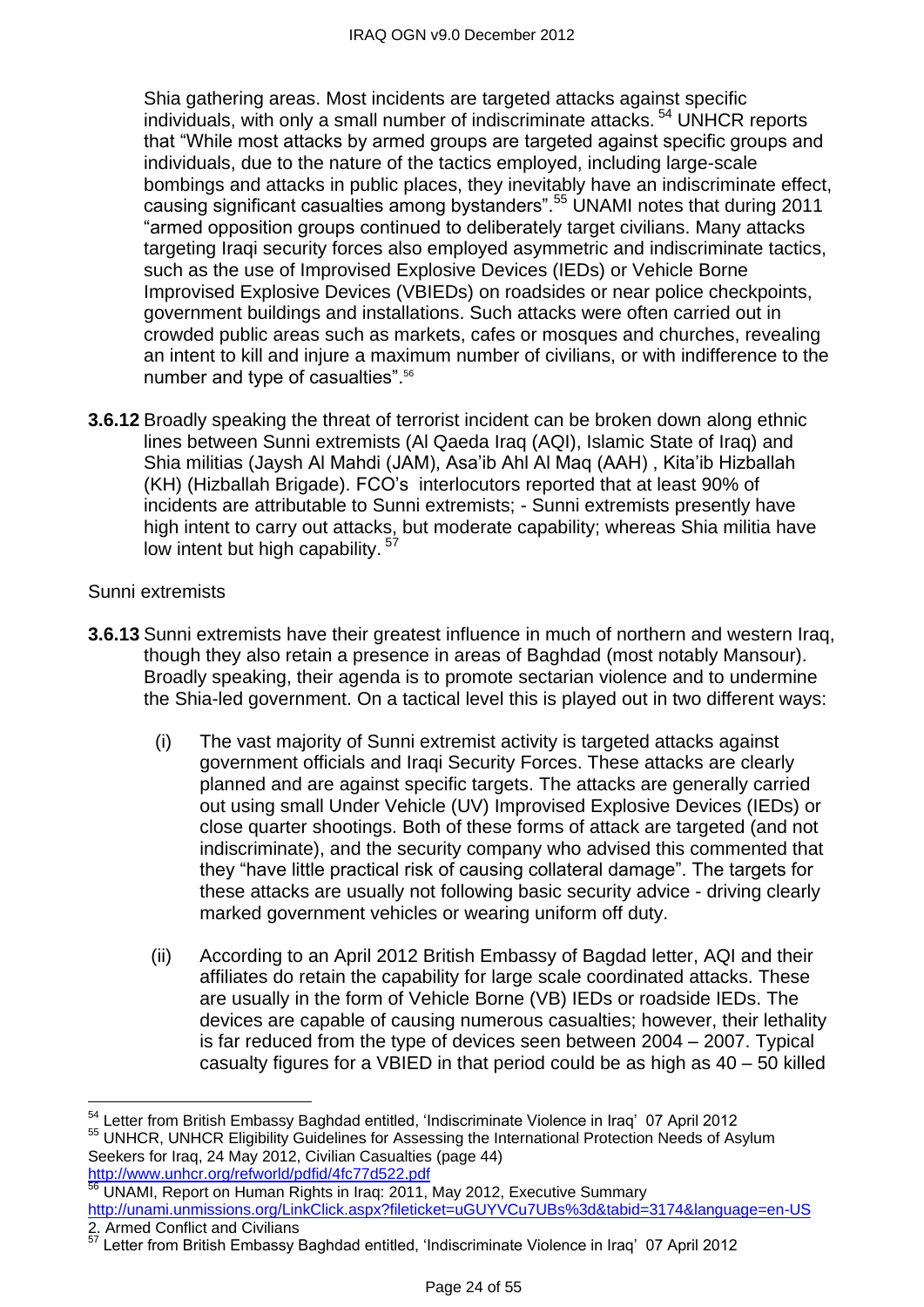Shia gathering areas. Most incidents are targeted attacks against specific individuals, with only a small number of indiscriminate attacks.<sup>54</sup> UNHCR reports that "While most attacks by armed groups are targeted against specific groups and individuals, due to the nature of the tactics employed, including large-scale bombings and attacks in public places, they inevitably have an indiscriminate effect, causing significant casualties among bystanders".<sup>55</sup> UNAMI notes that during 2011 "armed opposition groups continued to deliberately target civilians. Many attacks targeting Iraqi security forces also employed asymmetric and indiscriminate tactics, such as the use of Improvised Explosive Devices (IEDs) or Vehicle Borne Improvised Explosive Devices (VBIEDs) on roadsides or near police checkpoints, government buildings and installations. Such attacks were often carried out in crowded public areas such as markets, cafes or mosques and churches, revealing an intent to kill and injure a maximum number of civilians, or with indifference to the number and type of casualties".<sup>56</sup>

**3.6.12** Broadly speaking the threat of terrorist incident can be broken down along ethnic lines between Sunni extremists (Al Qaeda Iraq (AQI), Islamic State of Iraq) and Shia militias (Jaysh Al Mahdi (JAM), Asa'ib Ahl Al Maq (AAH) , Kita'ib Hizballah (KH) (Hizballah Brigade). FCO's interlocutors reported that at least 90% of incidents are attributable to Sunni extremists; - Sunni extremists presently have high intent to carry out attacks, but moderate capability; whereas Shia militia have low intent but high capability.<sup>57</sup>

#### Sunni extremists

- **3.6.13** Sunni extremists have their greatest influence in much of northern and western Iraq, though they also retain a presence in areas of Baghdad (most notably Mansour). Broadly speaking, their agenda is to promote sectarian violence and to undermine the Shia-led government. On a tactical level this is played out in two different ways:
	- (i) The vast majority of Sunni extremist activity is targeted attacks against government officials and Iraqi Security Forces. These attacks are clearly planned and are against specific targets. The attacks are generally carried out using small Under Vehicle (UV) Improvised Explosive Devices (IEDs) or close quarter shootings. Both of these forms of attack are targeted (and not indiscriminate), and the security company who advised this commented that they "have little practical risk of causing collateral damage". The targets for these attacks are usually not following basic security advice - driving clearly marked government vehicles or wearing uniform off duty.
	- (ii) According to an April 2012 British Embassy of Bagdad letter, AQI and their affiliates do retain the capability for large scale coordinated attacks. These are usually in the form of Vehicle Borne (VB) IEDs or roadside IEDs. The devices are capable of causing numerous casualties; however, their lethality is far reduced from the type of devices seen between 2004 – 2007. Typical casualty figures for a VBIED in that period could be as high as 40 – 50 killed

 $\overline{a}$ <sup>54</sup> Letter from British Embassy Baghdad entitled, 'Indiscriminate Violence in Iraq' 07 April 2012 <sup>55</sup> UNHCR, UNHCR Eligibility Guidelines for Assessing the International Protection Needs of Asylum Seekers for Iraq, 24 May 2012, Civilian Casualties (page 44) <http://www.unhcr.org/refworld/pdfid/4fc77d522.pdf>

UNAMI, Report on Human Rights in Iraq: 2011, May 2012, Executive Summary <http://unami.unmissions.org/LinkClick.aspx?fileticket=uGUYVCu7UBs%3d&tabid=3174&language=en-US> 2. Armed Conflict and Civilians

 $57$  Letter from British Embassy Baghdad entitled, 'Indiscriminate Violence in Iraq' 07 April 2012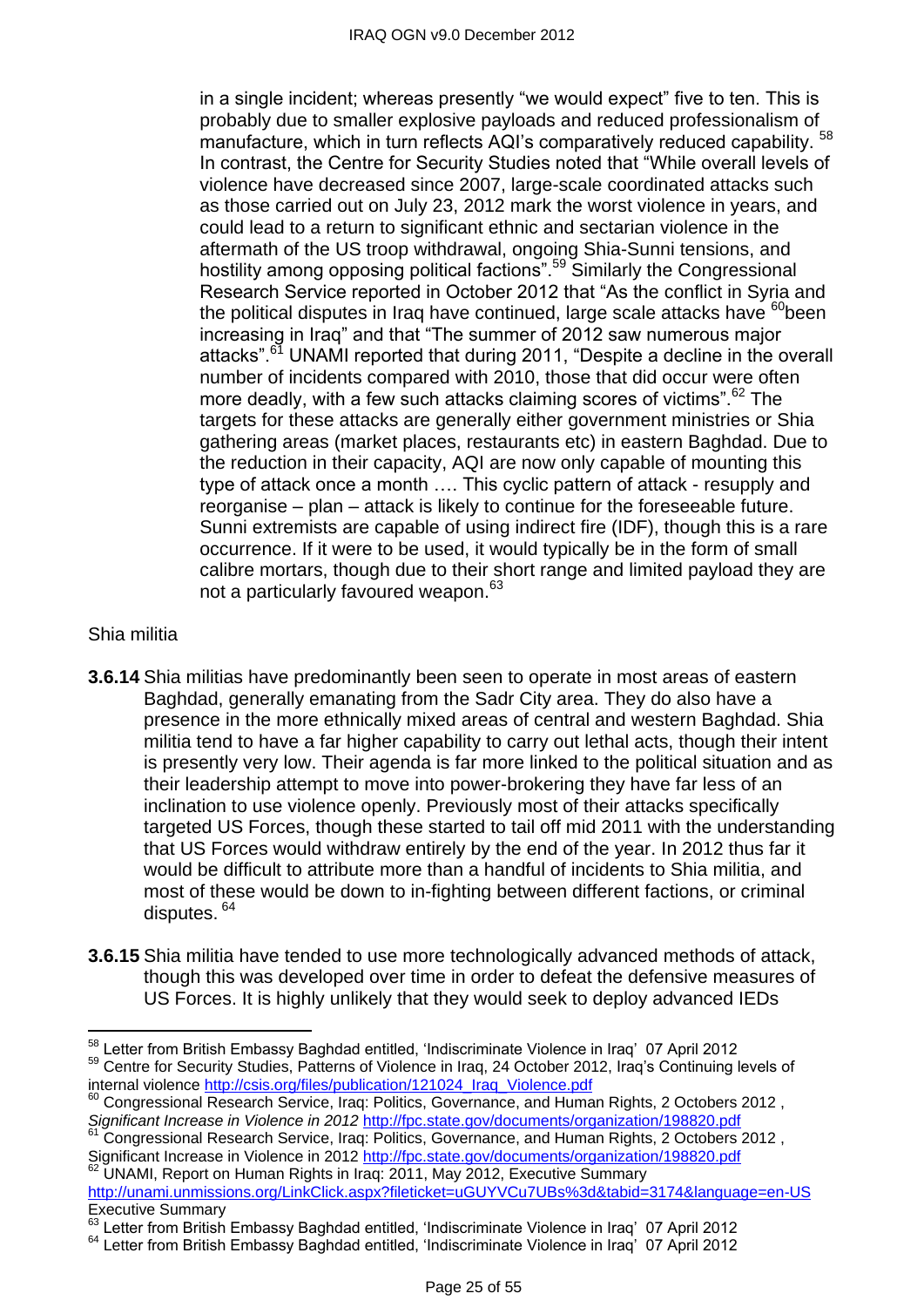in a single incident; whereas presently "we would expect" five to ten. This is probably due to smaller explosive payloads and reduced professionalism of manufacture, which in turn reflects AQI's comparatively reduced capability. <sup>58</sup> In contrast, the Centre for Security Studies noted that "While overall levels of violence have decreased since 2007, large-scale coordinated attacks such as those carried out on July 23, 2012 mark the worst violence in years, and could lead to a return to significant ethnic and sectarian violence in the aftermath of the US troop withdrawal, ongoing Shia-Sunni tensions, and hostility among opposing political factions".<sup>59</sup> Similarly the Congressional Research Service reported in October 2012 that "As the conflict in Syria and the political disputes in Iraq have continued, large scale attacks have  ${}^{60}$ been increasing in Iraq" and that "The summer of 2012 saw numerous major attacks".<sup>61</sup> UNAMI reported that during 2011, "Despite a decline in the overall number of incidents compared with 2010, those that did occur were often more deadly, with a few such attacks claiming scores of victims".  $62$  The targets for these attacks are generally either government ministries or Shia gathering areas (market places, restaurants etc) in eastern Baghdad. Due to the reduction in their capacity, AQI are now only capable of mounting this type of attack once a month …. This cyclic pattern of attack - resupply and reorganise – plan – attack is likely to continue for the foreseeable future. Sunni extremists are capable of using indirect fire (IDF), though this is a rare occurrence. If it were to be used, it would typically be in the form of small calibre mortars, though due to their short range and limited payload they are not a particularly favoured weapon.<sup>63</sup>

#### Shia militia

- **3.6.14** Shia militias have predominantly been seen to operate in most areas of eastern Baghdad, generally emanating from the Sadr City area. They do also have a presence in the more ethnically mixed areas of central and western Baghdad. Shia militia tend to have a far higher capability to carry out lethal acts, though their intent is presently very low. Their agenda is far more linked to the political situation and as their leadership attempt to move into power-brokering they have far less of an inclination to use violence openly. Previously most of their attacks specifically targeted US Forces, though these started to tail off mid 2011 with the understanding that US Forces would withdraw entirely by the end of the year. In 2012 thus far it would be difficult to attribute more than a handful of incidents to Shia militia, and most of these would be down to in-fighting between different factions, or criminal disputes. <sup>64</sup>
- **3.6.15** Shia militia have tended to use more technologically advanced methods of attack, though this was developed over time in order to defeat the defensive measures of US Forces. It is highly unlikely that they would seek to deploy advanced IEDs

 $\overline{a}$ <sup>58</sup> Letter from British Embassy Baghdad entitled, 'Indiscriminate Violence in Iraq' 07 April 2012

<sup>&</sup>lt;sup>59</sup> Centre for Security Studies, Patterns of Violence in Iraq, 24 October 2012, Iraq's Continuing levels of internal violence [http://csis.org/files/publication/121024\\_Iraq\\_Violence.pdf](http://csis.org/files/publication/121024_Iraq_Violence.pdf)

 $\frac{60}{100}$  Congressional Research Service, Iraq: Politics, Governance, and Human Rights, 2 Octobers 2012, *Significant Increase in Violence in 2012* <http://fpc.state.gov/documents/organization/198820.pdf>

<sup>&</sup>lt;sup>61</sup> Congressional Research Service, Iraq: Politics, Governance, and Human Rights, 2 Octobers 2012, Significant Increase in Violence in 2012<http://fpc.state.gov/documents/organization/198820.pdf> <sup>62</sup> UNAMI, Report on Human Rights in Iraq: 2011, May 2012, Executive Summary

<http://unami.unmissions.org/LinkClick.aspx?fileticket=uGUYVCu7UBs%3d&tabid=3174&language=en-US> Executive Summary

<sup>&</sup>lt;sup>63</sup> Letter from British Embassy Baghdad entitled, 'Indiscriminate Violence in Iraq' 07 April 2012

<sup>&</sup>lt;sup>64</sup> Letter from British Embassy Baghdad entitled, 'Indiscriminate Violence in Iraq' 07 April 2012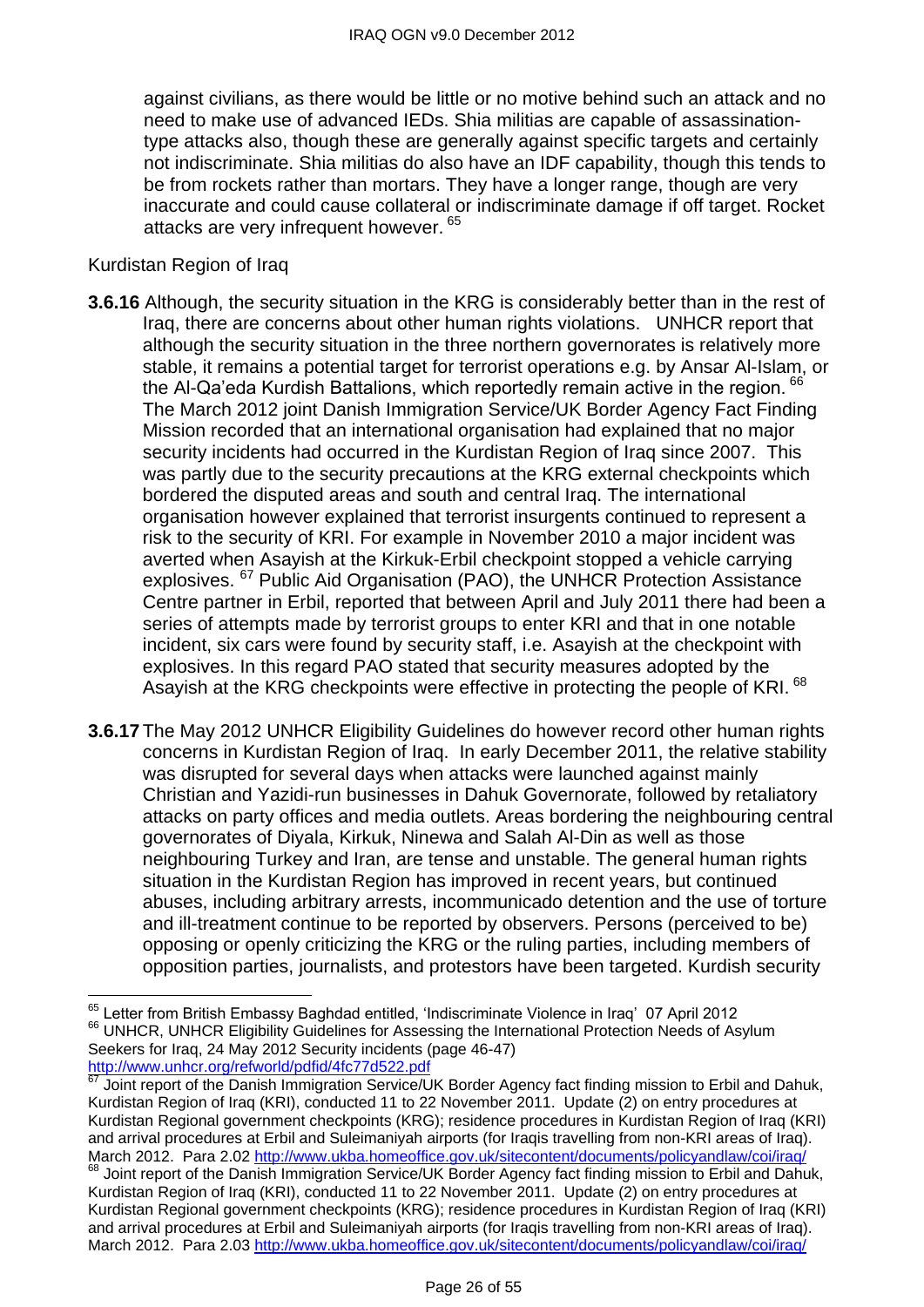against civilians, as there would be little or no motive behind such an attack and no need to make use of advanced IEDs. Shia militias are capable of assassinationtype attacks also, though these are generally against specific targets and certainly not indiscriminate. Shia militias do also have an IDF capability, though this tends to be from rockets rather than mortars. They have a longer range, though are very inaccurate and could cause collateral or indiscriminate damage if off target. Rocket attacks are very infrequent however. 65

#### Kurdistan Region of Iraq

- **3.6.16** Although, the security situation in the KRG is considerably better than in the rest of Iraq, there are concerns about other human rights violations. UNHCR report that although the security situation in the three northern governorates is relatively more stable, it remains a potential target for terrorist operations e.g. by Ansar Al-Islam, or the Al-Qa'eda Kurdish Battalions, which reportedly remain active in the region. <sup>66</sup> The March 2012 joint Danish Immigration Service/UK Border Agency Fact Finding Mission recorded that an international organisation had explained that no major security incidents had occurred in the Kurdistan Region of Iraq since 2007. This was partly due to the security precautions at the KRG external checkpoints which bordered the disputed areas and south and central Iraq. The international organisation however explained that terrorist insurgents continued to represent a risk to the security of KRI. For example in November 2010 a major incident was averted when Asayish at the Kirkuk-Erbil checkpoint stopped a vehicle carrying explosives. <sup>67</sup> Public Aid Organisation (PAO), the UNHCR Protection Assistance Centre partner in Erbil, reported that between April and July 2011 there had been a series of attempts made by terrorist groups to enter KRI and that in one notable incident, six cars were found by security staff, i.e. Asayish at the checkpoint with explosives. In this regard PAO stated that security measures adopted by the Asayish at the KRG checkpoints were effective in protecting the people of KRI. 68
- **3.6.17** The May 2012 UNHCR Eligibility Guidelines do however record other human rights concerns in Kurdistan Region of Iraq. In early December 2011, the relative stability was disrupted for several days when attacks were launched against mainly Christian and Yazidi-run businesses in Dahuk Governorate, followed by retaliatory attacks on party offices and media outlets. Areas bordering the neighbouring central governorates of Diyala, Kirkuk, Ninewa and Salah Al-Din as well as those neighbouring Turkey and Iran, are tense and unstable. The general human rights situation in the Kurdistan Region has improved in recent years, but continued abuses, including arbitrary arrests, incommunicado detention and the use of torture and ill-treatment continue to be reported by observers. Persons (perceived to be) opposing or openly criticizing the KRG or the ruling parties, including members of opposition parties, journalists, and protestors have been targeted. Kurdish security

 $\overline{\phantom{a}}$ <sup>65</sup> Letter from British Embassy Baghdad entitled, 'Indiscriminate Violence in Iraq' 07 April 2012 <sup>66</sup> UNHCR, UNHCR Eligibility Guidelines for Assessing the International Protection Needs of Asylum Seekers for Iraq, 24 May 2012 Security incidents (page 46-47) <http://www.unhcr.org/refworld/pdfid/4fc77d522.pdf>

Joint report of the Danish Immigration Service/UK Border Agency fact finding mission to Erbil and Dahuk, Kurdistan Region of Iraq (KRI), conducted 11 to 22 November 2011. Update (2) on entry procedures at Kurdistan Regional government checkpoints (KRG); residence procedures in Kurdistan Region of Iraq (KRI) and arrival procedures at Erbil and Suleimaniyah airports (for Iraqis travelling from non-KRI areas of Iraq). March 2012. Para 2.02<http://www.ukba.homeoffice.gov.uk/sitecontent/documents/policyandlaw/coi/iraq/> <sup>68</sup> Joint report of the Danish Immigration Service/UK Border Agency fact finding mission to Erbil and Dahuk, Kurdistan Region of Iraq (KRI), conducted 11 to 22 November 2011. Update (2) on entry procedures at Kurdistan Regional government checkpoints (KRG); residence procedures in Kurdistan Region of Iraq (KRI) and arrival procedures at Erbil and Suleimaniyah airports (for Iraqis travelling from non-KRI areas of Iraq). March 2012. Para 2.03<http://www.ukba.homeoffice.gov.uk/sitecontent/documents/policyandlaw/coi/iraq/>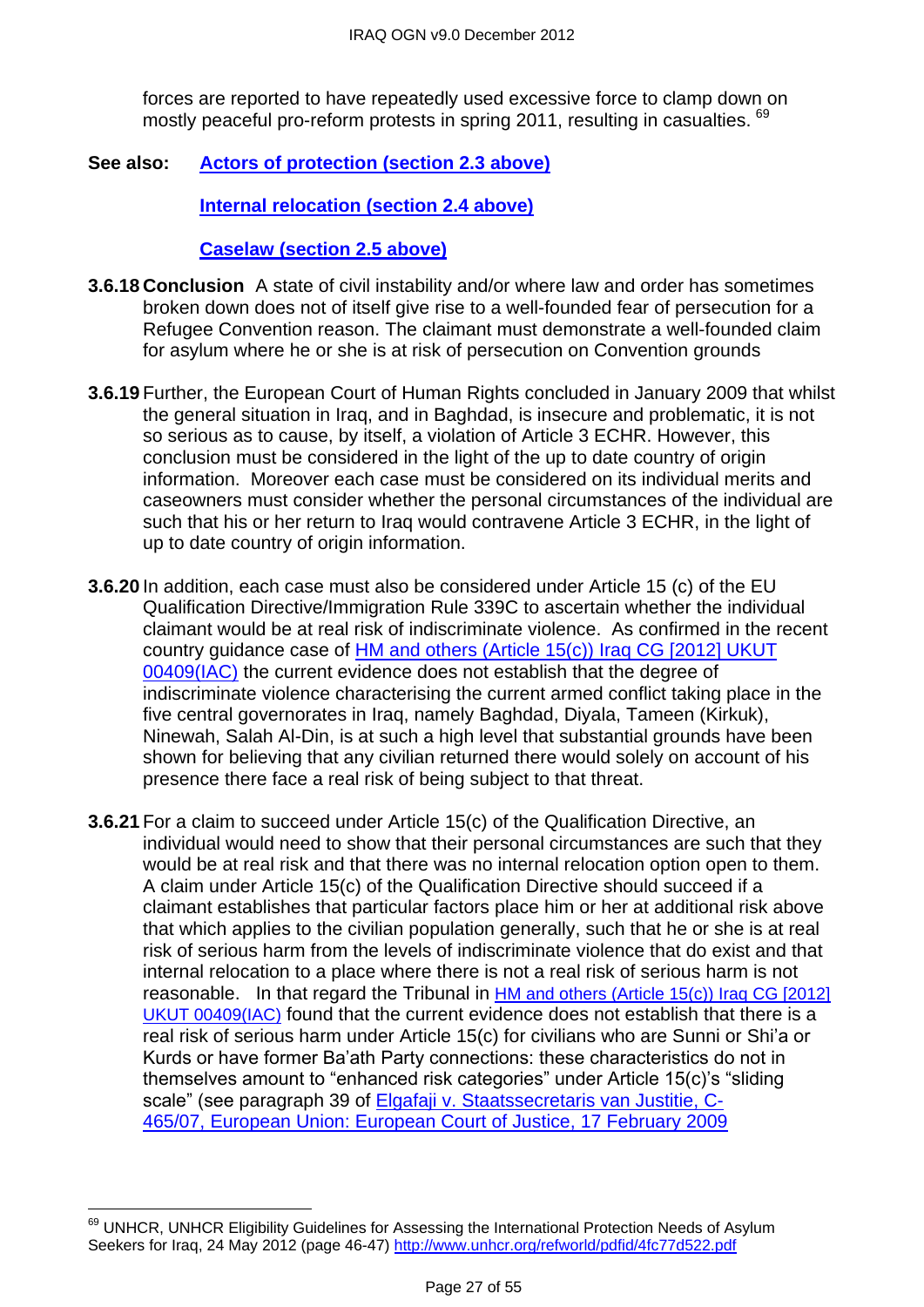forces are reported to have repeatedly used excessive force to clamp down on mostly peaceful pro-reform protests in spring 2011, resulting in casualties. <sup>69</sup>

**See also: [Actors of protection \(section 2.3 above\)](#page-1-1)**

**[Internal relocation \(section 2.4 above\)](#page-5-0)**

**[Caselaw \(section 2.5 above\)](#page-10-0)**

- **3.6.18 Conclusion** A state of civil instability and/or where law and order has sometimes broken down does not of itself give rise to a well-founded fear of persecution for a Refugee Convention reason. The claimant must demonstrate a well-founded claim for asylum where he or she is at risk of persecution on Convention grounds
- **3.6.19** Further, the European Court of Human Rights concluded in January 2009 that whilst the general situation in Iraq, and in Baghdad, is insecure and problematic, it is not so serious as to cause, by itself, a violation of Article 3 ECHR. However, this conclusion must be considered in the light of the up to date country of origin information. Moreover each case must be considered on its individual merits and caseowners must consider whether the personal circumstances of the individual are such that his or her return to Iraq would contravene Article 3 ECHR, in the light of up to date country of origin information.
- **3.6.20** In addition, each case must also be considered under Article 15 (c) of the EU Qualification Directive/Immigration Rule 339C to ascertain whether the individual claimant would be at real risk of indiscriminate violence. As confirmed in the recent country guidance case of [HM and others \(Article 15\(c\)\) Iraq CG \[2012\] UKUT](http://www.bailii.org/uk/cases/UKUT/IAC/2012/00409_ukut_iac_2012_hm_ors_iraq_cg.html)  [00409\(IAC\)](http://www.bailii.org/uk/cases/UKUT/IAC/2012/00409_ukut_iac_2012_hm_ors_iraq_cg.html) the current evidence does not establish that the degree of indiscriminate violence characterising the current armed conflict taking place in the five central governorates in Iraq, namely Baghdad, Diyala, Tameen (Kirkuk), Ninewah, Salah Al-Din, is at such a high level that substantial grounds have been shown for believing that any civilian returned there would solely on account of his presence there face a real risk of being subject to that threat.
- **3.6.21** For a claim to succeed under Article 15(c) of the Qualification Directive, an individual would need to show that their personal circumstances are such that they would be at real risk and that there was no internal relocation option open to them. A claim under Article 15(c) of the Qualification Directive should succeed if a claimant establishes that particular factors place him or her at additional risk above that which applies to the civilian population generally, such that he or she is at real risk of serious harm from the levels of indiscriminate violence that do exist and that internal relocation to a place where there is not a real risk of serious harm is not reasonable. In that regard the Tribunal in [HM and others \(Article 15\(c\)\) Iraq CG \[2012\]](http://www.bailii.org/uk/cases/UKUT/IAC/2012/00409_ukut_iac_2012_hm_ors_iraq_cg.html)  [UKUT 00409\(IAC\)](http://www.bailii.org/uk/cases/UKUT/IAC/2012/00409_ukut_iac_2012_hm_ors_iraq_cg.html) found that the current evidence does not establish that there is a real risk of serious harm under Article 15(c) for civilians who are Sunni or Shi'a or Kurds or have former Ba'ath Party connections: these characteristics do not in themselves amount to "enhanced risk categories" under Article 15(c)'s "sliding scale" (see paragraph 39 of [Elgafaji v. Staatssecretaris van Justitie,](http://www.bailii.org/eu/cases/EUECJ/2009/C46507.html) C-465/07, [European Union: European Court of Justice,](http://www.bailii.org/eu/cases/EUECJ/2009/C46507.html) 17 February 2009

 $\overline{\phantom{a}}$ <sup>69</sup> UNHCR, UNHCR Eligibility Guidelines for Assessing the International Protection Needs of Asylum Seekers for Iraq, 24 May 2012 (page 46-47)<http://www.unhcr.org/refworld/pdfid/4fc77d522.pdf>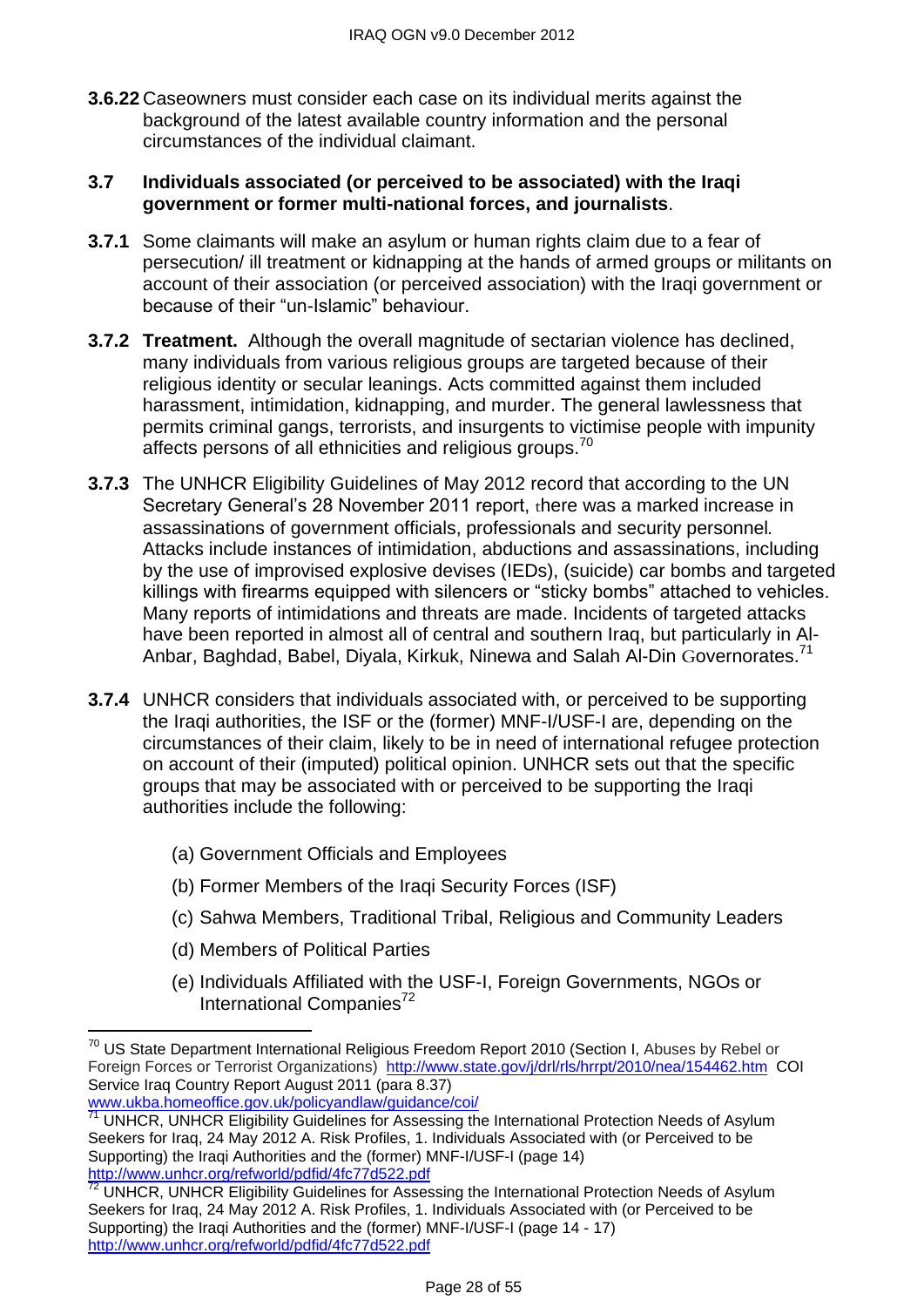**3.6.22** Caseowners must consider each case on its individual merits against the background of the latest available country information and the personal circumstances of the individual claimant.

#### <span id="page-27-0"></span>**3.7 Individuals associated (or perceived to be associated) with the Iraqi government or former multi-national forces, and journalists**.

- **3.7.1** Some claimants will make an asylum or human rights claim due to a fear of persecution/ ill treatment or kidnapping at the hands of armed groups or militants on account of their association (or perceived association) with the Iraqi government or because of their "un-Islamic" behaviour.
- **3.7.2 Treatment.** Although the overall magnitude of sectarian violence has declined, many individuals from various religious groups are targeted because of their religious identity or secular leanings. Acts committed against them included harassment, intimidation, kidnapping, and murder. The general lawlessness that permits criminal gangs, terrorists, and insurgents to victimise people with impunity affects persons of all ethnicities and religious groups.<sup>70</sup>
- **3.7.3** The UNHCR Eligibility Guidelines of May 2012 record that according to the UN Secretary General's 28 November 2011 report, there was a marked increase in assassinations of government officials, professionals and security personnel*.* Attacks include instances of intimidation, abductions and assassinations, including by the use of improvised explosive devises (IEDs), (suicide) car bombs and targeted killings with firearms equipped with silencers or "sticky bombs" attached to vehicles. Many reports of intimidations and threats are made. Incidents of targeted attacks have been reported in almost all of central and southern Iraq, but particularly in Al-Anbar, Baghdad, Babel, Diyala, Kirkuk, Ninewa and Salah Al-Din Governorates.<sup>71</sup>
- **3.7.4** UNHCR considers that individuals associated with, or perceived to be supporting the Iraqi authorities, the ISF or the (former) MNF-I/USF-I are, depending on the circumstances of their claim, likely to be in need of international refugee protection on account of their (imputed) political opinion. UNHCR sets out that the specific groups that may be associated with or perceived to be supporting the Iraqi authorities include the following:
	- (a) Government Officials and Employees
	- (b) Former Members of the Iraqi Security Forces (ISF)
	- (c) Sahwa Members, Traditional Tribal, Religious and Community Leaders
	- (d) Members of Political Parties

 $\overline{a}$ 

(e) Individuals Affiliated with the USF-I, Foreign Governments, NGOs or International Companies $^{72}$ 

 $^{70}$  US State Department International Religious Freedom Report 2010 (Section I, Abuses by Rebel or Foreign Forces or Terrorist Organizations) <http://www.state.gov/j/drl/rls/hrrpt/2010/nea/154462.htm>COI Service Iraq Country Report August 2011 (para 8.37) [www.ukba.homeoffice.gov.uk/policyandlaw/guidance/coi/](http://www.ukba.homeoffice.gov.uk/policyandlaw/guidance/coi/)

<sup>&</sup>lt;sup>71</sup> UNHCR, UNHCR Eligibility Guidelines for Assessing the International Protection Needs of Asylum Seekers for Iraq, 24 May 2012 A. Risk Profiles, 1. Individuals Associated with (or Perceived to be Supporting) the Iraqi Authorities and the (former) MNF-I/USF-I (page 14) <http://www.unhcr.org/refworld/pdfid/4fc77d522.pdf>

<sup>&</sup>lt;sup>72</sup> UNHCR, UNHCR Eligibility Guidelines for Assessing the International Protection Needs of Asylum Seekers for Iraq, 24 May 2012 A. Risk Profiles, 1. Individuals Associated with (or Perceived to be Supporting) the Iraqi Authorities and the (former) MNF-I/USF-I (page 14 - 17) <http://www.unhcr.org/refworld/pdfid/4fc77d522.pdf>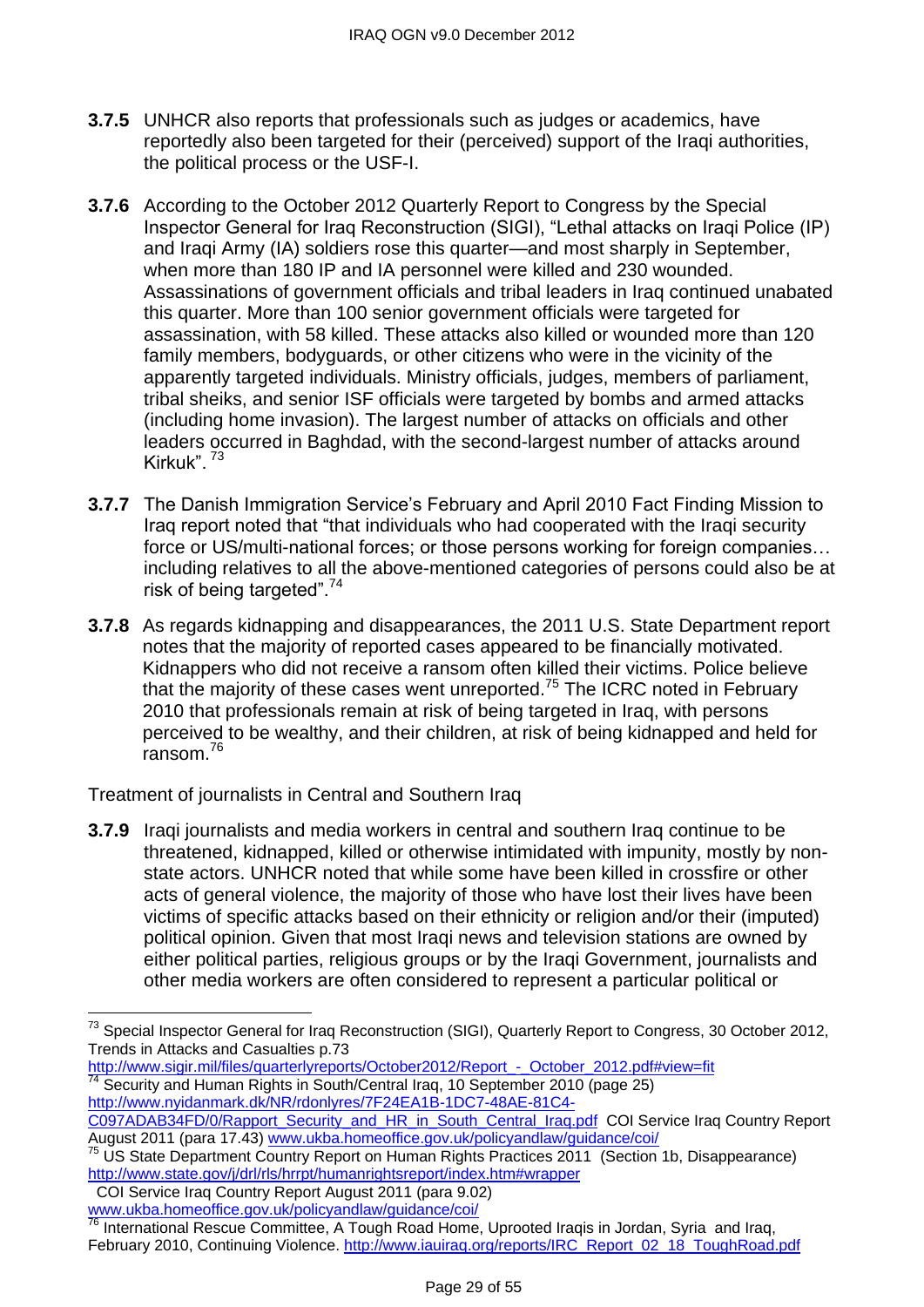- **3.7.5** UNHCR also reports that professionals such as judges or academics, have reportedly also been targeted for their (perceived) support of the Iraqi authorities, the political process or the USF-I.
- **3.7.6** According to the October 2012 Quarterly Report to Congress by the Special Inspector General for Iraq Reconstruction (SIGI), "Lethal attacks on Iraqi Police (IP) and Iraqi Army (IA) soldiers rose this quarter—and most sharply in September, when more than 180 IP and IA personnel were killed and 230 wounded. Assassinations of government officials and tribal leaders in Iraq continued unabated this quarter. More than 100 senior government officials were targeted for assassination, with 58 killed. These attacks also killed or wounded more than 120 family members, bodyguards, or other citizens who were in the vicinity of the apparently targeted individuals. Ministry officials, judges, members of parliament, tribal sheiks, and senior ISF officials were targeted by bombs and armed attacks (including home invasion). The largest number of attacks on officials and other leaders occurred in Baghdad, with the second-largest number of attacks around Kirkuk<sup>"</sup><sup>73</sup>
- **3.7.7** The Danish Immigration Service's February and April 2010 Fact Finding Mission to Irag report noted that "that individuals who had cooperated with the Iraqi security force or US/multi-national forces; or those persons working for foreign companies… including relatives to all the above-mentioned categories of persons could also be at risk of being targeted". $74$
- **3.7.8** As regards kidnapping and disappearances, the 2011 U.S. State Department report notes that the majority of reported cases appeared to be financially motivated. Kidnappers who did not receive a ransom often killed their victims. Police believe that the majority of these cases went unreported.<sup>75</sup> The ICRC noted in February 2010 that professionals remain at risk of being targeted in Iraq, with persons perceived to be wealthy, and their children, at risk of being kidnapped and held for  $r$ ansom  $^{76}$

Treatment of journalists in Central and Southern Iraq

**3.7.9** Iragi journalists and media workers in central and southern Irag continue to be threatened, kidnapped, killed or otherwise intimidated with impunity, mostly by nonstate actors. UNHCR noted that while some have been killed in crossfire or other acts of general violence, the majority of those who have lost their lives have been victims of specific attacks based on their ethnicity or religion and/or their (imputed) political opinion. Given that most Iraqi news and television stations are owned by either political parties, religious groups or by the Iraqi Government, journalists and other media workers are often considered to represent a particular political or

COI Service Iraq Country Report August 2011 (para 9.02) [www.ukba.homeoffice.gov.uk/policyandlaw/guidance/coi/](http://www.ukba.homeoffice.gov.uk/policyandlaw/guidance/coi/)

 $^{73}$  Special Inspector General for Iraq Reconstruction (SIGI), Quarterly Report to Congress, 30 October 2012, Trends in Attacks and Casualties p.73

http://www.sigir.mil/files/quarterlyreports/October2012/Report - October 2012.pdf#view=fit <sup>74</sup> Security and Human Rights in South/Central Iraq, 10 September 2010 (page 25) [http://www.nyidanmark.dk/NR/rdonlyres/7F24EA1B-1DC7-48AE-81C4-](http://www.nyidanmark.dk/NR/rdonlyres/7F24EA1B-1DC7-48AE-81C4-C097ADAB34FD/0/Rapport_Security_and_HR_in_South_Central_Iraq.pdf)

[C097ADAB34FD/0/Rapport\\_Security\\_and\\_HR\\_in\\_South\\_Central\\_Iraq.pdf](http://www.nyidanmark.dk/NR/rdonlyres/7F24EA1B-1DC7-48AE-81C4-C097ADAB34FD/0/Rapport_Security_and_HR_in_South_Central_Iraq.pdf) COI Service Iraq Country Report August 2011 (para 17.43) <u>www.ukba.homeoffice.gov.uk/policyandlaw/guidance/coi</u>/

<sup>&</sup>lt;sup>75</sup> US State Department Country Report on Human Rights Practices 2011 (Section 1b, Disappearance) <http://www.state.gov/j/drl/rls/hrrpt/humanrightsreport/index.htm#wrapper>

<sup>76</sup> International Rescue Committee, A Tough Road Home, Uprooted Iraqis in Jordan, Syria and Iraq, February 2010, Continuing Violence. [http://www.iauiraq.org/reports/IRC\\_Report\\_02\\_18\\_ToughRoad.pdf](http://www.iauiraq.org/reports/IRC_Report_02_18_ToughRoad.pdf)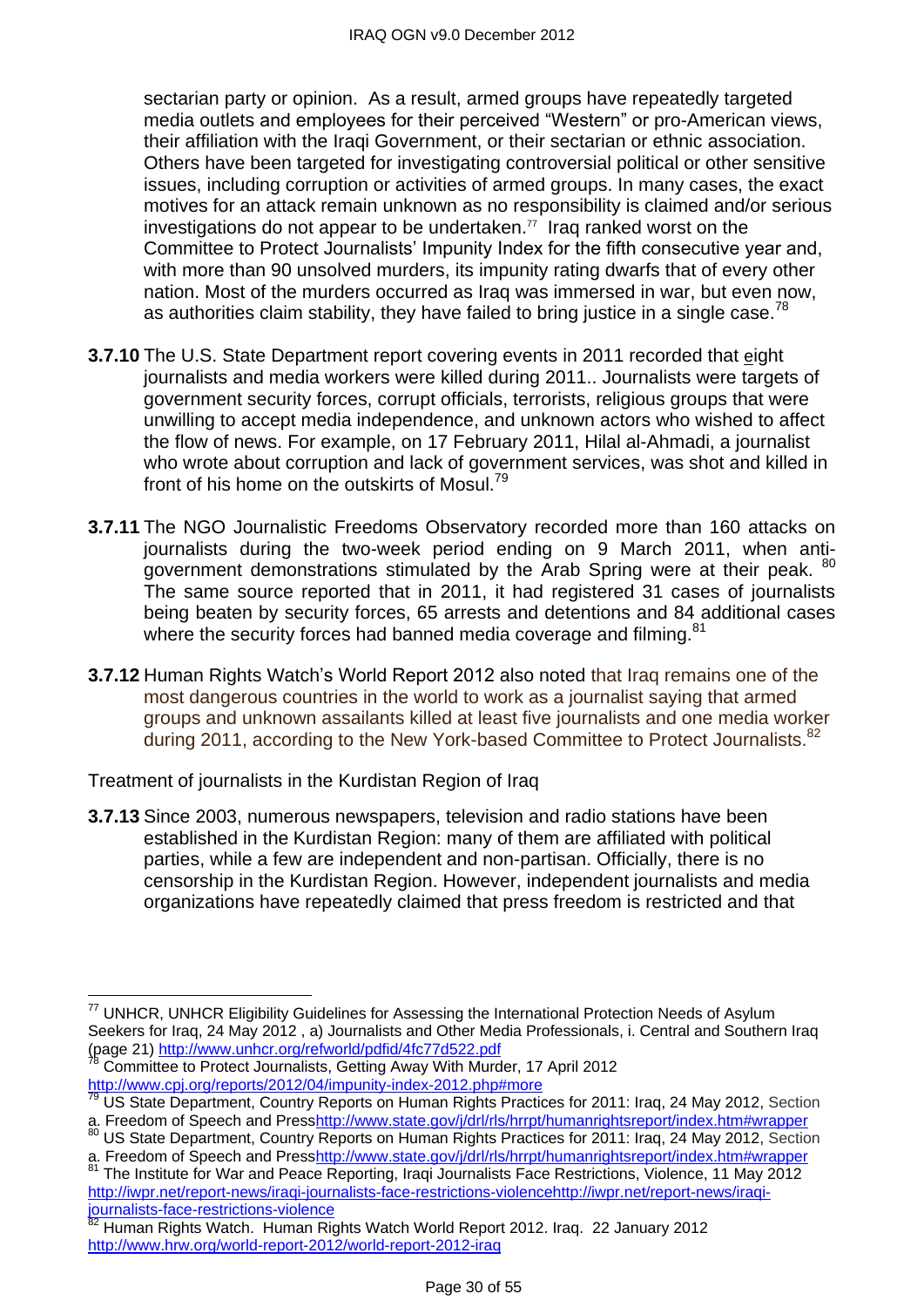sectarian party or opinion. As a result, armed groups have repeatedly targeted media outlets and employees for their perceived "Western" or pro-American views, their affiliation with the Iraqi Government, or their sectarian or ethnic association. Others have been targeted for investigating controversial political or other sensitive issues, including corruption or activities of armed groups. In many cases, the exact motives for an attack remain unknown as no responsibility is claimed and/or serious investigations do not appear to be undertaken. 77 Iraq ranked worst on the Committee to Protect Journalists' Impunity Index for the fifth consecutive year and, with more than 90 unsolved murders, its impunity rating dwarfs that of every other nation. Most of the murders occurred as Iraq was immersed in war, but even now, as authorities claim stability, they have failed to bring justice in a single case.<sup>78</sup>

- **3.7.10** The U.S. State Department report covering events in 2011 recorded that eight journalists and media workers were killed during 2011.. Journalists were targets of government security forces, corrupt officials, terrorists, religious groups that were unwilling to accept media independence, and unknown actors who wished to affect the flow of news. For example, on 17 February 2011, Hilal al-Ahmadi, a journalist who wrote about corruption and lack of government services, was shot and killed in front of his home on the outskirts of Mosul.<sup>79</sup>
- **3.7.11** The NGO Journalistic Freedoms Observatory recorded more than 160 attacks on journalists during the two-week period ending on 9 March 2011, when antigovernment demonstrations stimulated by the Arab Spring were at their peak. <sup>80</sup> The same source reported that in 2011, it had registered 31 cases of journalists being beaten by security forces, 65 arrests and detentions and 84 additional cases where the security forces had banned media coverage and filming.<sup>81</sup>
- **3.7.12** Human Rights Watch's World Report 2012 also noted that Iraq remains one of the most dangerous countries in the world to work as a journalist saying that armed groups and unknown assailants killed at least five journalists and one media worker during 2011, according to the New York-based Committee to Protect Journalists.<sup>82</sup>

Treatment of journalists in the Kurdistan Region of Iraq

**3.7.13** Since 2003, numerous newspapers, television and radio stations have been established in the Kurdistan Region: many of them are affiliated with political parties, while a few are independent and non-partisan. Officially, there is no censorship in the Kurdistan Region. However, independent journalists and media organizations have repeatedly claimed that press freedom is restricted and that

 $\overline{a}$  $77$  UNHCR, UNHCR Eligibility Guidelines for Assessing the International Protection Needs of Asylum Seekers for Iraq, 24 May 2012, a) Journalists and Other Media Professionals, i. Central and Southern Iraq (page 21)<http://www.unhcr.org/refworld/pdfid/4fc77d522.pdf>

<sup>78</sup> Committee to Protect Journalists, Getting Away With Murder, 17 April 2012 <http://www.cpj.org/reports/2012/04/impunity-index-2012.php#more>

<sup>79</sup> US State Department, Country Reports on Human Rights Practices for 2011: Iraq, 24 May 2012, Section a. Freedom of Speech and Pres[shttp://www.state.gov/j/drl/rls/hrrpt/humanrightsreport/index.htm#wrapper](http://www.state.gov/j/drl/rls/hrrpt/humanrightsreport/index.htm#wrapper)

<sup>&</sup>lt;sup>80</sup> US State Department, Country Reports on Human Rights Practices for 2011: Iraq, 24 May 2012, Section a. Freedom of Speech and Pres[shttp://www.state.gov/j/drl/rls/hrrpt/humanrightsreport/index.htm#wrapper](http://www.state.gov/j/drl/rls/hrrpt/humanrightsreport/index.htm#wrapper)

<sup>&</sup>lt;sup>81</sup> The Institute for War and Peace Reporting, Iraqi Journalists Face Restrictions, Violence, 11 May 2012 [http://iwpr.net/report-news/iraqi-journalists-face-restrictions-violencehttp://iwpr.net/report-news/iraqi](http://iwpr.net/report-news/iraqi-journalists-face-restrictions-violencehttp:/iwpr.net/report-news/iraqi-journalists-face-restrictions-violence)[journalists-face-restrictions-violence](http://iwpr.net/report-news/iraqi-journalists-face-restrictions-violencehttp:/iwpr.net/report-news/iraqi-journalists-face-restrictions-violence)

 $82$  Human Rights Watch. Human Rights Watch World Report 2012. Iraq. 22 January 2012 <http://www.hrw.org/world-report-2012/world-report-2012-iraq>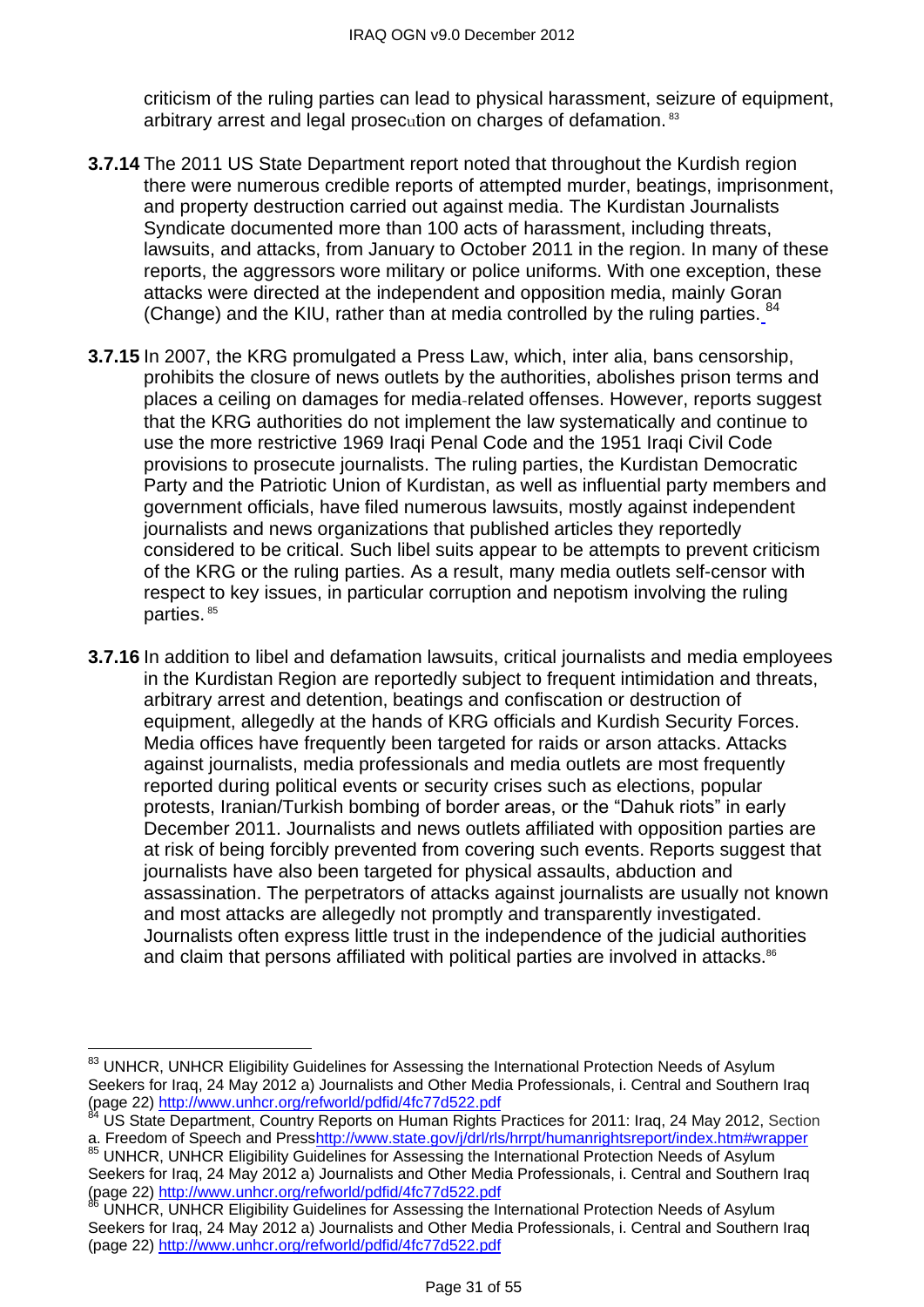criticism of the ruling parties can lead to physical harassment, seizure of equipment, arbitrary arrest and legal prosecution on charges of defamation. <sup>83</sup>

- **3.7.14** The 2011 US State Department report noted that throughout the Kurdish region there were numerous credible reports of attempted murder, beatings, imprisonment, and property destruction carried out against media. The Kurdistan Journalists Syndicate documented more than 100 acts of harassment, including threats, lawsuits, and attacks, from January to October 2011 in the region. In many of these reports, the aggressors wore military or police uniforms. With one exception, these attacks were directed at the independent and opposition media, mainly Goran (Change) and the KIU, rather than at media controlled by the ruling parties. <sup>84</sup>
- **3.7.15** In 2007, the KRG promulgated a Press Law, which, inter alia, bans censorship, prohibits the closure of news outlets by the authorities, abolishes prison terms and places a ceiling on damages for media-related offenses. However, reports suggest that the KRG authorities do not implement the law systematically and continue to use the more restrictive 1969 Iraqi Penal Code and the 1951 Iraqi Civil Code provisions to prosecute journalists. The ruling parties, the Kurdistan Democratic Party and the Patriotic Union of Kurdistan, as well as influential party members and government officials, have filed numerous lawsuits, mostly against independent journalists and news organizations that published articles they reportedly considered to be critical. Such libel suits appear to be attempts to prevent criticism of the KRG or the ruling parties. As a result, many media outlets self-censor with respect to key issues, in particular corruption and nepotism involving the ruling parties. <sup>85</sup>
- **3.7.16** In addition to libel and defamation lawsuits, critical journalists and media employees in the Kurdistan Region are reportedly subject to frequent intimidation and threats, arbitrary arrest and detention, beatings and confiscation or destruction of equipment, allegedly at the hands of KRG officials and Kurdish Security Forces. Media offices have frequently been targeted for raids or arson attacks. Attacks against journalists, media professionals and media outlets are most frequently reported during political events or security crises such as elections, popular protests, Iranian/Turkish bombing of border areas, or the "Dahuk riots" in early December 2011. Journalists and news outlets affiliated with opposition parties are at risk of being forcibly prevented from covering such events. Reports suggest that journalists have also been targeted for physical assaults, abduction and assassination. The perpetrators of attacks against journalists are usually not known and most attacks are allegedly not promptly and transparently investigated. Journalists often express little trust in the independence of the judicial authorities and claim that persons affiliated with political parties are involved in attacks.<sup>86</sup>

 $\overline{\phantom{a}}$ 

<sup>&</sup>lt;sup>83</sup> UNHCR, UNHCR Eligibility Guidelines for Assessing the International Protection Needs of Asylum Seekers for Iraq, 24 May 2012 a) Journalists and Other Media Professionals, i. Central and Southern Iraq (page 22)<http://www.unhcr.org/refworld/pdfid/4fc77d522.pdf>

<sup>&</sup>lt;sup>84</sup> US State Department, Country Reports on Human Rights Practices for 2011: Iraq, 24 May 2012, Section a. Freedom of Speech and Press<u>http://www.state.gov/j/drl/rls/hrrpt/humanrightsreport/index.htm#wrapper</u>

<sup>&</sup>lt;sup>85</sup> UNHCR, UNHCR Eligibility Guidelines for Assessing the International Protection Needs of Asylum Seekers for Iraq, 24 May 2012 a) Journalists and Other Media Professionals, i. Central and Southern Iraq (page 22)<http://www.unhcr.org/refworld/pdfid/4fc77d522.pdf>

UNHCR, UNHCR Eligibility Guidelines for Assessing the International Protection Needs of Asylum Seekers for Iraq, 24 May 2012 a) Journalists and Other Media Professionals, i. Central and Southern Iraq (page 22)<http://www.unhcr.org/refworld/pdfid/4fc77d522.pdf>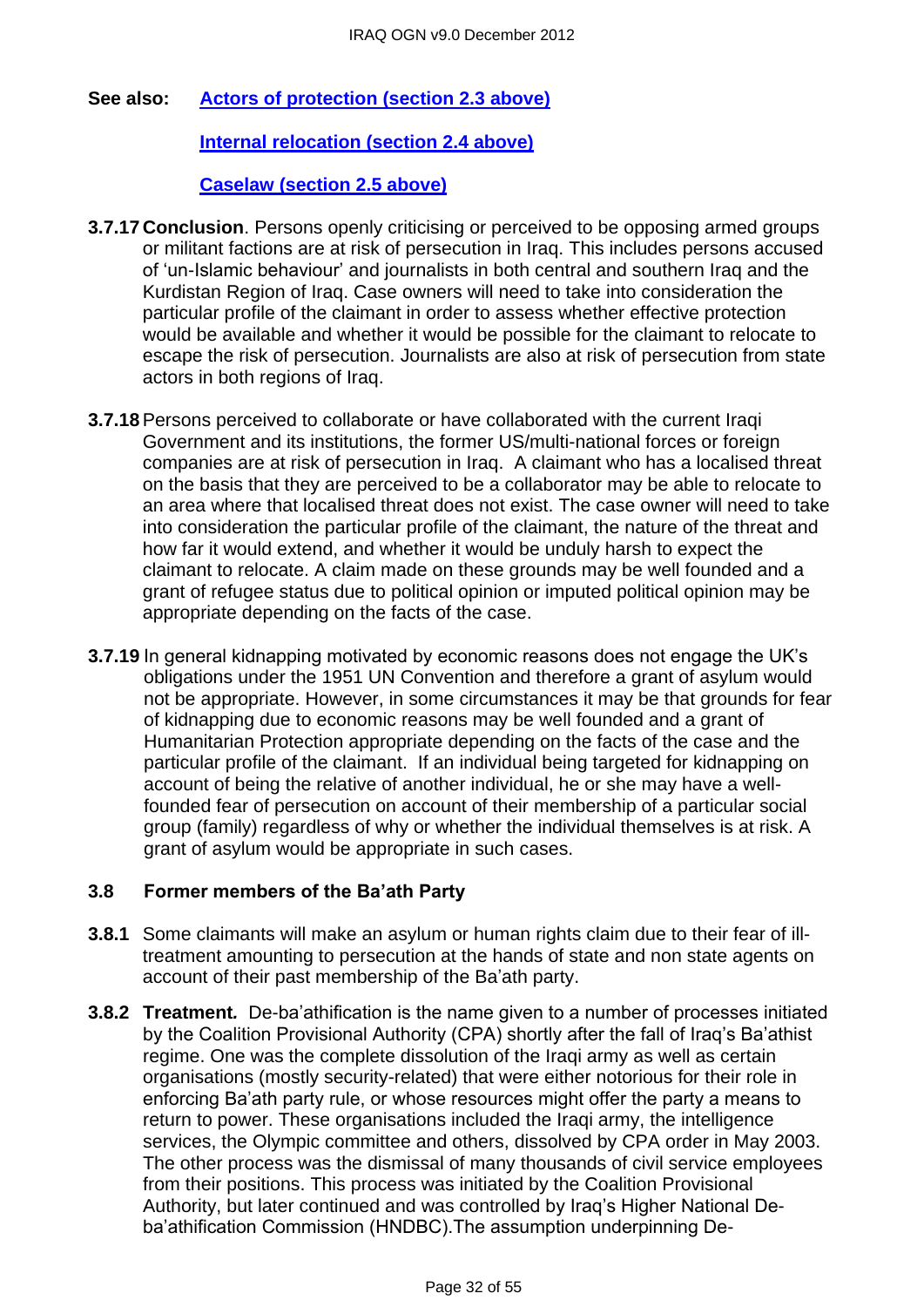### **See also: [Actors of protection \(section 2.3 above\)](#page-1-1)**

### **[Internal relocation \(section 2.4 above\)](#page-5-0)**

#### **[Caselaw \(section 2.5 above\)](#page-10-0)**

- **3.7.17 Conclusion**. Persons openly criticising or perceived to be opposing armed groups or militant factions are at risk of persecution in Iraq. This includes persons accused of ‗un-Islamic behaviour' and journalists in both central and southern Iraq and the Kurdistan Region of Iraq. Case owners will need to take into consideration the particular profile of the claimant in order to assess whether effective protection would be available and whether it would be possible for the claimant to relocate to escape the risk of persecution. Journalists are also at risk of persecution from state actors in both regions of Iraq.
- **3.7.18**Persons perceived to collaborate or have collaborated with the current Iraqi Government and its institutions, the former US/multi-national forces or foreign companies are at risk of persecution in Iraq. A claimant who has a localised threat on the basis that they are perceived to be a collaborator may be able to relocate to an area where that localised threat does not exist. The case owner will need to take into consideration the particular profile of the claimant, the nature of the threat and how far it would extend, and whether it would be unduly harsh to expect the claimant to relocate. A claim made on these grounds may be well founded and a grant of refugee status due to political opinion or imputed political opinion may be appropriate depending on the facts of the case.
- **3.7.19** In general kidnapping motivated by economic reasons does not engage the UK's obligations under the 1951 UN Convention and therefore a grant of asylum would not be appropriate. However, in some circumstances it may be that grounds for fear of kidnapping due to economic reasons may be well founded and a grant of Humanitarian Protection appropriate depending on the facts of the case and the particular profile of the claimant. If an individual being targeted for kidnapping on account of being the relative of another individual, he or she may have a wellfounded fear of persecution on account of their membership of a particular social group (family) regardless of why or whether the individual themselves is at risk. A grant of asylum would be appropriate in such cases.

#### <span id="page-31-0"></span>**3.8 Former members of the Ba'ath Party**

- **3.8.1** Some claimants will make an asylum or human rights claim due to their fear of illtreatment amounting to persecution at the hands of state and non state agents on account of their past membership of the Ba'ath party.
- **3.8.2 Treatment***.* De-ba'athification is the name given to a number of processes initiated by the Coalition Provisional Authority (CPA) shortly after the fall of Iraq's Ba'athist regime. One was the complete dissolution of the Iraqi army as well as certain organisations (mostly security-related) that were either notorious for their role in enforcing Ba'ath party rule, or whose resources might offer the party a means to return to power. These organisations included the Iraqi army, the intelligence services, the Olympic committee and others, dissolved by CPA order in May 2003. The other process was the dismissal of many thousands of civil service employees from their positions. This process was initiated by the Coalition Provisional Authority, but later continued and was controlled by Iraq's Higher National Deba'athification Commission (HNDBC).The assumption underpinning De-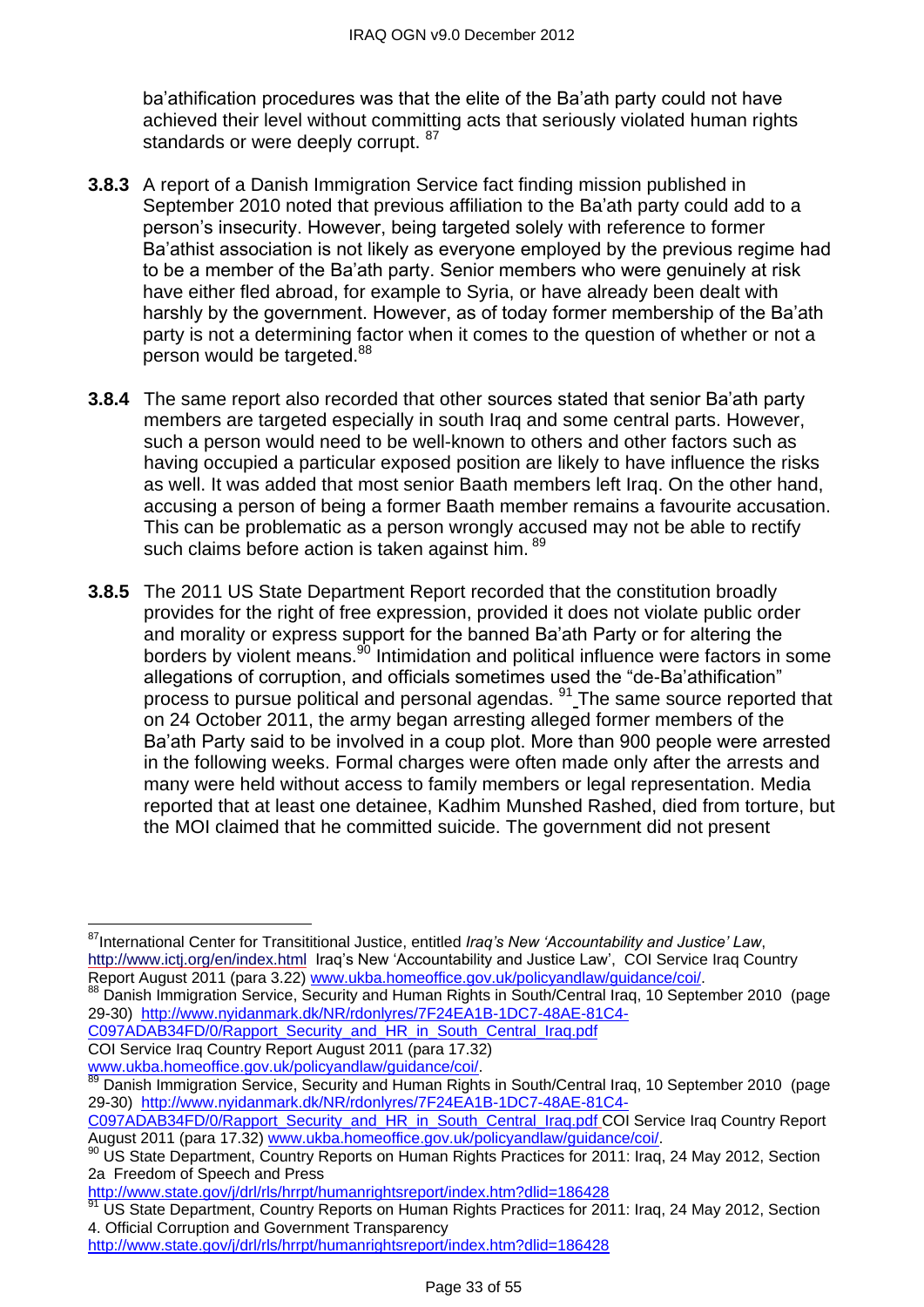ba'athification procedures was that the elite of the Ba'ath party could not have achieved their level without committing acts that seriously violated human rights standards or were deeply corrupt. 87

- **3.8.3** A report of a Danish Immigration Service fact finding mission published in September 2010 noted that previous affiliation to the Ba'ath party could add to a person's insecurity. However, being targeted solely with reference to former Ba'athist association is not likely as everyone employed by the previous regime had to be a member of the Ba'ath party. Senior members who were genuinely at risk have either fled abroad, for example to Syria, or have already been dealt with harshly by the government. However, as of today former membership of the Ba'ath party is not a determining factor when it comes to the question of whether or not a person would be targeted.<sup>88</sup>
- **3.8.4** The same report also recorded that other sources stated that senior Ba'ath party members are targeted especially in south Iraq and some central parts. However, such a person would need to be well-known to others and other factors such as having occupied a particular exposed position are likely to have influence the risks as well. It was added that most senior Baath members left Iraq. On the other hand, accusing a person of being a former Baath member remains a favourite accusation. This can be problematic as a person wrongly accused may not be able to rectify such claims before action is taken against him. <sup>89</sup>
- **3.8.5** The 2011 US State Department Report recorded that the constitution broadly provides for the right of free expression, provided it does not violate public order and morality or express support for the banned Ba'ath Party or for altering the borders by violent means.<sup>90</sup> Intimidation and political influence were factors in some allegations of corruption, and officials sometimes used the "de-Ba'athification" process to pursue political and personal agendas. <sup>91</sup> The same source reported that on 24 October 2011, the army began arresting alleged former members of the Ba'ath Party said to be involved in a coup plot. More than 900 people were arrested in the following weeks. Formal charges were often made only after the arrests and many were held without access to family members or legal representation. Media reported that at least one detainee, Kadhim Munshed Rashed, died from torture, but the MOI claimed that he committed suicide. The government did not present

- [C097ADAB34FD/0/Rapport\\_Security\\_and\\_HR\\_in\\_South\\_Central\\_Iraq.pdf](http://www.nyidanmark.dk/NR/rdonlyres/7F24EA1B-1DC7-48AE-81C4-C097ADAB34FD/0/Rapport_Security_and_HR_in_South_Central_Iraq.pdf)
- COI Service Iraq Country Report August 2011 (para 17.32) [www.ukba.homeoffice.gov.uk/policyandlaw/guidance/coi/.](http://www.ukba.homeoffice.gov.uk/policyandlaw/guidance/coi/)

<http://www.state.gov/j/drl/rls/hrrpt/humanrightsreport/index.htm?dlid=186428>

 $\overline{a}$ <sup>87</sup>International Center for Transititional Justice, entitled *Iraq's New 'Accountability and Justice' Law*, <http://www.ictj.org/en/index.html>Iraq's New 'Accountability and Justice Law', COI Service Iraq Country Report August 2011 (para 3.22) [www.ukba.homeoffice.gov.uk/policyandlaw/guidance/coi/.](http://www.ukba.homeoffice.gov.uk/policyandlaw/guidance/coi/)

<sup>&</sup>lt;sup>88</sup> Danish Immigration Service, Security and Human Rights in South/Central Irag, 10 September 2010 (page 29-30) [http://www.nyidanmark.dk/NR/rdonlyres/7F24EA1B-1DC7-48AE-81C4-](http://www.nyidanmark.dk/NR/rdonlyres/7F24EA1B-1DC7-48AE-81C4-C097ADAB34FD/0/Rapport_Security_and_HR_in_South_Central_Iraq.pdf)

<sup>89</sup> Danish Immigration Service, Security and Human Rights in South/Central Iraq, 10 September 2010 (page 29-30) [http://www.nyidanmark.dk/NR/rdonlyres/7F24EA1B-1DC7-48AE-81C4-](http://www.nyidanmark.dk/NR/rdonlyres/7F24EA1B-1DC7-48AE-81C4-C097ADAB34FD/0/Rapport_Security_and_HR_in_South_Central_Iraq.pdf)

[C097ADAB34FD/0/Rapport\\_Security\\_and\\_HR\\_in\\_South\\_Central\\_Iraq.pdf](http://www.nyidanmark.dk/NR/rdonlyres/7F24EA1B-1DC7-48AE-81C4-C097ADAB34FD/0/Rapport_Security_and_HR_in_South_Central_Iraq.pdf) COI Service Iraq Country Report August 2011 (para 17.32) [www.ukba.homeoffice.gov.uk/policyandlaw/guidance/coi/.](http://www.ukba.homeoffice.gov.uk/policyandlaw/guidance/coi/)

<sup>90</sup> US State Department, Country Reports on Human Rights Practices for 2011: Iraq, 24 May 2012, Section 2a Freedom of Speech and Press

<http://www.state.gov/j/drl/rls/hrrpt/humanrightsreport/index.htm?dlid=186428>

US State Department, Country Reports on Human Rights Practices for 2011: Iraq, 24 May 2012, Section 4. Official Corruption and Government Transparency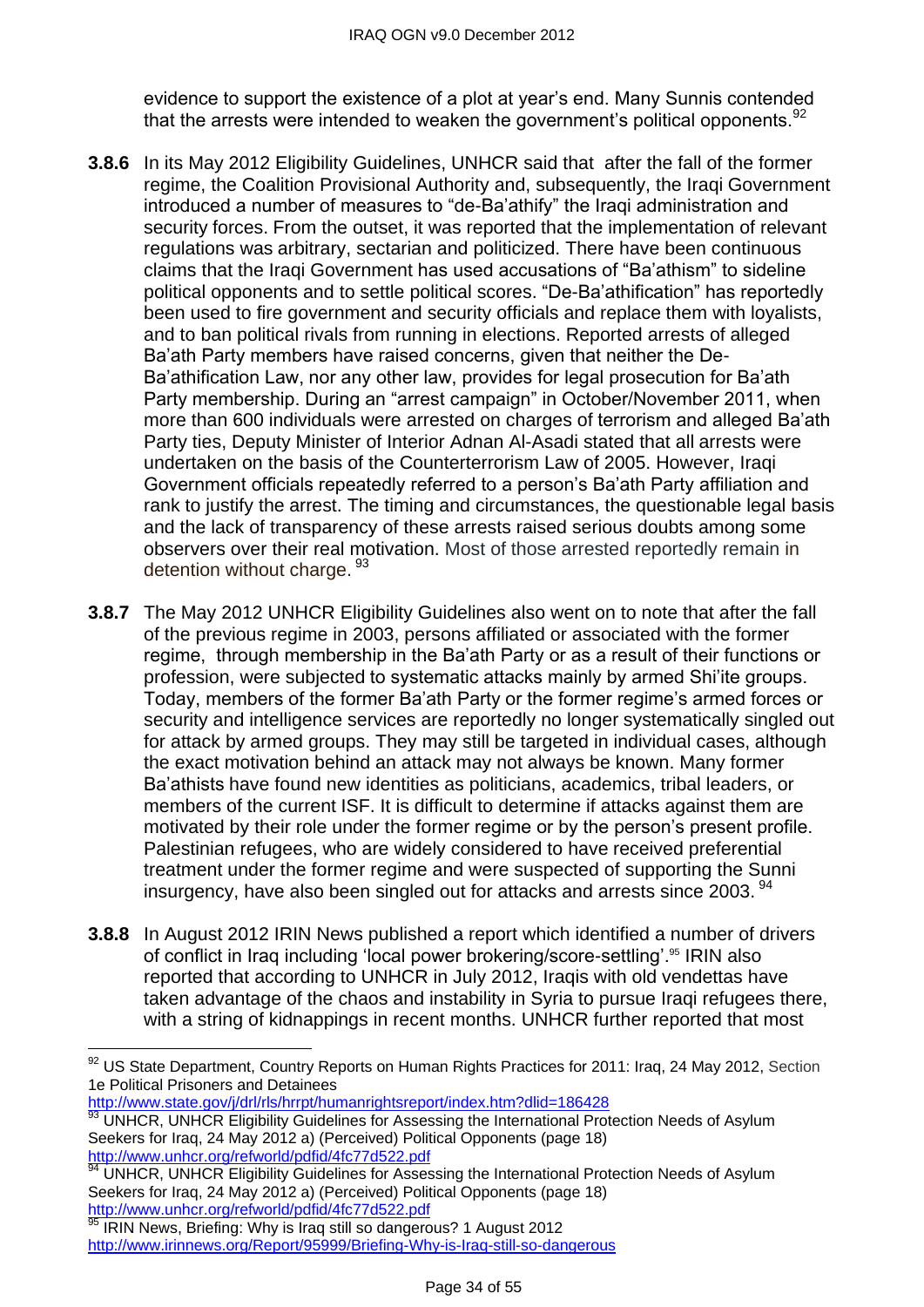evidence to support the existence of a plot at year's end. Many Sunnis contended that the arrests were intended to weaken the government's political opponents.<sup>97</sup>

- **3.8.6** In its May 2012 Eligibility Guidelines, UNHCR said that after the fall of the former regime, the Coalition Provisional Authority and, subsequently, the Iraqi Government introduced a number of measures to "de-Ba'athify" the Iraqi administration and security forces. From the outset, it was reported that the implementation of relevant regulations was arbitrary, sectarian and politicized. There have been continuous claims that the Iraqi Government has used accusations of "Ba'athism" to sideline political opponents and to settle political scores. "De-Ba'athification" has reportedly been used to fire government and security officials and replace them with loyalists, and to ban political rivals from running in elections. Reported arrests of alleged Ba'ath Party members have raised concerns, given that neither the De-Ba'athification Law, nor any other law, provides for legal prosecution for Ba'ath Party membership. During an "arrest campaign" in October/November 2011, when more than 600 individuals were arrested on charges of terrorism and alleged Ba'ath Party ties, Deputy Minister of Interior Adnan Al-Asadi stated that all arrests were undertaken on the basis of the Counterterrorism Law of 2005. However, Iraqi Government officials repeatedly referred to a person's Ba'ath Party affiliation and rank to justify the arrest. The timing and circumstances, the questionable legal basis and the lack of transparency of these arrests raised serious doubts among some observers over their real motivation. Most of those arrested reportedly remain in detention without charge. 93
- **3.8.7** The May 2012 UNHCR Eligibility Guidelines also went on to note that after the fall of the previous regime in 2003, persons affiliated or associated with the former regime, through membership in the Ba'ath Party or as a result of their functions or profession, were subjected to systematic attacks mainly by armed Shi'ite groups. Today, members of the former Ba'ath Party or the former regime's armed forces or security and intelligence services are reportedly no longer systematically singled out for attack by armed groups. They may still be targeted in individual cases, although the exact motivation behind an attack may not always be known. Many former Ba'athists have found new identities as politicians, academics, tribal leaders, or members of the current ISF. It is difficult to determine if attacks against them are motivated by their role under the former regime or by the person's present profile. Palestinian refugees, who are widely considered to have received preferential treatment under the former regime and were suspected of supporting the Sunni insurgency, have also been singled out for attacks and arrests since 2003.<sup>94</sup>
- **3.8.8** In August 2012 IRIN News published a report which identified a number of drivers of conflict in Iraq including 'local power brokering/score-settling'.<sup>95</sup> IRIN also reported that according to UNHCR in July 2012, Iraqis with old vendettas have taken advantage of the chaos and instability in Syria to pursue Iraqi refugees there, with a string of kidnappings in recent months. UNHCR further reported that most

<http://www.state.gov/j/drl/rls/hrrpt/humanrightsreport/index.htm?dlid=186428>

 $\overline{\phantom{a}}$ <sup>92</sup> US State Department, Country Reports on Human Rights Practices for 2011: Iraq, 24 May 2012, Section 1e Political Prisoners and Detainees

<sup>93</sup> UNHCR, UNHCR Eligibility Guidelines for Assessing the International Protection Needs of Asylum Seekers for Iraq, 24 May 2012 a) (Perceived) Political Opponents (page 18) <http://www.unhcr.org/refworld/pdfid/4fc77d522.pdf>

Martin Control Control Control Control Control of Assessing the International Protection Needs of Asylum Seekers for Iraq, 24 May 2012 a) (Perceived) Political Opponents (page 18) <http://www.unhcr.org/refworld/pdfid/4fc77d522.pdf>

<sup>&</sup>lt;sup>95</sup> IRIN News, Briefing: Why is Iraq still so dangerous? 1 August 2012 <http://www.irinnews.org/Report/95999/Briefing-Why-is-Iraq-still-so-dangerous>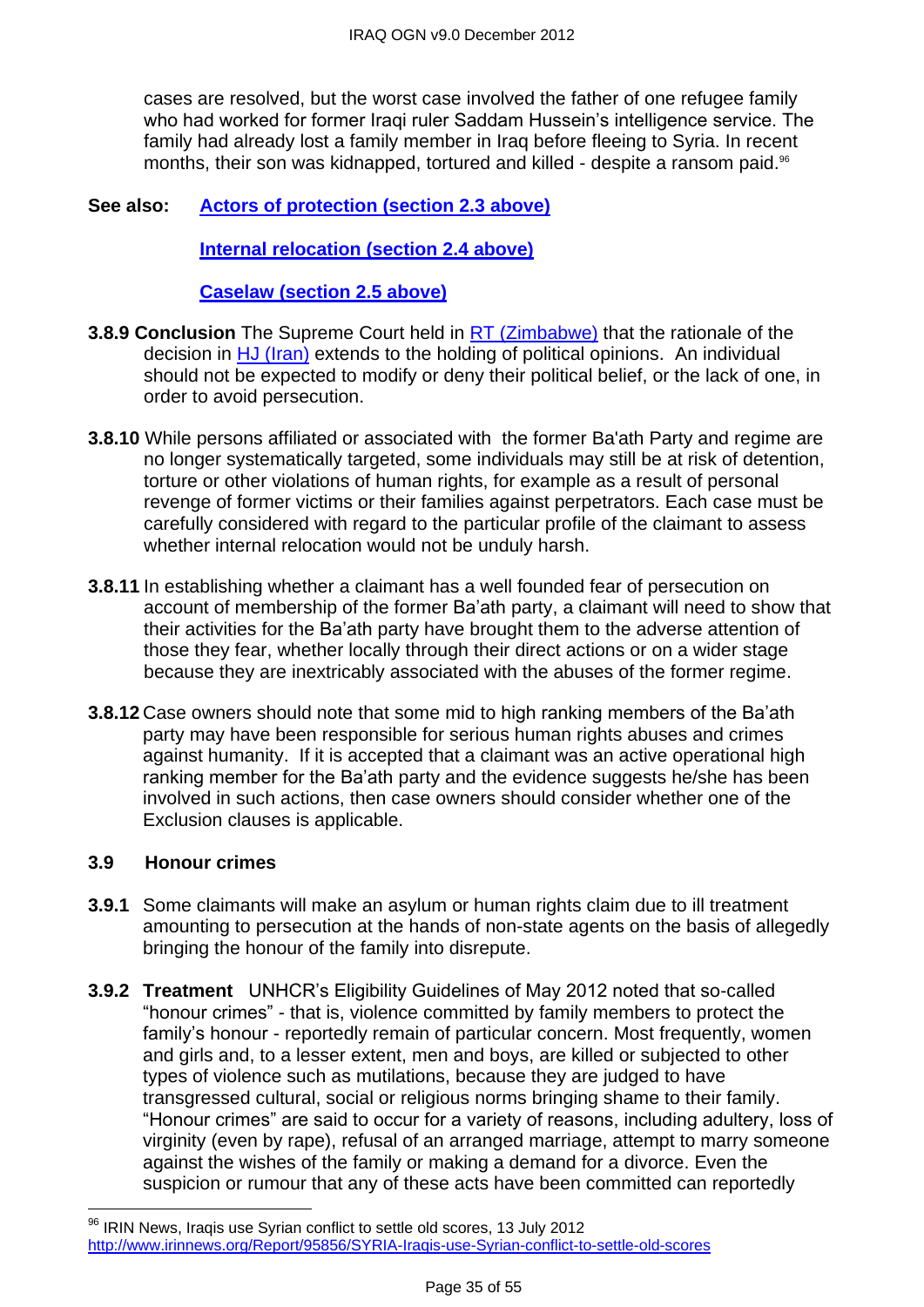cases are resolved, but the worst case involved the father of one refugee family who had worked for former Iraqi ruler Saddam Hussein's intelligence service. The family had already lost a family member in Iraq before fleeing to Syria. In recent months, their son was kidnapped, tortured and killed - despite a ransom paid.<sup>96</sup>

#### **See also: [Actors of protection \(section 2.3 above\)](#page-1-1)**

**[Internal relocation \(section 2.4 above\)](#page-5-0)**

**[Caselaw \(section 2.5 above\)](#page-10-0)**

- **3.8.9 Conclusion** The Supreme Court held in [RT \(Zimbabwe\)](http://www.bailii.org/uk/cases/UKSC/2012/38.html) that the rationale of the decision in [HJ \(Iran\)](http://www.bailii.org/uk/cases/UKSC/2010/31.html) extends to the holding of political opinions. An individual should not be expected to modify or deny their political belief, or the lack of one, in order to avoid persecution.
- **3.8.10** While persons affiliated or associated with the former Ba'ath Party and regime are no longer systematically targeted, some individuals may still be at risk of detention, torture or other violations of human rights, for example as a result of personal revenge of former victims or their families against perpetrators. Each case must be carefully considered with regard to the particular profile of the claimant to assess whether internal relocation would not be unduly harsh.
- **3.8.11** In establishing whether a claimant has a well founded fear of persecution on account of membership of the former Ba'ath party, a claimant will need to show that their activities for the Ba'ath party have brought them to the adverse attention of those they fear, whether locally through their direct actions or on a wider stage because they are inextricably associated with the abuses of the former regime.
- **3.8.12** Case owners should note that some mid to high ranking members of the Ba'ath party may have been responsible for serious human rights abuses and crimes against humanity. If it is accepted that a claimant was an active operational high ranking member for the Ba'ath party and the evidence suggests he/she has been involved in such actions, then case owners should consider whether one of the Exclusion clauses is applicable.

#### <span id="page-34-0"></span>**3.9 Honour crimes**

 $\overline{\phantom{a}}$ 

- **3.9.1** Some claimants will make an asylum or human rights claim due to ill treatment amounting to persecution at the hands of non-state agents on the basis of allegedly bringing the honour of the family into disrepute.
- **3.9.2 Treatment**UNHCR's Eligibility Guidelines of May 2012 noted that so-called "honour crimes" - that is, violence committed by family members to protect the family's honour - reportedly remain of particular concern. Most frequently, women and girls and, to a lesser extent, men and boys, are killed or subjected to other types of violence such as mutilations, because they are judged to have transgressed cultural, social or religious norms bringing shame to their family. ―Honour crimes‖ are said to occur for a variety of reasons, including adultery, loss of virginity (even by rape), refusal of an arranged marriage, attempt to marry someone against the wishes of the family or making a demand for a divorce. Even the suspicion or rumour that any of these acts have been committed can reportedly

<sup>96</sup> IRIN News, Iraqis use Syrian conflict to settle old scores, 13 July 2012 <http://www.irinnews.org/Report/95856/SYRIA-Iraqis-use-Syrian-conflict-to-settle-old-scores>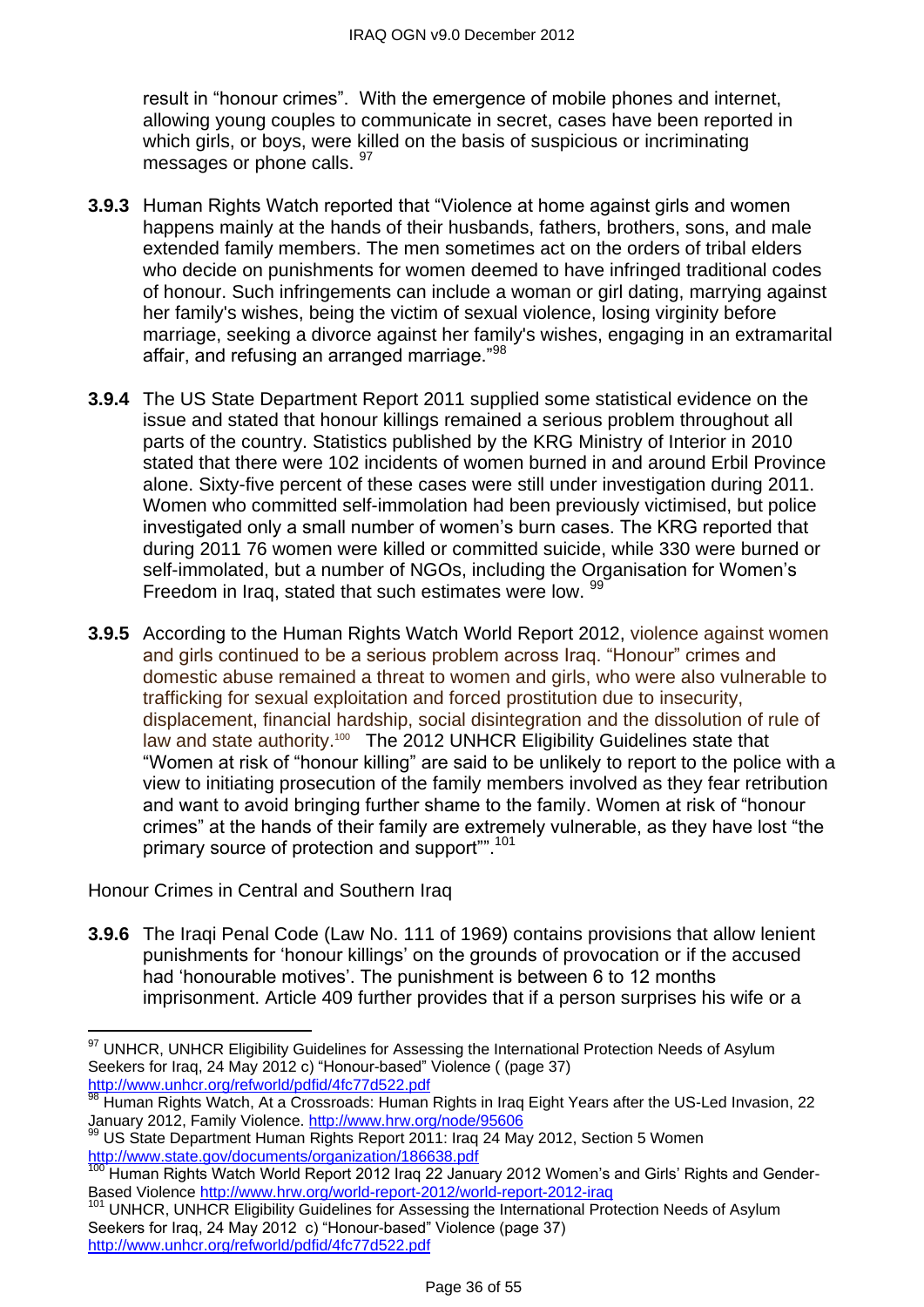result in "honour crimes". With the emergence of mobile phones and internet, allowing young couples to communicate in secret, cases have been reported in which girls, or boys, were killed on the basis of suspicious or incriminating messages or phone calls. <sup>97</sup>

- **3.9.3** Human Rights Watch reported that "Violence at home against girls and women happens mainly at the hands of their husbands, fathers, brothers, sons, and male extended family members. The men sometimes act on the orders of tribal elders who decide on punishments for women deemed to have infringed traditional codes of honour. Such infringements can include a woman or girl dating, marrying against her family's wishes, being the victim of sexual violence, losing virginity before marriage, seeking a divorce against her family's wishes, engaging in an extramarital affair, and refusing an arranged marriage."<sup>98</sup>
- **3.9.4** The US State Department Report 2011 supplied some statistical evidence on the issue and stated that honour killings remained a serious problem throughout all parts of the country. Statistics published by the KRG Ministry of Interior in 2010 stated that there were 102 incidents of women burned in and around Erbil Province alone. Sixty-five percent of these cases were still under investigation during 2011. Women who committed self-immolation had been previously victimised, but police investigated only a small number of women's burn cases. The KRG reported that during 2011 76 women were killed or committed suicide, while 330 were burned or self-immolated, but a number of NGOs, including the Organisation for Women's Freedom in Iraq, stated that such estimates were low. 99
- **3.9.5** According to the Human Rights Watch World Report 2012, violence against women and girls continued to be a serious problem across Iraq. "Honour" crimes and domestic abuse remained a threat to women and girls, who were also vulnerable to trafficking for sexual exploitation and forced prostitution due to insecurity, displacement, financial hardship, social disintegration and the dissolution of rule of law and state authority.<sup>100</sup> The 2012 UNHCR Eligibility Guidelines state that "Women at risk of "honour killing" are said to be unlikely to report to the police with a view to initiating prosecution of the family members involved as they fear retribution and want to avoid bringing further shame to the family. Women at risk of "honour crimes" at the hands of their family are extremely vulnerable, as they have lost "the primary source of protection and support".<sup>101</sup>

Honour Crimes in Central and Southern Iraq

**3.9.6** The Iraqi Penal Code (Law No. 111 of 1969) contains provisions that allow lenient punishments for ‗honour killings' on the grounds of provocation or if the accused had 'honourable motives'. The punishment is between 6 to 12 months imprisonment. Article 409 further provides that if a person surprises his wife or a

 $\overline{a}$ <sup>97</sup> UNHCR, UNHCR Eligibility Guidelines for Assessing the International Protection Needs of Asylum Seekers for Iraq, 24 May 2012 c) "Honour-based" Violence ((page 37) <http://www.unhcr.org/refworld/pdfid/4fc77d522.pdf>

<sup>98</sup> Human Rights Watch, At a Crossroads: Human Rights in Iraq Eight Years after the US-Led Invasion, 22 January 2012, Family Violence.<http://www.hrw.org/node/95606>

<sup>99</sup> US State Department Human Rights Report 2011: Iraq 24 May 2012, Section 5 Women <http://www.state.gov/documents/organization/186638.pdf>

Human Rights Watch World Report 2012 Iraq 22 January 2012 Women's and Girls' Rights and Gender-Based Violence<http://www.hrw.org/world-report-2012/world-report-2012-iraq>

UNHCR, UNHCR Eligibility Guidelines for Assessing the International Protection Needs of Asylum Seekers for Iraq, 24 May 2012 c) "Honour-based" Violence (page 37) <http://www.unhcr.org/refworld/pdfid/4fc77d522.pdf>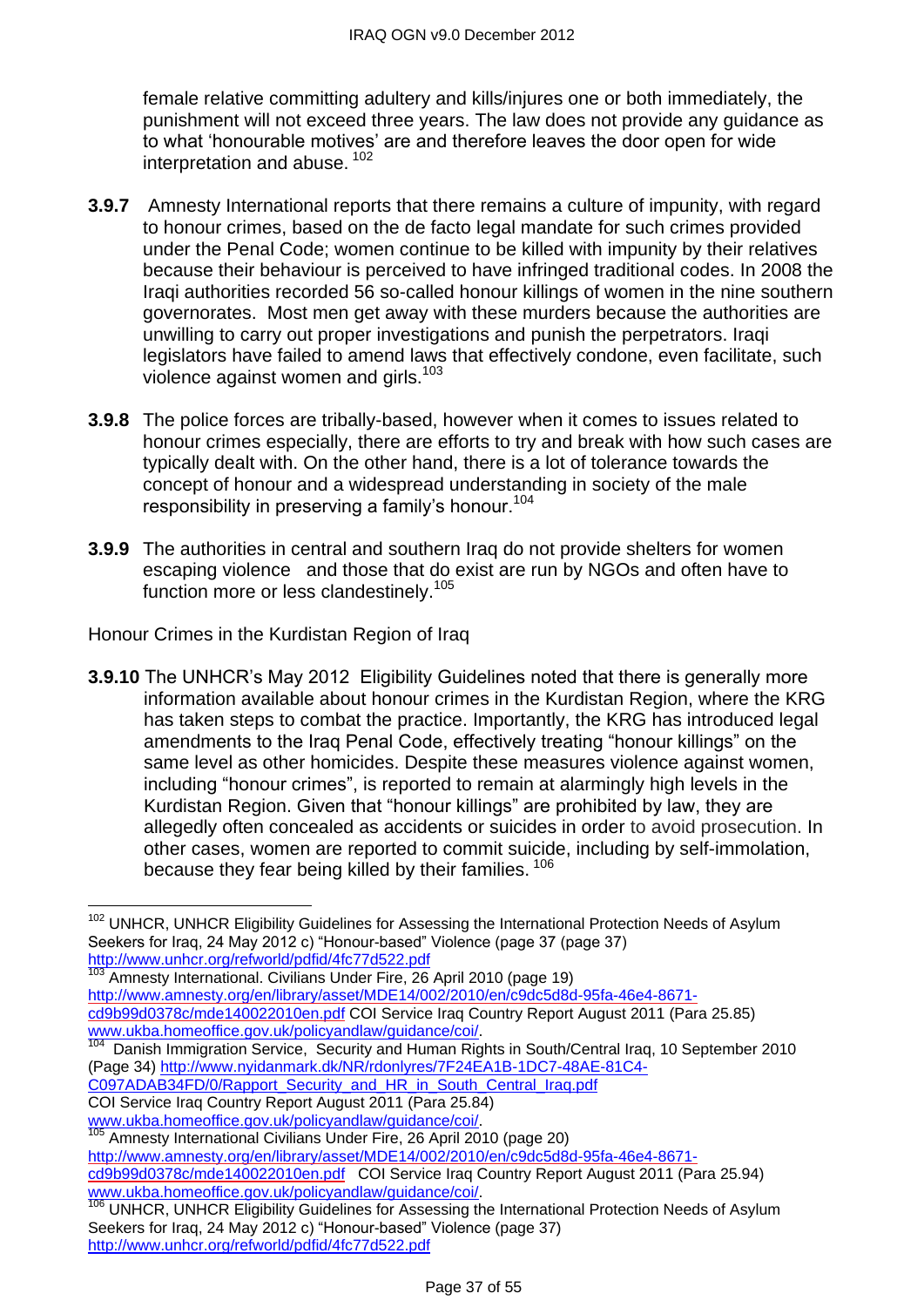female relative committing adultery and kills/injures one or both immediately, the punishment will not exceed three years. The law does not provide any guidance as to what 'honourable motives' are and therefore leaves the door open for wide interpretation and abuse. <sup>102</sup>

- **3.9.7** Amnesty International reports that there remains a culture of impunity, with regard to honour crimes, based on the de facto legal mandate for such crimes provided under the Penal Code; women continue to be killed with impunity by their relatives because their behaviour is perceived to have infringed traditional codes. In 2008 the Iraqi authorities recorded 56 so-called honour killings of women in the nine southern governorates. Most men get away with these murders because the authorities are unwilling to carry out proper investigations and punish the perpetrators. Iraqi legislators have failed to amend laws that effectively condone, even facilitate, such violence against women and girls.<sup>103</sup>
- **3.9.8** The police forces are tribally-based, however when it comes to issues related to honour crimes especially, there are efforts to try and break with how such cases are typically dealt with. On the other hand, there is a lot of tolerance towards the concept of honour and a widespread understanding in society of the male responsibility in preserving a family's honour.<sup>104</sup>
- **3.9.9** The authorities in central and southern Iraq do not provide shelters for women escaping violence and those that do exist are run by NGOs and often have to function more or less clandestinely.<sup>105</sup>

Honour Crimes in the Kurdistan Region of Iraq

**3.9.10** The UNHCR's May 2012 Eligibility Guidelines noted that there is generally more information available about honour crimes in the Kurdistan Region, where the KRG has taken steps to combat the practice. Importantly, the KRG has introduced legal amendments to the Iraq Penal Code, effectively treating "honour killings" on the same level as other homicides. Despite these measures violence against women, including "honour crimes", is reported to remain at alarmingly high levels in the Kurdistan Region. Given that "honour killings" are prohibited by law, they are allegedly often concealed as accidents or suicides in order to avoid prosecution. In other cases, women are reported to commit suicide, including by self-immolation, because they fear being killed by their families. <sup>106</sup>

Amnesty International. Civilians Under Fire, 26 April 2010 (page 19) [http://www.amnesty.org/en/library/asset/MDE14/002/2010/en/c9dc5d8d-95fa-46e4-8671](http://www.amnesty.org/en/library/asset/MDE14/002/2010/en/c9dc5d8d-95fa-46e4-8671-cd9b99d0378c/mde140022010en.pdf) [cd9b99d0378c/mde140022010en.pdf](http://www.amnesty.org/en/library/asset/MDE14/002/2010/en/c9dc5d8d-95fa-46e4-8671-cd9b99d0378c/mde140022010en.pdf) COI Service Iraq Country Report August 2011 (Para 25.85) [www.ukba.homeoffice.gov.uk/policyandlaw/guidance/coi/.](http://www.ukba.homeoffice.gov.uk/policyandlaw/guidance/coi/)<br><sup>104</sup> Denish Immigration Senrice Sequrity and Human Big

- Danish Immigration Service, Security and Human Rights in South/Central Iraq, 10 September 2010 (Page 34) [http://www.nyidanmark.dk/NR/rdonlyres/7F24EA1B-1DC7-48AE-81C4-](http://www.nyidanmark.dk/NR/rdonlyres/7F24EA1B-1DC7-48AE-81C4-C097ADAB34FD/0/Rapport_Security_and_HR_in_South_Central_Iraq.pdf)
- [C097ADAB34FD/0/Rapport\\_Security\\_and\\_HR\\_in\\_South\\_Central\\_Iraq.pdf](http://www.nyidanmark.dk/NR/rdonlyres/7F24EA1B-1DC7-48AE-81C4-C097ADAB34FD/0/Rapport_Security_and_HR_in_South_Central_Iraq.pdf)
- COI Service Iraq Country Report August 2011 (Para 25.84)

[www.ukba.homeoffice.gov.uk/policyandlaw/guidance/coi/.](http://www.ukba.homeoffice.gov.uk/policyandlaw/guidance/coi/)

 $\overline{a}$ 

Amnesty International Civilians Under Fire, 26 April 2010 (page 20) [http://www.amnesty.org/en/library/asset/MDE14/002/2010/en/c9dc5d8d-95fa-46e4-8671](http://www.amnesty.org/en/library/asset/MDE14/002/2010/en/c9dc5d8d-95fa-46e4-8671-cd9b99d0378c/mde140022010en.pdf) [cd9b99d0378c/mde140022010en.pdf](http://www.amnesty.org/en/library/asset/MDE14/002/2010/en/c9dc5d8d-95fa-46e4-8671-cd9b99d0378c/mde140022010en.pdf) COI Service Iraq Country Report August 2011 (Para 25.94) [www.ukba.homeoffice.gov.uk/policyandlaw/guidance/coi/.](http://www.ukba.homeoffice.gov.uk/policyandlaw/guidance/coi/)

<sup>&</sup>lt;sup>102</sup> UNHCR, UNHCR Eligibility Guidelines for Assessing the International Protection Needs of Asylum Seekers for Iraq, 24 May 2012 c) "Honour-based" Violence (page 37 (page 37) <http://www.unhcr.org/refworld/pdfid/4fc77d522.pdf>

<sup>106</sup> UNHCR, UNHCR Eligibility Guidelines for Assessing the International Protection Needs of Asylum Seekers for Iraq, 24 May 2012 c) "Honour-based" Violence (page 37) <http://www.unhcr.org/refworld/pdfid/4fc77d522.pdf>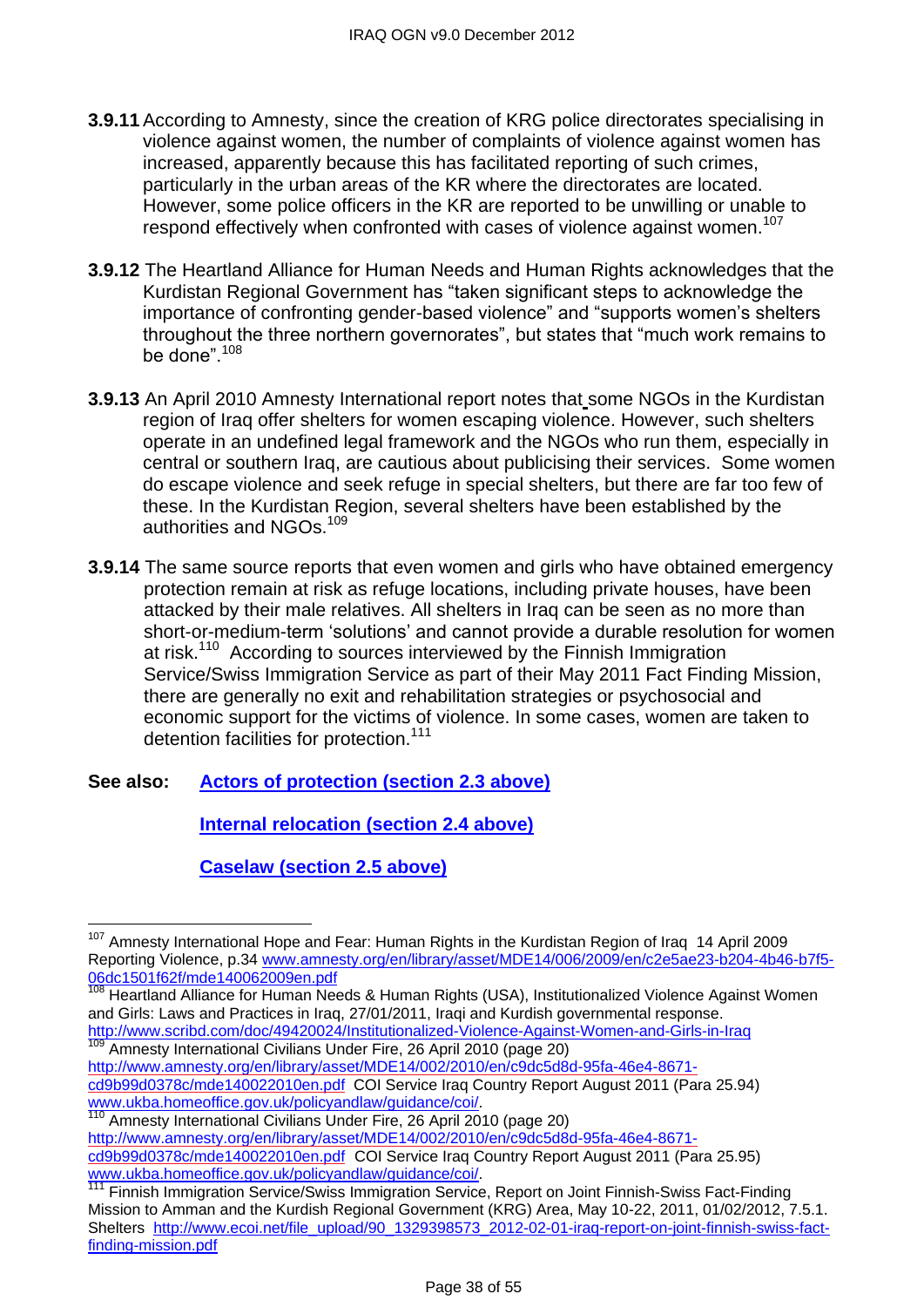- **3.9.11** According to Amnesty, since the creation of KRG police directorates specialising in violence against women, the number of complaints of violence against women has increased, apparently because this has facilitated reporting of such crimes, particularly in the urban areas of the KR where the directorates are located. However, some police officers in the KR are reported to be unwilling or unable to respond effectively when confronted with cases of violence against women.<sup>107</sup>
- **3.9.12** The Heartland Alliance for Human Needs and Human Rights acknowledges that the Kurdistan Regional Government has "taken significant steps to acknowledge the importance of confronting gender-based violence" and "supports women's shelters throughout the three northern governorates", but states that "much work remains to be done".<sup>108</sup>
- **3.9.13** An April 2010 Amnesty International report notes that some NGOs in the Kurdistan region of Iraq offer shelters for women escaping violence. However, such shelters operate in an undefined legal framework and the NGOs who run them, especially in central or southern Iraq, are cautious about publicising their services. Some women do escape violence and seek refuge in special shelters, but there are far too few of these. In the Kurdistan Region, several shelters have been established by the authorities and NGOs.<sup>109</sup>
- **3.9.14** The same source reports that even women and girls who have obtained emergency protection remain at risk as refuge locations, including private houses, have been attacked by their male relatives. All shelters in Iraq can be seen as no more than short-or-medium-term 'solutions' and cannot provide a durable resolution for women at risk.<sup>110</sup> According to sources interviewed by the Finnish Immigration Service/Swiss Immigration Service as part of their May 2011 Fact Finding Mission, there are generally no exit and rehabilitation strategies or psychosocial and economic support for the victims of violence. In some cases, women are taken to detention facilities for protection.<sup>111</sup>
- **See also: [Actors of protection \(section 2.3 above\)](#page-1-1)**

**[Internal relocation \(section 2.4 above\)](#page-5-0)**

**[Caselaw \(section 2.5 above\)](#page-10-0)**

<sup>&</sup>lt;sup>107</sup> Amnesty International Hope and Fear: Human Rights in the Kurdistan Region of Iraq 14 April 2009 Reporting Violence, p.34 [www.amnesty.org/en/library/asset/MDE14/006/2009/en/c2e5ae23-b204-4b46-b7f5-](file://poise.homeoffice.local/../../../../Users/CORBETL2/OutlookSecureTemp/www.amnesty.org/en/library/asset/MDE14/006/2009/en/c2e5ae23-b204-4b46-b7f5-06dc1501f62f/mde140062009en.pdf) [06dc1501f62f/mde140062009en.pdf](file://poise.homeoffice.local/../../../../Users/CORBETL2/OutlookSecureTemp/www.amnesty.org/en/library/asset/MDE14/006/2009/en/c2e5ae23-b204-4b46-b7f5-06dc1501f62f/mde140062009en.pdf)

Heartland Alliance for Human Needs & Human Rights (USA), Institutionalized Violence Against Women and Girls: Laws and Practices in Iraq, 27/01/2011, Iraqi and Kurdish governmental response. <http://www.scribd.com/doc/49420024/Institutionalized-Violence-Against-Women-and-Girls-in-Iraq>

Amnesty International Civilians Under Fire, 26 April 2010 (page 20) [http://www.amnesty.org/en/library/asset/MDE14/002/2010/en/c9dc5d8d-95fa-46e4-8671](http://www.amnesty.org/en/library/asset/MDE14/002/2010/en/c9dc5d8d-95fa-46e4-8671-cd9b99d0378c/mde140022010en.pdf) [cd9b99d0378c/mde140022010en.pdf](http://www.amnesty.org/en/library/asset/MDE14/002/2010/en/c9dc5d8d-95fa-46e4-8671-cd9b99d0378c/mde140022010en.pdf) COI Service Iraq Country Report August 2011 (Para 25.94)

[www.ukba.homeoffice.gov.uk/policyandlaw/guidance/coi/.](http://www.ukba.homeoffice.gov.uk/policyandlaw/guidance/coi/)

Amnesty International Civilians Under Fire, 26 April 2010 (page 20) [http://www.amnesty.org/en/library/asset/MDE14/002/2010/en/c9dc5d8d-95fa-46e4-8671](http://www.amnesty.org/en/library/asset/MDE14/002/2010/en/c9dc5d8d-95fa-46e4-8671-cd9b99d0378c/mde140022010en.pdf) [cd9b99d0378c/mde140022010en.pdf](http://www.amnesty.org/en/library/asset/MDE14/002/2010/en/c9dc5d8d-95fa-46e4-8671-cd9b99d0378c/mde140022010en.pdf) COI Service Iraq Country Report August 2011 (Para 25.95) [www.ukba.homeoffice.gov.uk/policyandlaw/guidance/coi/.](http://www.ukba.homeoffice.gov.uk/policyandlaw/guidance/coi/)

Finnish Immigration Service/Swiss Immigration Service, Report on Joint Finnish-Swiss Fact-Finding Mission to Amman and the Kurdish Regional Government (KRG) Area, May 10-22, 2011, 01/02/2012, 7.5.1. Shelters [http://www.ecoi.net/file\\_upload/90\\_1329398573\\_2012-02-01-iraq-report-on-joint-finnish-swiss-fact](http://www.ecoi.net/file_upload/90_1329398573_2012-02-01-iraq-report-on-joint-finnish-swiss-fact-finding-mission.pdf)[finding-mission.pdf](http://www.ecoi.net/file_upload/90_1329398573_2012-02-01-iraq-report-on-joint-finnish-swiss-fact-finding-mission.pdf)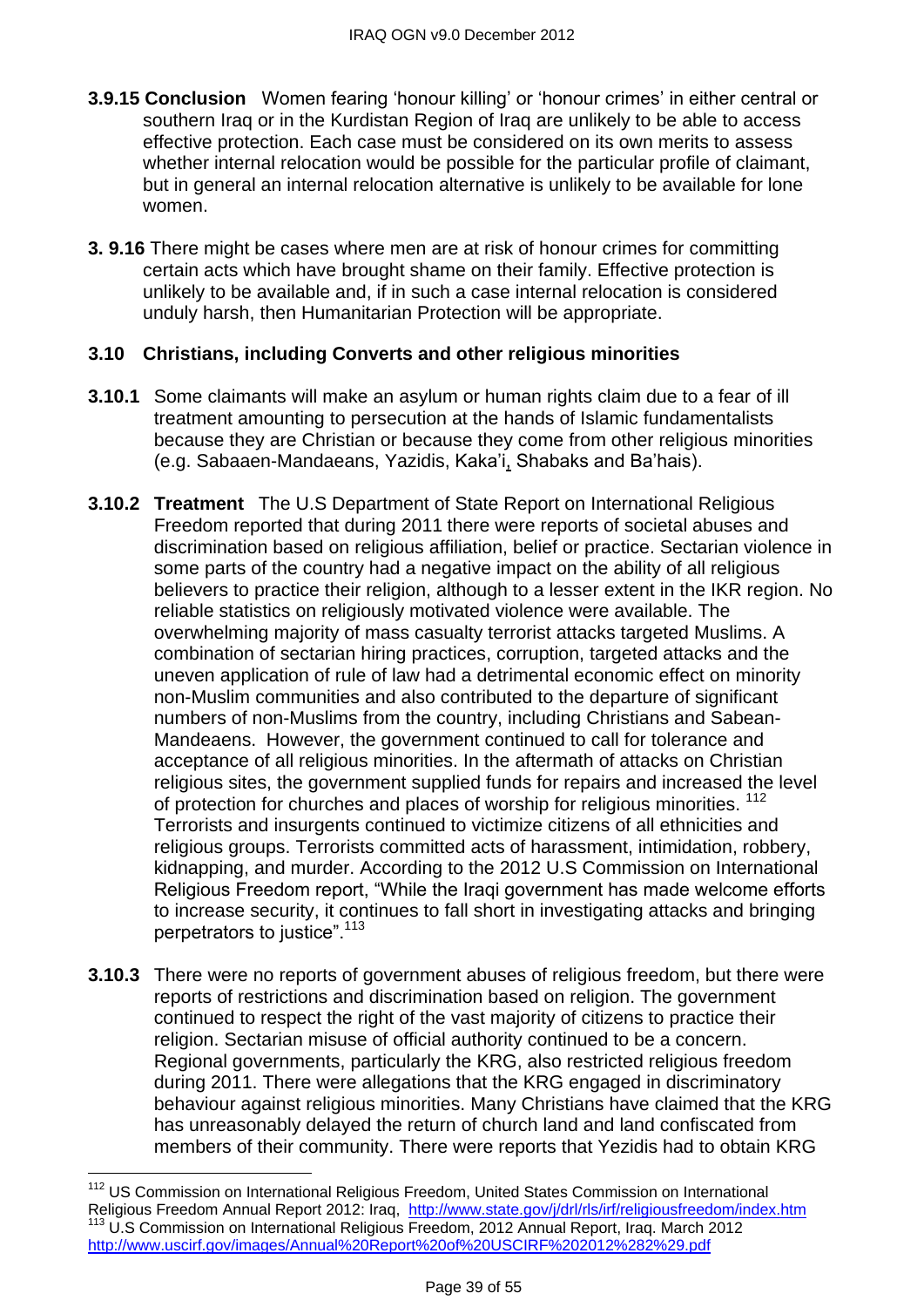- **3.9.15 Conclusion** Women fearing 'honour killing' or 'honour crimes' in either central or southern Iraq or in the Kurdistan Region of Iraq are unlikely to be able to access effective protection. Each case must be considered on its own merits to assess whether internal relocation would be possible for the particular profile of claimant, but in general an internal relocation alternative is unlikely to be available for lone women.
- **3. 9.16** There might be cases where men are at risk of honour crimes for committing certain acts which have brought shame on their family. Effective protection is unlikely to be available and, if in such a case internal relocation is considered unduly harsh, then Humanitarian Protection will be appropriate.

#### **3.10 Christians, including Converts and other religious minorities**

- **3.10.1** Some claimants will make an asylum or human rights claim due to a fear of ill treatment amounting to persecution at the hands of Islamic fundamentalists because they are Christian or because they come from other religious minorities (e.g. Sabaaen-Mandaeans, Yazidis, Kaka'i, Shabaks and Ba'hais).
- **3.10.2 Treatment** The U.S Department of State Report on International Religious Freedom reported that during 2011 there were reports of societal abuses and discrimination based on religious affiliation, belief or practice. Sectarian violence in some parts of the country had a negative impact on the ability of all religious believers to practice their religion, although to a lesser extent in the IKR region. No reliable statistics on religiously motivated violence were available. The overwhelming majority of mass casualty terrorist attacks targeted Muslims. A combination of sectarian hiring practices, corruption, targeted attacks and the uneven application of rule of law had a detrimental economic effect on minority non-Muslim communities and also contributed to the departure of significant numbers of non-Muslims from the country, including Christians and Sabean-Mandeaens. However, the government continued to call for tolerance and acceptance of all religious minorities. In the aftermath of attacks on Christian religious sites, the government supplied funds for repairs and increased the level of protection for churches and places of worship for religious minorities.<sup>112</sup> Terrorists and insurgents continued to victimize citizens of all ethnicities and religious groups. Terrorists committed acts of harassment, intimidation, robbery, kidnapping, and murder. According to the 2012 U.S Commission on International Religious Freedom report, "While the Iraqi government has made welcome efforts to increase security, it continues to fall short in investigating attacks and bringing perpetrators to justice".<sup>113</sup>
- **3.10.3** There were no reports of government abuses of religious freedom, but there were reports of restrictions and discrimination based on religion. The government continued to respect the right of the vast majority of citizens to practice their religion. Sectarian misuse of official authority continued to be a concern. Regional governments, particularly the KRG, also restricted religious freedom during 2011. There were allegations that the KRG engaged in discriminatory behaviour against religious minorities. Many Christians have claimed that the KRG has unreasonably delayed the return of church land and land confiscated from members of their community. There were reports that Yezidis had to obtain KRG

<sup>&</sup>lt;sup>112</sup> US Commission on International Religious Freedom, United States Commission on International Religious Freedom Annual Report 2012: Iraq, <http://www.state.gov/j/drl/rls/irf/religiousfreedom/index.htm> <sup>113</sup> U.S Commission on International Religious Freedom, 2012 Annual Report, Iraq. March 2012 <http://www.uscirf.gov/images/Annual%20Report%20of%20USCIRF%202012%282%29.pdf>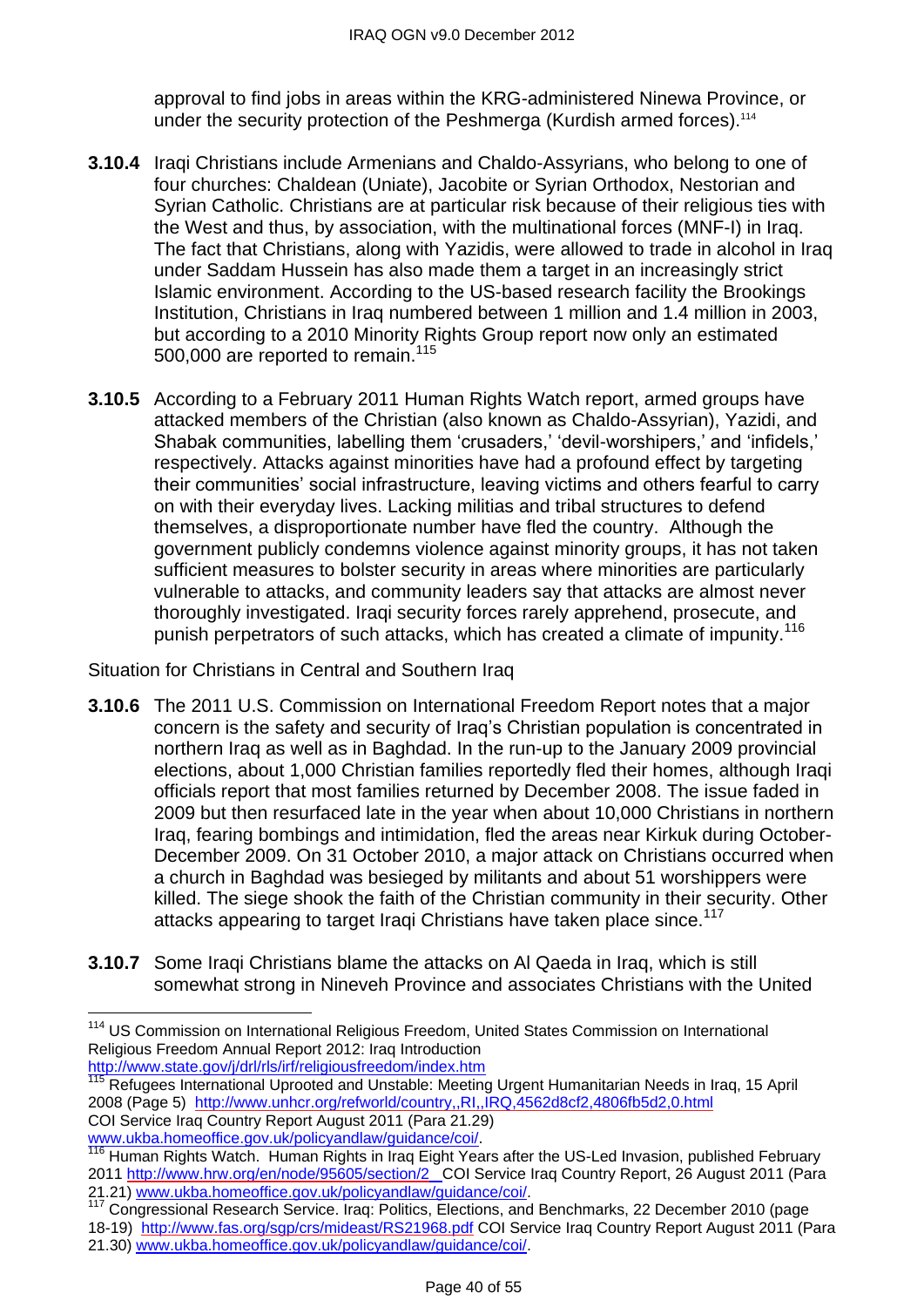approval to find jobs in areas within the KRG-administered Ninewa Province, or under the security protection of the Peshmerga (Kurdish armed forces).<sup>114</sup>

- **3.10.4** Iraqi Christians include Armenians and Chaldo-Assyrians, who belong to one of four churches: Chaldean (Uniate), Jacobite or Syrian Orthodox, Nestorian and Syrian Catholic. Christians are at particular risk because of their religious ties with the West and thus, by association, with the multinational forces (MNF-I) in Iraq. The fact that Christians, along with Yazidis, were allowed to trade in alcohol in Iraq under Saddam Hussein has also made them a target in an increasingly strict Islamic environment. According to the US-based research facility the Brookings Institution, Christians in Iraq numbered between 1 million and 1.4 million in 2003, but according to a 2010 Minority Rights Group report now only an estimated 500,000 are reported to remain. 115
- **3.10.5** According to a February 2011 Human Rights Watch report, armed groups have attacked members of the Christian (also known as Chaldo-Assyrian), Yazidi, and Shabak communities, labelling them 'crusaders,' 'devil-worshipers,' and 'infidels,' respectively. Attacks against minorities have had a profound effect by targeting their communities' social infrastructure, leaving victims and others fearful to carry on with their everyday lives. Lacking militias and tribal structures to defend themselves, a disproportionate number have fled the country. Although the government publicly condemns violence against minority groups, it has not taken sufficient measures to bolster security in areas where minorities are particularly vulnerable to attacks, and community leaders say that attacks are almost never thoroughly investigated. Iraqi security forces rarely apprehend, prosecute, and punish perpetrators of such attacks, which has created a climate of impunity.<sup>116</sup>

Situation for Christians in Central and Southern Iraq

- **3.10.6** The 2011 U.S. Commission on International Freedom Report notes that a major concern is the safety and security of Iraq's Christian population is concentrated in northern Iraq as well as in Baghdad. In the run-up to the January 2009 provincial elections, about 1,000 Christian families reportedly fled their homes, although Iraqi officials report that most families returned by December 2008. The issue faded in 2009 but then resurfaced late in the year when about 10,000 Christians in northern Iraq, fearing bombings and intimidation, fled the areas near Kirkuk during October-December 2009. On 31 October 2010, a major attack on Christians occurred when a church in Baghdad was besieged by militants and about 51 worshippers were killed. The siege shook the faith of the Christian community in their security. Other attacks appearing to target Iraqi Christians have taken place since.<sup>117</sup>
- **3.10.7** Some Iraqi Christians blame the attacks on Al Qaeda in Iraq, which is still somewhat strong in Nineveh Province and associates Christians with the United

<sup>&</sup>lt;sup>114</sup> US Commission on International Religious Freedom, United States Commission on International Religious Freedom Annual Report 2012: Iraq Introduction <http://www.state.gov/j/drl/rls/irf/religiousfreedom/index.htm>

<sup>115</sup> Refugees International Uprooted and Unstable: Meeting Urgent Humanitarian Needs in Iraq, 15 April 2008 (Page 5) <http://www.unhcr.org/refworld/country,,RI,,IRQ,4562d8cf2,4806fb5d2,0.html> COI Service Iraq Country Report August 2011 (Para 21.29)

[www.ukba.homeoffice.gov.uk/policyandlaw/guidance/coi/.](http://www.ukba.homeoffice.gov.uk/policyandlaw/guidance/coi/)<br>116 Human Diskts Wistor Waller

Human Rights Watch. Human Rights in Iraq Eight Years after the US-Led Invasion, published February 201[1 http://www.hrw.org/en/node/95605/section/2](http://www.hrw.org/en/node/95605/section/2) COI Service Iraq Country Report, 26 August 2011 (Para 21.21) [www.ukba.homeoffice.gov.uk/policyandlaw/guidance/coi/.](http://www.ukba.homeoffice.gov.uk/policyandlaw/guidance/coi/)

<sup>117</sup> Congressional Research Service. Iraq: Politics, Elections, and Benchmarks, 22 December 2010 (page 18-19) <http://www.fas.org/sgp/crs/mideast/RS21968.pdf> COI Service Iraq Country Report August 2011 (Para 21.30) [www.ukba.homeoffice.gov.uk/policyandlaw/guidance/coi/.](http://www.ukba.homeoffice.gov.uk/policyandlaw/guidance/coi/)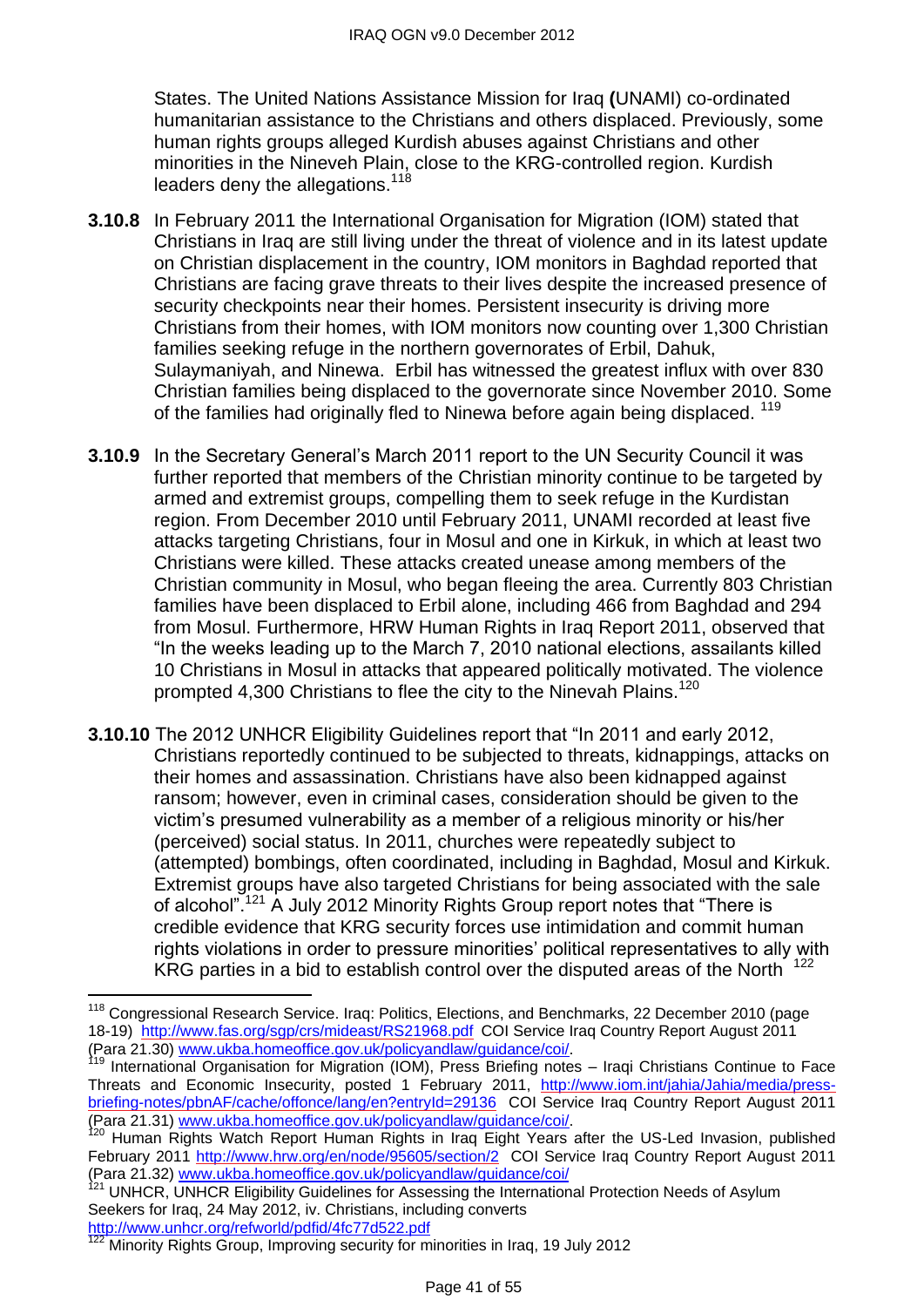States. The United Nations Assistance Mission for Iraq **(**UNAMI) co-ordinated humanitarian assistance to the Christians and others displaced. Previously, some human rights groups alleged Kurdish abuses against Christians and other minorities in the Nineveh Plain, close to the KRG-controlled region. Kurdish leaders deny the allegations.<sup>118</sup>

- **3.10.8** In February 2011 the International Organisation for Migration (IOM) stated that Christians in Iraq are still living under the threat of violence and in its latest update on Christian displacement in the country, IOM monitors in Baghdad reported that Christians are facing grave threats to their lives despite the increased presence of security checkpoints near their homes. Persistent insecurity is driving more Christians from their homes, with IOM monitors now counting over 1,300 Christian families seeking refuge in the northern governorates of Erbil, Dahuk, Sulaymaniyah, and Ninewa. Erbil has witnessed the greatest influx with over 830 Christian families being displaced to the governorate since November 2010. Some of the families had originally fled to Ninewa before again being displaced.<sup>119</sup>
- **3.10.9** In the Secretary General's March 2011 report to the UN Security Council it was further reported that members of the Christian minority continue to be targeted by armed and extremist groups, compelling them to seek refuge in the Kurdistan region. From December 2010 until February 2011, UNAMI recorded at least five attacks targeting Christians, four in Mosul and one in Kirkuk, in which at least two Christians were killed. These attacks created unease among members of the Christian community in Mosul, who began fleeing the area. Currently 803 Christian families have been displaced to Erbil alone, including 466 from Baghdad and 294 from Mosul. Furthermore, HRW Human Rights in Iraq Report 2011, observed that ―In the weeks leading up to the March 7, 2010 national elections, assailants killed 10 Christians in Mosul in attacks that appeared politically motivated. The violence prompted 4,300 Christians to flee the city to the Ninevah Plains.<sup>120</sup>
- **3.10.10** The 2012 UNHCR Eligibility Guidelines report that "In 2011 and early 2012, Christians reportedly continued to be subjected to threats, kidnappings, attacks on their homes and assassination. Christians have also been kidnapped against ransom; however, even in criminal cases, consideration should be given to the victim's presumed vulnerability as a member of a religious minority or his/her (perceived) social status. In 2011, churches were repeatedly subject to (attempted) bombings, often coordinated, including in Baghdad, Mosul and Kirkuk. Extremist groups have also targeted Christians for being associated with the sale of alcohol".<sup>121</sup> A July 2012 Minority Rights Group report notes that "There is credible evidence that KRG security forces use intimidation and commit human rights violations in order to pressure minorities' political representatives to ally with KRG parties in a bid to establish control over the disputed areas of the North  $122$

<http://www.unhcr.org/refworld/pdfid/4fc77d522.pdf>

 $\overline{a}$ <sup>118</sup> Congressional Research Service. Irag: Politics, Elections, and Benchmarks, 22 December 2010 (page 18-19) <http://www.fas.org/sgp/crs/mideast/RS21968.pdf> COI Service Iraq Country Report August 2011 (Para 21.30) [www.ukba.homeoffice.gov.uk/policyandlaw/guidance/coi/.](http://www.ukba.homeoffice.gov.uk/policyandlaw/guidance/coi/)

<sup>119</sup> International Organisation for Migration (IOM), Press Briefing notes – Iraqi Christians Continue to Face Threats and Economic Insecurity, posted 1 February 2011, [http://www.iom.int/jahia/Jahia/media/press](http://www.iom.int/jahia/Jahia/media/press-briefing-notes/pbnAF/cache/offonce/lang/en?entryId=29136)[briefing-notes/pbnAF/cache/offonce/lang/en?entryId=29136](http://www.iom.int/jahia/Jahia/media/press-briefing-notes/pbnAF/cache/offonce/lang/en?entryId=29136) COI Service Iraq Country Report August 2011 (Para 21.31) [www.ukba.homeoffice.gov.uk/policyandlaw/guidance/coi/.](http://www.ukba.homeoffice.gov.uk/policyandlaw/guidance/coi/)

<sup>120</sup> Human Rights Watch Report Human Rights in Iraq Eight Years after the US-Led Invasion, published February 2011<http://www.hrw.org/en/node/95605/section/2>COI Service Iraq Country Report August 2011 (Para 21.32) [www.ukba.homeoffice.gov.uk/policyandlaw/guidance/coi/](http://www.ukba.homeoffice.gov.uk/policyandlaw/guidance/coi/)

<sup>&</sup>lt;sup>121</sup> UNHCR, UNHCR Eligibility Guidelines for Assessing the International Protection Needs of Asylum Seekers for Iraq, 24 May 2012, iv. Christians, including converts

<sup>122</sup> Minority Rights Group, Improving security for minorities in Iraq, 19 July 2012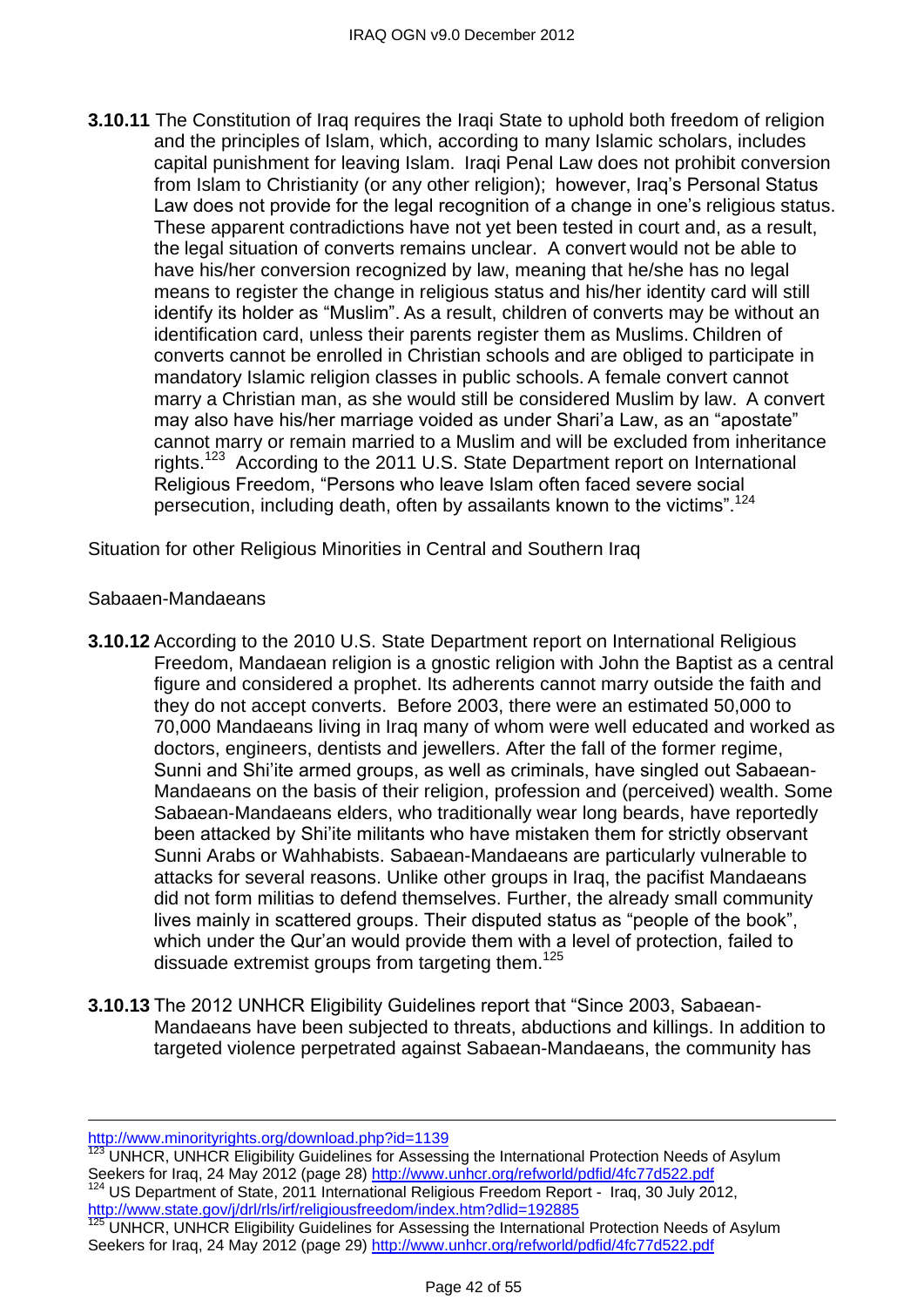**3.10.11** The Constitution of Iraq requires the Iraqi State to uphold both freedom of religion and the principles of Islam, which, according to many Islamic scholars, includes capital punishment for leaving Islam. Iraqi Penal Law does not prohibit conversion from Islam to Christianity (or any other religion); however, Iraq's Personal Status Law does not provide for the legal recognition of a change in one's religious status. These apparent contradictions have not yet been tested in court and, as a result, the legal situation of converts remains unclear. A convert would not be able to have his/her conversion recognized by law, meaning that he/she has no legal means to register the change in religious status and his/her identity card will still identify its holder as "Muslim". As a result, children of converts may be without an identification card, unless their parents register them as Muslims. Children of converts cannot be enrolled in Christian schools and are obliged to participate in mandatory Islamic religion classes in public schools. A female convert cannot marry a Christian man, as she would still be considered Muslim by law. A convert may also have his/her marriage voided as under Shari'a Law, as an "apostate" cannot marry or remain married to a Muslim and will be excluded from inheritance rights.<sup>123</sup> According to the 2011 U.S. State Department report on International Religious Freedom, "Persons who leave Islam often faced severe social persecution, including death, often by assailants known to the victims".<sup>124</sup>

Situation for other Religious Minorities in Central and Southern Iraq

#### Sabaaen-Mandaeans

- **3.10.12** According to the 2010 U.S. State Department report on International Religious Freedom, Mandaean religion is a gnostic religion with John the Baptist as a central figure and considered a prophet. Its adherents cannot marry outside the faith and they do not accept converts. Before 2003, there were an estimated 50,000 to 70,000 Mandaeans living in Iraq many of whom were well educated and worked as doctors, engineers, dentists and jewellers. After the fall of the former regime, Sunni and Shi'ite armed groups, as well as criminals, have singled out Sabaean-Mandaeans on the basis of their religion, profession and (perceived) wealth. Some Sabaean-Mandaeans elders, who traditionally wear long beards, have reportedly been attacked by Shi'ite militants who have mistaken them for strictly observant Sunni Arabs or Wahhabists. Sabaean-Mandaeans are particularly vulnerable to attacks for several reasons. Unlike other groups in Iraq, the pacifist Mandaeans did not form militias to defend themselves. Further, the already small community lives mainly in scattered groups. Their disputed status as "people of the book", which under the Qur'an would provide them with a level of protection, failed to dissuade extremist groups from targeting them.<sup>125</sup>
- **3.10.13** The 2012 UNHCR Eligibility Guidelines report that "Since 2003, Sabaean-Mandaeans have been subjected to threats, abductions and killings. In addition to targeted violence perpetrated against Sabaean-Mandaeans, the community has

<http://www.minorityrights.org/download.php?id=1139>

UNHCR, UNHCR Eligibility Guidelines for Assessing the International Protection Needs of Asylum Seekers for Iraq, 24 May 2012 (page 28)<http://www.unhcr.org/refworld/pdfid/4fc77d522.pdf> <sup>124</sup> US Department of State, 2011 International Religious Freedom Report - Iraq, 30 July 2012, <http://www.state.gov/j/drl/rls/irf/religiousfreedom/index.htm?dlid=192885>

<sup>&</sup>lt;sup>125</sup> UNHCR, UNHCR Eligibility Guidelines for Assessing the International Protection Needs of Asylum Seekers for Iraq, 24 May 2012 (page 29)<http://www.unhcr.org/refworld/pdfid/4fc77d522.pdf>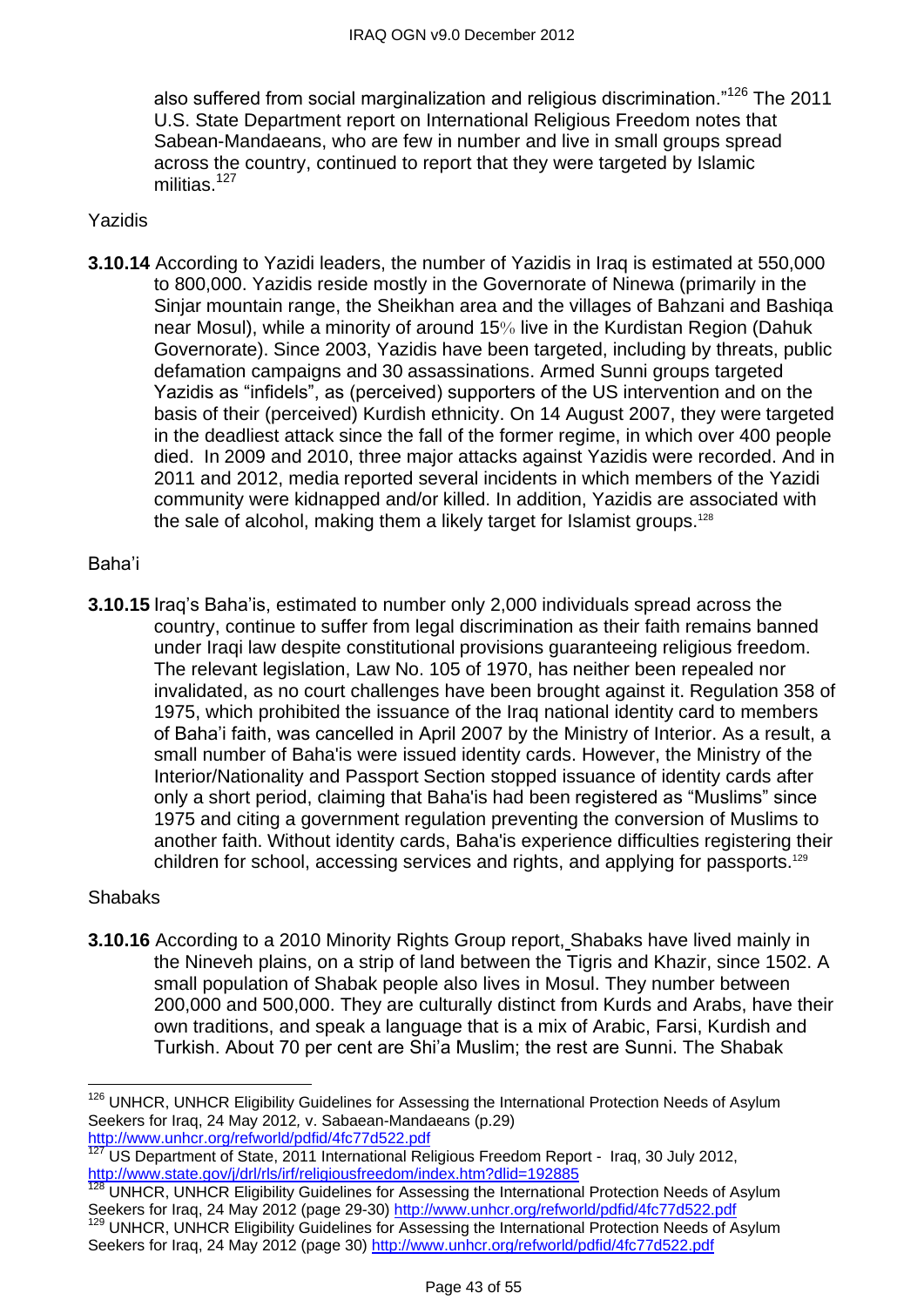also suffered from social marginalization and religious discrimination.<sup>"126</sup> The 2011 U.S. State Department report on International Religious Freedom notes that Sabean-Mandaeans, who are few in number and live in small groups spread across the country, continued to report that they were targeted by Islamic militias. $127$ 

#### Yazidis

**3.10.14** According to Yazidi leaders, the number of Yazidis in Iraq is estimated at 550,000 to 800,000. Yazidis reside mostly in the Governorate of Ninewa (primarily in the Sinjar mountain range, the Sheikhan area and the villages of Bahzani and Bashiqa near Mosul), while a minority of around 15% live in the Kurdistan Region (Dahuk Governorate). Since 2003, Yazidis have been targeted, including by threats, public defamation campaigns and 30 assassinations. Armed Sunni groups targeted Yazidis as "infidels", as (perceived) supporters of the US intervention and on the basis of their (perceived) Kurdish ethnicity. On 14 August 2007, they were targeted in the deadliest attack since the fall of the former regime, in which over 400 people died. In 2009 and 2010, three major attacks against Yazidis were recorded. And in 2011 and 2012, media reported several incidents in which members of the Yazidi community were kidnapped and/or killed. In addition, Yazidis are associated with the sale of alcohol, making them a likely target for Islamist groups.<sup>128</sup>

#### Baha'i

**3.10.15** Iraq's Baha'is, estimated to number only 2,000 individuals spread across the country, continue to suffer from legal discrimination as their faith remains banned under Iraqi law despite constitutional provisions guaranteeing religious freedom. The relevant legislation, Law No. 105 of 1970, has neither been repealed nor invalidated, as no court challenges have been brought against it. Regulation 358 of 1975, which prohibited the issuance of the Iraq national identity card to members of Baha'i faith, was cancelled in April 2007 by the Ministry of Interior. As a result, a small number of Baha'is were issued identity cards. However, the Ministry of the Interior/Nationality and Passport Section stopped issuance of identity cards after only a short period, claiming that Baha'is had been registered as "Muslims" since 1975 and citing a government regulation preventing the conversion of Muslims to another faith. Without identity cards, Baha'is experience difficulties registering their children for school, accessing services and rights, and applying for passports.<sup>129</sup>

#### Shabaks

 $\overline{a}$ 

**3.10.16** According to a 2010 Minority Rights Group report, Shabaks have lived mainly in the Nineveh plains, on a strip of land between the Tigris and Khazir, since 1502. A small population of Shabak people also lives in Mosul. They number between 200,000 and 500,000. They are culturally distinct from Kurds and Arabs, have their own traditions, and speak a language that is a mix of Arabic, Farsi, Kurdish and Turkish. About 70 per cent are Shi'a Muslim; the rest are Sunni. The Shabak

<sup>&</sup>lt;sup>126</sup> UNHCR, UNHCR Eligibility Guidelines for Assessing the International Protection Needs of Asylum Seekers for Iraq, 24 May 2012*,* v. Sabaean-Mandaeans (p.29) <http://www.unhcr.org/refworld/pdfid/4fc77d522.pdf>

<sup>127</sup> US Department of State, 2011 International Religious Freedom Report - Iraq, 30 July 2012, <http://www.state.gov/j/drl/rls/irf/religiousfreedom/index.htm?dlid=192885>

UNHCR, UNHCR Eligibility Guidelines for Assessing the International Protection Needs of Asylum Seekers for Iraq, 24 May 2012 (page 29-30)<http://www.unhcr.org/refworld/pdfid/4fc77d522.pdf>

<sup>&</sup>lt;sup>129</sup> UNHCR, UNHCR Eligibility Guidelines for Assessing the International Protection Needs of Asylum Seekers for Iraq, 24 May 2012 (page 30)<http://www.unhcr.org/refworld/pdfid/4fc77d522.pdf>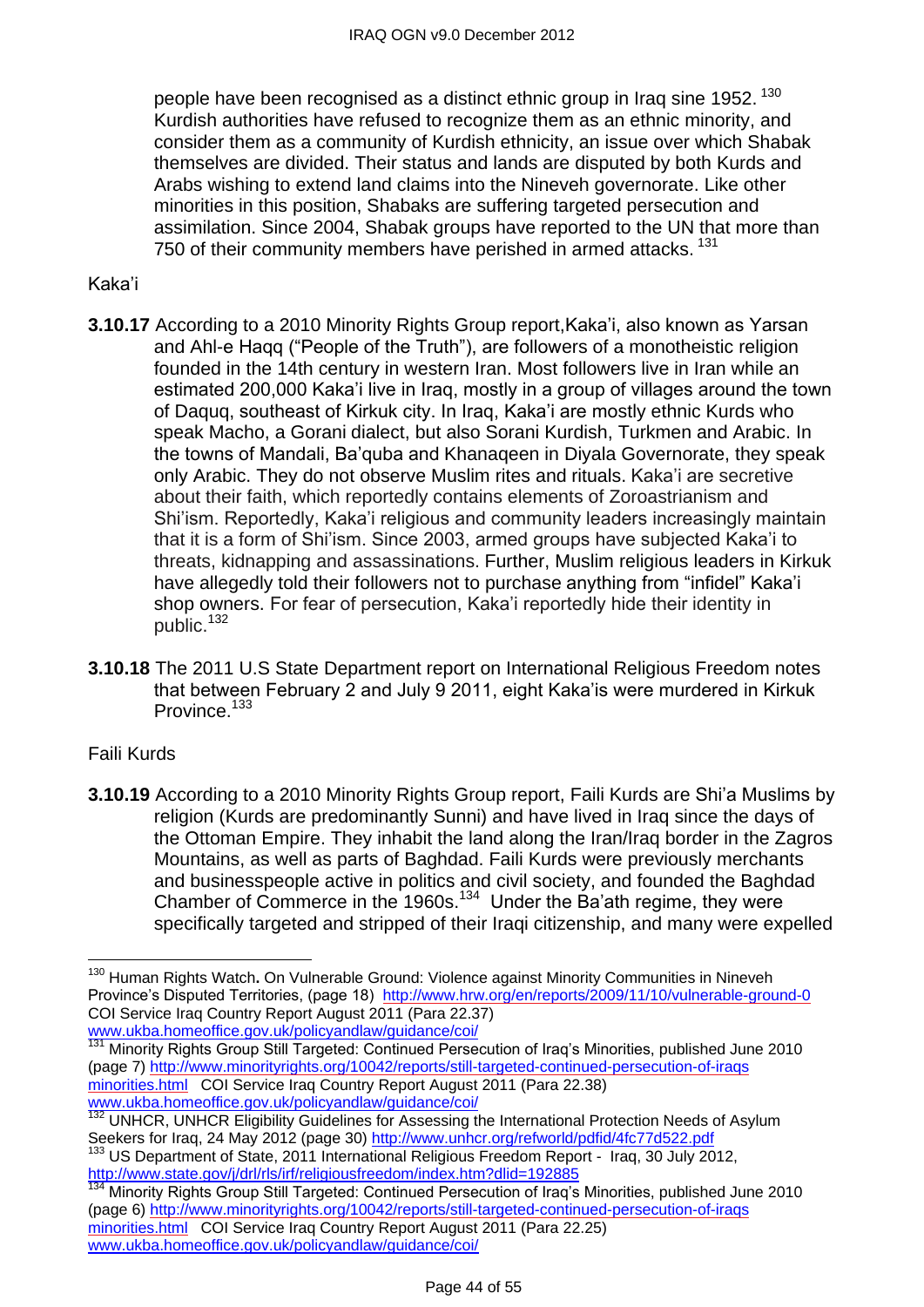people have been recognised as a distinct ethnic group in Iraq sine 1952.  $^{130}$ Kurdish authorities have refused to recognize them as an ethnic minority, and consider them as a community of Kurdish ethnicity, an issue over which Shabak themselves are divided. Their status and lands are disputed by both Kurds and Arabs wishing to extend land claims into the Nineveh governorate. Like other minorities in this position, Shabaks are suffering targeted persecution and assimilation. Since 2004, Shabak groups have reported to the UN that more than 750 of their community members have perished in armed attacks.<sup>131</sup>

### Kaka'i

- **3.10.17** According to a 2010 Minority Rights Group report,Kaka'i, also known as Yarsan and Ahl-e Hagg ("People of the Truth"), are followers of a monotheistic religion founded in the 14th century in western Iran. Most followers live in Iran while an estimated 200,000 Kaka'i live in Iraq, mostly in a group of villages around the town of Daquq, southeast of Kirkuk city. In Iraq, Kaka'i are mostly ethnic Kurds who speak Macho, a Gorani dialect, but also Sorani Kurdish, Turkmen and Arabic. In the towns of Mandali, Ba'quba and Khanaqeen in Diyala Governorate, they speak only Arabic. They do not observe Muslim rites and rituals. Kaka'i are secretive about their faith, which reportedly contains elements of Zoroastrianism and Shi'ism. Reportedly, Kaka'i religious and community leaders increasingly maintain that it is a form of Shi'ism. Since 2003, armed groups have subjected Kaka'i to threats, kidnapping and assassinations. Further, Muslim religious leaders in Kirkuk have allegedly told their followers not to purchase anything from "infidel" Kaka'i shop owners. For fear of persecution, Kaka'i reportedly hide their identity in public.<sup>132</sup>
- **3.10.18** The 2011 U.S State Department report on International Religious Freedom notes that between February 2 and July 9 2011, eight Kaka'is were murdered in Kirkuk Province.<sup>133</sup>

# Faili Kurds

 $\overline{a}$ 

**3.10.19** According to a 2010 Minority Rights Group report, Faili Kurds are Shi'a Muslims by religion (Kurds are predominantly Sunni) and have lived in Iraq since the days of the Ottoman Empire. They inhabit the land along the Iran/Iraq border in the Zagros Mountains, as well as parts of Baghdad. Faili Kurds were previously merchants and businesspeople active in politics and civil society, and founded the Baghdad Chamber of Commerce in the 1960s.<sup>134</sup> Under the Ba'ath regime, they were specifically targeted and stripped of their Iraqi citizenship, and many were expelled

<sup>130</sup> Human Rights Watch**.** On Vulnerable Ground: Violence against Minority Communities in Nineveh Province's Disputed Territories, (page 18) <http://www.hrw.org/en/reports/2009/11/10/vulnerable-ground-0> COI Service Iraq Country Report August 2011 (Para 22.37) [www.ukba.homeoffice.gov.uk/policyandlaw/guidance/coi/](http://www.ukba.homeoffice.gov.uk/policyandlaw/guidance/coi/)

<sup>131</sup> Minority Rights Group Still Targeted: Continued Persecution of Iraq's Minorities, published June 2010 (page 7) [http://www.minorityrights.org/10042/reports/still-targeted-continued-persecution-of-iraqs](http://www.minorityrights.org/10042/reports/still-targeted-continued-persecution-of-iraqsminorities.html) [minorities.html](http://www.minorityrights.org/10042/reports/still-targeted-continued-persecution-of-iraqsminorities.html) COI Service Iraq Country Report August 2011 (Para 22.38) [www.ukba.homeoffice.gov.uk/policyandlaw/guidance/coi/](http://www.ukba.homeoffice.gov.uk/policyandlaw/guidance/coi/)

**WWW.GASGERIGHTCORCOURCY.COM PORCY CREAMS ACTOR**<br><sup>132</sup> UNHCR, UNHCR Eligibility Guidelines for Assessing the International Protection Needs of Asylum Seekers for Iraq, 24 May 2012 (page 30)<http://www.unhcr.org/refworld/pdfid/4fc77d522.pdf>

US Department of State, 2011 International Religious Freedom Report - Iraq, 30 July 2012, <http://www.state.gov/j/drl/rls/irf/religiousfreedom/index.htm?dlid=192885>

Minority Rights Group Still Targeted: Continued Persecution of Iraq's Minorities, published June 2010 (page 6) [http://www.minorityrights.org/10042/reports/still-targeted-continued-persecution-of-iraqs](http://www.minorityrights.org/10042/reports/still-targeted-continued-persecution-of-iraqsminorities.html) [minorities.html](http://www.minorityrights.org/10042/reports/still-targeted-continued-persecution-of-iraqsminorities.html) COI Service Iraq Country Report August 2011 (Para 22.25) [www.ukba.homeoffice.gov.uk/policyandlaw/guidance/coi/](http://www.ukba.homeoffice.gov.uk/policyandlaw/guidance/coi/)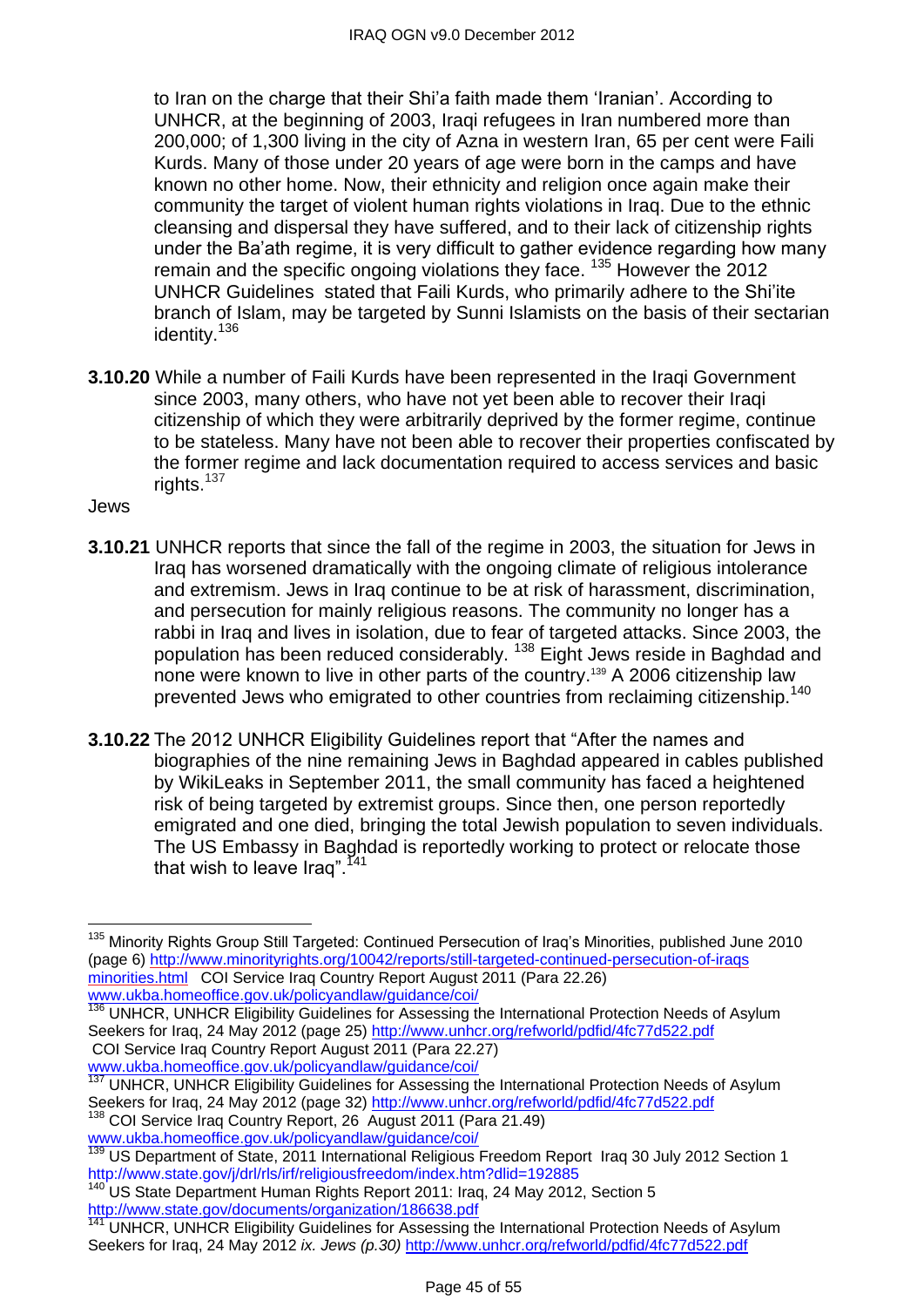to Iran on the charge that their Shi'a faith made them 'Iranian'. According to UNHCR, at the beginning of 2003, Iraqi refugees in Iran numbered more than 200,000; of 1,300 living in the city of Azna in western Iran, 65 per cent were Faili Kurds. Many of those under 20 years of age were born in the camps and have known no other home. Now, their ethnicity and religion once again make their community the target of violent human rights violations in Iraq. Due to the ethnic cleansing and dispersal they have suffered, and to their lack of citizenship rights under the Ba'ath regime, it is very difficult to gather evidence regarding how many remain and the specific ongoing violations they face. <sup>135</sup> However the 2012 UNHCR Guidelines stated that Faili Kurds, who primarily adhere to the Shi'ite branch of Islam, may be targeted by Sunni Islamists on the basis of their sectarian identity.<sup>136</sup>

**3.10.20** While a number of Faili Kurds have been represented in the Iraqi Government since 2003, many others, who have not yet been able to recover their Iraqi citizenship of which they were arbitrarily deprived by the former regime, continue to be stateless. Many have not been able to recover their properties confiscated by the former regime and lack documentation required to access services and basic rights.<sup>137</sup>

Jews

 $\overline{a}$ 

- **3.10.21** UNHCR reports that since the fall of the regime in 2003, the situation for Jews in Iraq has worsened dramatically with the ongoing climate of religious intolerance and extremism. Jews in Iraq continue to be at risk of harassment, discrimination, and persecution for mainly religious reasons. The community no longer has a rabbi in Iraq and lives in isolation, due to fear of targeted attacks. Since 2003, the population has been reduced considerably. <sup>138</sup> Eight Jews reside in Baghdad and none were known to live in other parts of the country.<sup>139</sup> A 2006 citizenship law prevented Jews who emigrated to other countries from reclaiming citizenship.<sup>140</sup>
- **3.10.22** The 2012 UNHCR Eligibility Guidelines report that "After the names and biographies of the nine remaining Jews in Baghdad appeared in cables published by WikiLeaks in September 2011, the small community has faced a heightened risk of being targeted by extremist groups. Since then, one person reportedly emigrated and one died, bringing the total Jewish population to seven individuals. The US Embassy in Baghdad is reportedly working to protect or relocate those that wish to leave Iraq". $141$

<sup>136</sup> UNHCR, UNHCR Eligibility Guidelines for Assessing the International Protection Needs of Asylum Seekers for Iraq, 24 May 2012 (page 25)<http://www.unhcr.org/refworld/pdfid/4fc77d522.pdf> COI Service Iraq Country Report August 2011 (Para 22.27)

[www.ukba.homeoffice.gov.uk/policyandlaw/guidance/coi/](http://www.ukba.homeoffice.gov.uk/policyandlaw/guidance/coi/) 137 UNHCR, UNHCR Eligibility Guidelines for Assessing the International Protection Needs of Asylum Seekers for Iraq, 24 May 2012 (page 32)<http://www.unhcr.org/refworld/pdfid/4fc77d522.pdf>

<sup>138</sup> COI Service Iraq Country Report, 26 August 2011 (Para 21.49) [www.ukba.homeoffice.gov.uk/policyandlaw/guidance/coi/](http://www.ukba.homeoffice.gov.uk/policyandlaw/guidance/coi/)

<sup>&</sup>lt;sup>135</sup> Minority Rights Group Still Targeted: Continued Persecution of Iraq's Minorities, published June 2010 (page 6) [http://www.minorityrights.org/10042/reports/still-targeted-continued-persecution-of-iraqs](http://www.minorityrights.org/10042/reports/still-targeted-continued-persecution-of-iraqsminorities.html) [minorities.html](http://www.minorityrights.org/10042/reports/still-targeted-continued-persecution-of-iraqsminorities.html) COI Service Iraq Country Report August 2011 (Para 22.26) [www.ukba.homeoffice.gov.uk/policyandlaw/guidance/coi/](http://www.ukba.homeoffice.gov.uk/policyandlaw/guidance/coi/)

<sup>139</sup> US Department of State, 2011 International Religious Freedom ReportIraq 30 July 2012 Section 1 <http://www.state.gov/j/drl/rls/irf/religiousfreedom/index.htm?dlid=192885>

<sup>&</sup>lt;sup>140'</sup>US State Department Human Rights Report 2011: Iraq, 24 May 2012, Section 5 <http://www.state.gov/documents/organization/186638.pdf>

<sup>141</sup> UNHCR, UNHCR Eligibility Guidelines for Assessing the International Protection Needs of Asylum Seekers for Iraq, 24 May 2012 *ix. Jews (p.30)* <http://www.unhcr.org/refworld/pdfid/4fc77d522.pdf>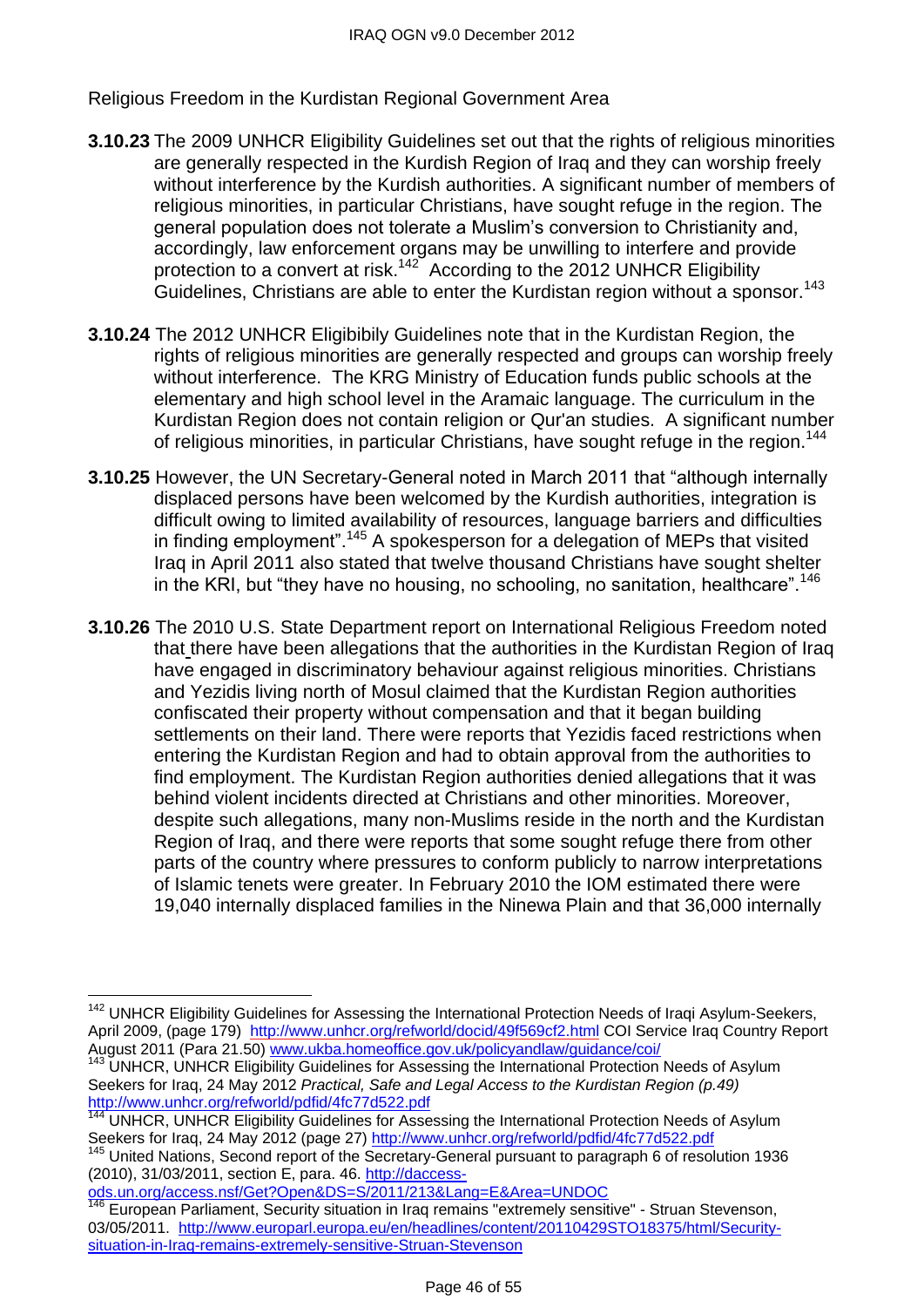Religious Freedom in the Kurdistan Regional Government Area

- **3.10.23** The 2009 UNHCR Eligibility Guidelines set out that the rights of religious minorities are generally respected in the Kurdish Region of Iraq and they can worship freely without interference by the Kurdish authorities. A significant number of members of religious minorities, in particular Christians, have sought refuge in the region. The general population does not tolerate a Muslim's conversion to Christianity and, accordingly, law enforcement organs may be unwilling to interfere and provide protection to a convert at risk.<sup>142</sup> According to the 2012 UNHCR Eligibility Guidelines, Christians are able to enter the Kurdistan region without a sponsor.<sup>143</sup>
- **3.10.24** The 2012 UNHCR Eligibibily Guidelines note that in the Kurdistan Region, the rights of religious minorities are generally respected and groups can worship freely without interference. The KRG Ministry of Education funds public schools at the elementary and high school level in the Aramaic language. The curriculum in the Kurdistan Region does not contain religion or Qur'an studies. A significant number of religious minorities, in particular Christians, have sought refuge in the region.<sup>144</sup>
- **3.10.25** However, the UN Secretary-General noted in March 2011 that "although internally displaced persons have been welcomed by the Kurdish authorities, integration is difficult owing to limited availability of resources, language barriers and difficulties in finding employment".<sup>145</sup> A spokesperson for a delegation of MEPs that visited Iraq in April 2011 also stated that twelve thousand Christians have sought shelter in the KRI, but "they have no housing, no schooling, no sanitation, healthcare".<sup>146</sup>
- **3.10.26** The 2010 U.S. State Department report on International Religious Freedom noted that there have been allegations that the authorities in the Kurdistan Region of Iraq have engaged in discriminatory behaviour against religious minorities. Christians and Yezidis living north of Mosul claimed that the Kurdistan Region authorities confiscated their property without compensation and that it began building settlements on their land. There were reports that Yezidis faced restrictions when entering the Kurdistan Region and had to obtain approval from the authorities to find employment. The Kurdistan Region authorities denied allegations that it was behind violent incidents directed at Christians and other minorities. Moreover, despite such allegations, many non-Muslims reside in the north and the Kurdistan Region of Iraq, and there were reports that some sought refuge there from other parts of the country where pressures to conform publicly to narrow interpretations of Islamic tenets were greater. In February 2010 the IOM estimated there were 19,040 internally displaced families in the Ninewa Plain and that 36,000 internally

[ods.un.org/access.nsf/Get?Open&DS=S/2011/213&Lang=E&Area=UNDOC](http://daccess-ods.un.org/access.nsf/Get?Open&DS=S/2011/213&Lang=E&Area=UNDOC)

 $\overline{\phantom{a}}$ 

<sup>&</sup>lt;sup>142</sup> UNHCR Eligibility Guidelines for Assessing the International Protection Needs of Iraqi Asylum-Seekers, April 2009, (page 179) <http://www.unhcr.org/refworld/docid/49f569cf2.html> COI Service Iraq Country Report August 2011 (Para 21.50) [www.ukba.homeoffice.gov.uk/policyandlaw/guidance/coi/](http://www.ukba.homeoffice.gov.uk/policyandlaw/guidance/coi/)

<sup>&</sup>lt;sup>143</sup> UNHCR, UNHCR Eligibility Guidelines for Assessing the International Protection Needs of Asylum Seekers for Iraq, 24 May 2012 *Practical, Safe and Legal Access to the Kurdistan Region (p.49)*  <http://www.unhcr.org/refworld/pdfid/4fc77d522.pdf>

<sup>144</sup> UNHCR, UNHCR Eligibility Guidelines for Assessing the International Protection Needs of Asylum Seekers for Iraq, 24 May 2012 (page 27)<http://www.unhcr.org/refworld/pdfid/4fc77d522.pdf>

United Nations, Second report of the Secretary-General pursuant to paragraph 6 of resolution 1936 (2010), 31/03/2011, section E, para. 46. [http://daccess-](http://daccess-ods.un.org/access.nsf/Get?Open&DS=S/2011/213&Lang=E&Area=UNDOC)

European Parliament, Security situation in Iraq remains "extremely sensitive" - Struan Stevenson, 03/05/2011. [http://www.europarl.europa.eu/en/headlines/content/20110429STO18375/html/Security](http://www.europarl.europa.eu/en/headlines/content/20110429STO18375/html/Security-situation-in-Iraq-remains-extremely-sensitive-Struan-Stevenson)[situation-in-Iraq-remains-extremely-sensitive-Struan-Stevenson](http://www.europarl.europa.eu/en/headlines/content/20110429STO18375/html/Security-situation-in-Iraq-remains-extremely-sensitive-Struan-Stevenson)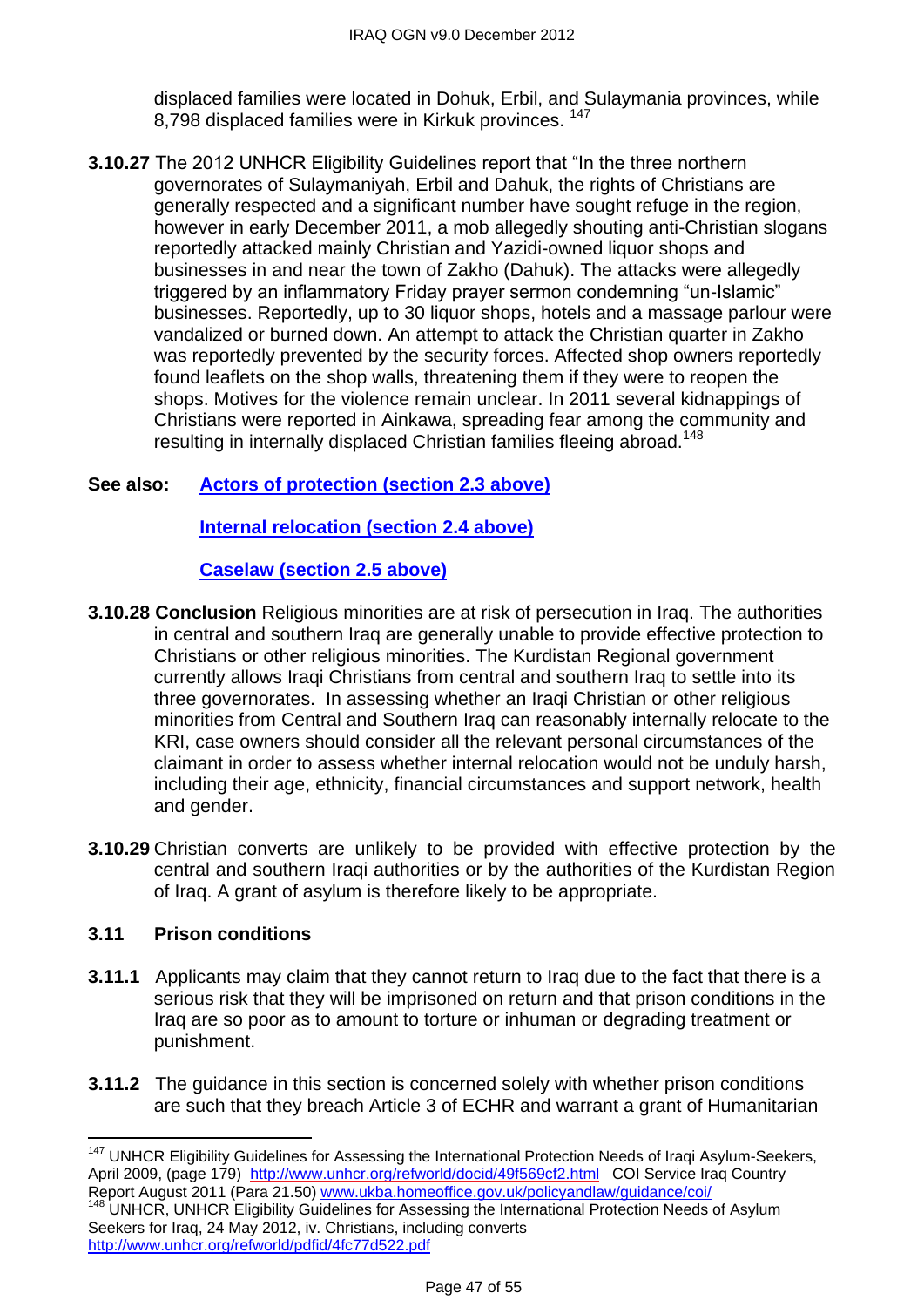displaced families were located in Dohuk, Erbil, and Sulaymania provinces, while 8,798 displaced families were in Kirkuk provinces.<sup>147</sup>

**3.10.27** The 2012 UNHCR Eligibility Guidelines report that "In the three northern governorates of Sulaymaniyah, Erbil and Dahuk, the rights of Christians are generally respected and a significant number have sought refuge in the region, however in early December 2011, a mob allegedly shouting anti-Christian slogans reportedly attacked mainly Christian and Yazidi-owned liquor shops and businesses in and near the town of Zakho (Dahuk). The attacks were allegedly triggered by an inflammatory Friday prayer sermon condemning "un-Islamic" businesses. Reportedly, up to 30 liquor shops, hotels and a massage parlour were vandalized or burned down. An attempt to attack the Christian quarter in Zakho was reportedly prevented by the security forces. Affected shop owners reportedly found leaflets on the shop walls, threatening them if they were to reopen the shops. Motives for the violence remain unclear. In 2011 several kidnappings of Christians were reported in Ainkawa, spreading fear among the community and resulting in internally displaced Christian families fleeing abroad.<sup>148</sup>

# **See also: [Actors of protection \(section 2.3 above\)](#page-1-1)**

**[Internal relocation \(section 2.4 above\)](#page-5-0)**

# **[Caselaw \(section 2.5 above\)](#page-10-0)**

- **3.10.28 Conclusion** Religious minorities are at risk of persecution in Iraq. The authorities in central and southern Iraq are generally unable to provide effective protection to Christians or other religious minorities. The Kurdistan Regional government currently allows Iraqi Christians from central and southern Iraq to settle into its three governorates. In assessing whether an Iraqi Christian or other religious minorities from Central and Southern Iraq can reasonably internally relocate to the KRI, case owners should consider all the relevant personal circumstances of the claimant in order to assess whether internal relocation would not be unduly harsh, including their age, ethnicity, financial circumstances and support network, health and gender.
- **3.10.29** Christian converts are unlikely to be provided with effective protection by the central and southern Iraqi authorities or by the authorities of the Kurdistan Region of Iraq. A grant of asylum is therefore likely to be appropriate.

# **3.11 Prison conditions**

- **3.11.1** Applicants may claim that they cannot return to Iraq due to the fact that there is a serious risk that they will be imprisoned on return and that prison conditions in the Iraq are so poor as to amount to torture or inhuman or degrading treatment or punishment.
- **3.11.2** The guidance in this section is concerned solely with whether prison conditions are such that they breach Article 3 of ECHR and warrant a grant of Humanitarian

<sup>&</sup>lt;sup>147</sup> UNHCR Eligibility Guidelines for Assessing the International Protection Needs of Iraqi Asylum-Seekers, April 2009, (page 179) <http://www.unhcr.org/refworld/docid/49f569cf2.html>COI Service Iraq Country Report August 2011 (Para 21.50) [www.ukba.homeoffice.gov.uk/policyandlaw/guidance/coi/](http://www.ukba.homeoffice.gov.uk/policyandlaw/guidance/coi/)<br>148 JUNIOR LINIUOR FILMENT CO. WWW.Ukba.homeoffice.gov.uk/policyandlaw/guidance/coi/

UNHCR, UNHCR Eligibility Guidelines for Assessing the International Protection Needs of Asylum Seekers for Iraq, 24 May 2012, iv. Christians, including converts <http://www.unhcr.org/refworld/pdfid/4fc77d522.pdf>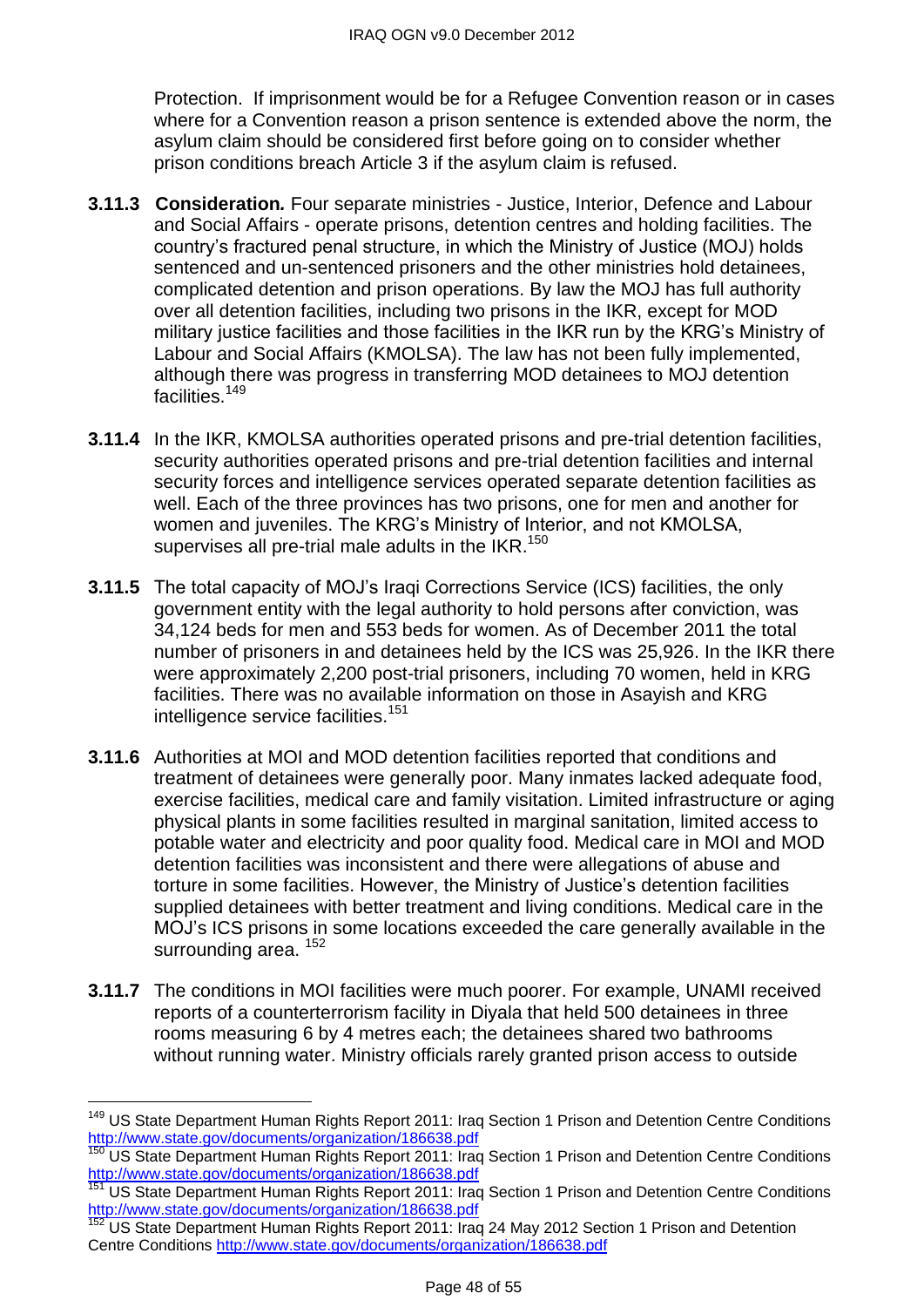Protection. If imprisonment would be for a Refugee Convention reason or in cases where for a Convention reason a prison sentence is extended above the norm, the asylum claim should be considered first before going on to consider whether prison conditions breach Article 3 if the asylum claim is refused.

- **3.11.3 Consideration***.* Four separate ministries Justice, Interior, Defence and Labour and Social Affairs - operate prisons, detention centres and holding facilities. The country's fractured penal structure, in which the Ministry of Justice (MOJ) holds sentenced and un-sentenced prisoners and the other ministries hold detainees, complicated detention and prison operations. By law the MOJ has full authority over all detention facilities, including two prisons in the IKR, except for MOD military justice facilities and those facilities in the IKR run by the KRG's Ministry of Labour and Social Affairs (KMOLSA). The law has not been fully implemented, although there was progress in transferring MOD detainees to MOJ detention facilities.<sup>149</sup>
- **3.11.4** In the IKR, KMOLSA authorities operated prisons and pre-trial detention facilities, security authorities operated prisons and pre-trial detention facilities and internal security forces and intelligence services operated separate detention facilities as well. Each of the three provinces has two prisons, one for men and another for women and juveniles. The KRG's Ministry of Interior, and not KMOLSA, supervises all pre-trial male adults in the  $IKR$ <sup>150</sup>
- **3.11.5** The total capacity of MOJ's Iraqi Corrections Service (ICS) facilities, the only government entity with the legal authority to hold persons after conviction, was 34,124 beds for men and 553 beds for women. As of December 2011 the total number of prisoners in and detainees held by the ICS was 25,926. In the IKR there were approximately 2,200 post-trial prisoners, including 70 women, held in KRG facilities. There was no available information on those in Asayish and KRG intelligence service facilities.<sup>151</sup>
- **3.11.6** Authorities at MOI and MOD detention facilities reported that conditions and treatment of detainees were generally poor. Many inmates lacked adequate food, exercise facilities, medical care and family visitation. Limited infrastructure or aging physical plants in some facilities resulted in marginal sanitation, limited access to potable water and electricity and poor quality food. Medical care in MOI and MOD detention facilities was inconsistent and there were allegations of abuse and torture in some facilities. However, the Ministry of Justice's detention facilities supplied detainees with better treatment and living conditions. Medical care in the MOJ's ICS prisons in some locations exceeded the care generally available in the surrounding area.  $152$
- **3.11.7** The conditions in MOI facilities were much poorer. For example, UNAMI received reports of a counterterrorism facility in Diyala that held 500 detainees in three rooms measuring 6 by 4 metres each; the detainees shared two bathrooms without running water. Ministry officials rarely granted prison access to outside

 $\overline{\phantom{a}}$ 

<sup>&</sup>lt;sup>149</sup> US State Department Human Rights Report 2011: Irag Section 1 Prison and Detention Centre Conditions <http://www.state.gov/documents/organization/186638.pdf>

US State Department Human Rights Report 2011: Iraq Section 1 Prison and Detention Centre Conditions <http://www.state.gov/documents/organization/186638.pdf>

US State Department Human Rights Report 2011: Iraq Section 1 Prison and Detention Centre Conditions <http://www.state.gov/documents/organization/186638.pdf>

US State Department Human Rights Report 2011: Iraq 24 May 2012 Section 1 Prison and Detention Centre Conditions<http://www.state.gov/documents/organization/186638.pdf>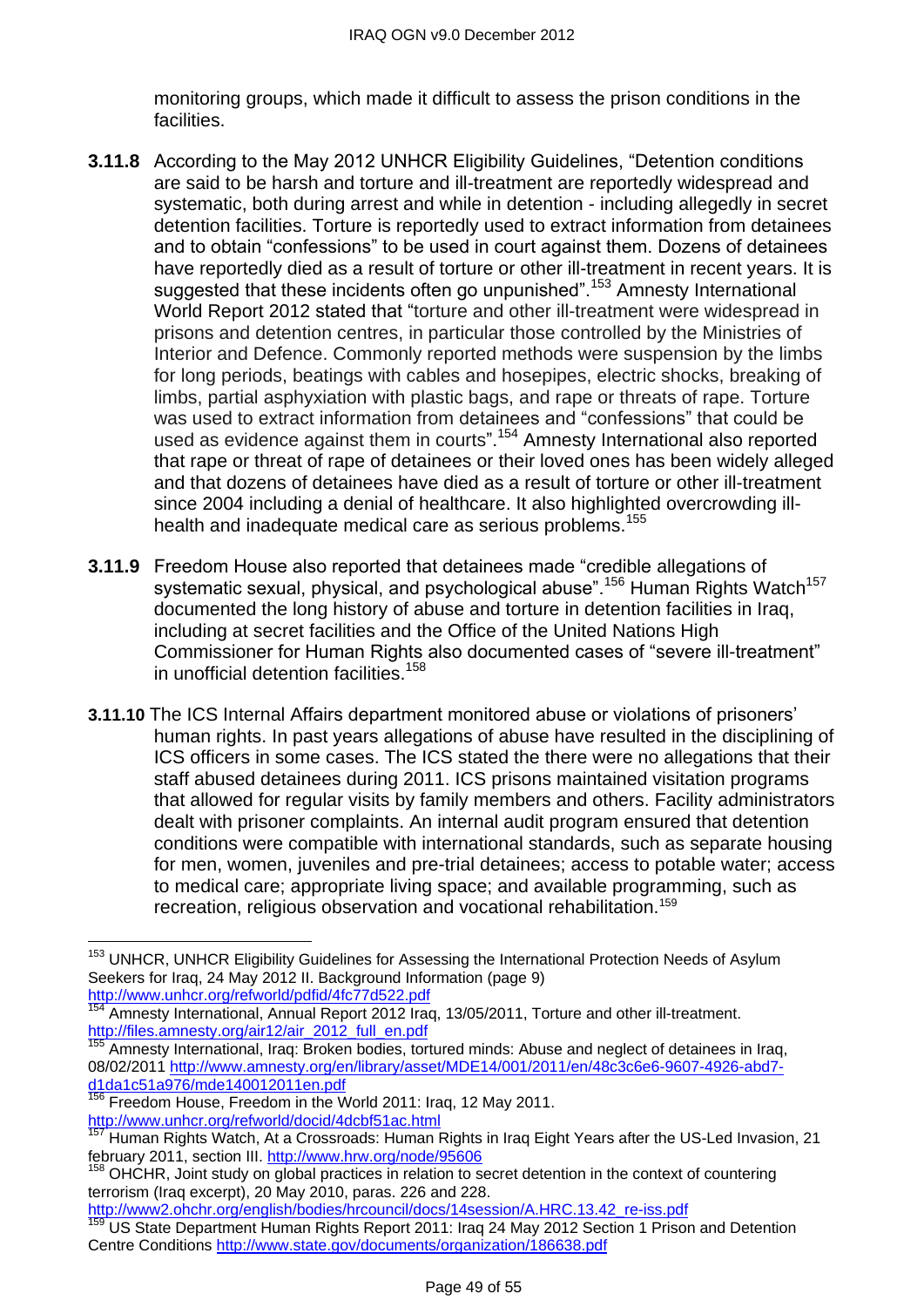monitoring groups, which made it difficult to assess the prison conditions in the facilities.

- **3.11.8** According to the May 2012 UNHCR Eligibility Guidelines, "Detention conditions are said to be harsh and torture and ill-treatment are reportedly widespread and systematic, both during arrest and while in detention - including allegedly in secret detention facilities. Torture is reportedly used to extract information from detainees and to obtain "confessions" to be used in court against them. Dozens of detainees have reportedly died as a result of torture or other ill-treatment in recent years. It is suggested that these incidents often go unpunished".<sup>153</sup> Amnesty International World Report 2012 stated that "torture and other ill-treatment were widespread in prisons and detention centres, in particular those controlled by the Ministries of Interior and Defence. Commonly reported methods were suspension by the limbs for long periods, beatings with cables and hosepipes, electric shocks, breaking of limbs, partial asphyxiation with plastic bags, and rape or threats of rape. Torture was used to extract information from detainees and "confessions" that could be used as evidence against them in courts".<sup>154</sup> Amnesty International also reported that rape or threat of rape of detainees or their loved ones has been widely alleged and that dozens of detainees have died as a result of torture or other ill-treatment since 2004 including a denial of healthcare. It also highlighted overcrowding illhealth and inadequate medical care as serious problems.<sup>155</sup>
- **3.11.9** Freedom House also reported that detainees made "credible allegations of systematic sexual, physical, and psychological abuse".<sup>156</sup> Human Rights Watch<sup>157</sup> documented the long history of abuse and torture in detention facilities in Iraq, including at secret facilities and the Office of the United Nations High Commissioner for Human Rights also documented cases of "severe ill-treatment" in unofficial detention facilities.<sup>158</sup>
- **3.11.10** The ICS Internal Affairs department monitored abuse or violations of prisoners' human rights. In past years allegations of abuse have resulted in the disciplining of ICS officers in some cases. The ICS stated the there were no allegations that their staff abused detainees during 2011. ICS prisons maintained visitation programs that allowed for regular visits by family members and others. Facility administrators dealt with prisoner complaints. An internal audit program ensured that detention conditions were compatible with international standards, such as separate housing for men, women, juveniles and pre-trial detainees; access to potable water; access to medical care; appropriate living space; and available programming, such as recreation, religious observation and vocational rehabilitation.<sup>159</sup>

[http://www2.ohchr.org/english/bodies/hrcouncil/docs/14session/A.HRC.13.42\\_re-iss.pdf](http://www2.ohchr.org/english/bodies/hrcouncil/docs/14session/A.HRC.13.42_re-iss.pdf)

 $\overline{\phantom{a}}$ <sup>153</sup> UNHCR, UNHCR Eligibility Guidelines for Assessing the International Protection Needs of Asylum Seekers for Iraq, 24 May 2012 II. Background Information (page 9) <http://www.unhcr.org/refworld/pdfid/4fc77d522.pdf>

<sup>144</sup> Amnesty International, Annual Report 2012 Iraq, 13/05/2011, Torture and other ill-treatment. [http://files.amnesty.org/air12/air\\_2012\\_full\\_en.pdf](http://files.amnesty.org/air12/air_2012_full_en.pdf)

<sup>155</sup> Amnesty International, Iraq: [Broken bodies, tortured minds: Abuse and neglect of detainees in Iraq,](http://www.amnesty.org/en/library/info/MDE14/001/2011/en)  [08/02/2011](http://www.amnesty.org/en/library/info/MDE14/001/2011/en) [http://www.amnesty.org/en/library/asset/MDE14/001/2011/en/48c3c6e6-9607-4926-abd7](http://www.amnesty.org/en/library/asset/MDE14/001/2011/en/48c3c6e6-9607-4926-abd7-d1da1c51a976/mde140012011en.pdf) [d1da1c51a976/mde140012011en.pdf](http://www.amnesty.org/en/library/asset/MDE14/001/2011/en/48c3c6e6-9607-4926-abd7-d1da1c51a976/mde140012011en.pdf)

Freedom House, Freedom in the World 2011: Iraq, 12 May 2011. <http://www.unhcr.org/refworld/docid/4dcbf51ac.html>

Human Rights Watch, At a Crossroads: Human Rights in Iraq Eight Years after the US-Led Invasion, 21 february 2011, section III.<http://www.hrw.org/node/95606>

 $158$  OHCHR, Joint study on global practices in relation to secret detention in the context of countering terrorism (Iraq excerpt), 20 May 2010, paras. 226 and 228.

US State Department Human Rights Report 2011: Iraq 24 May 2012 Section 1 Prison and Detention Centre Conditions<http://www.state.gov/documents/organization/186638.pdf>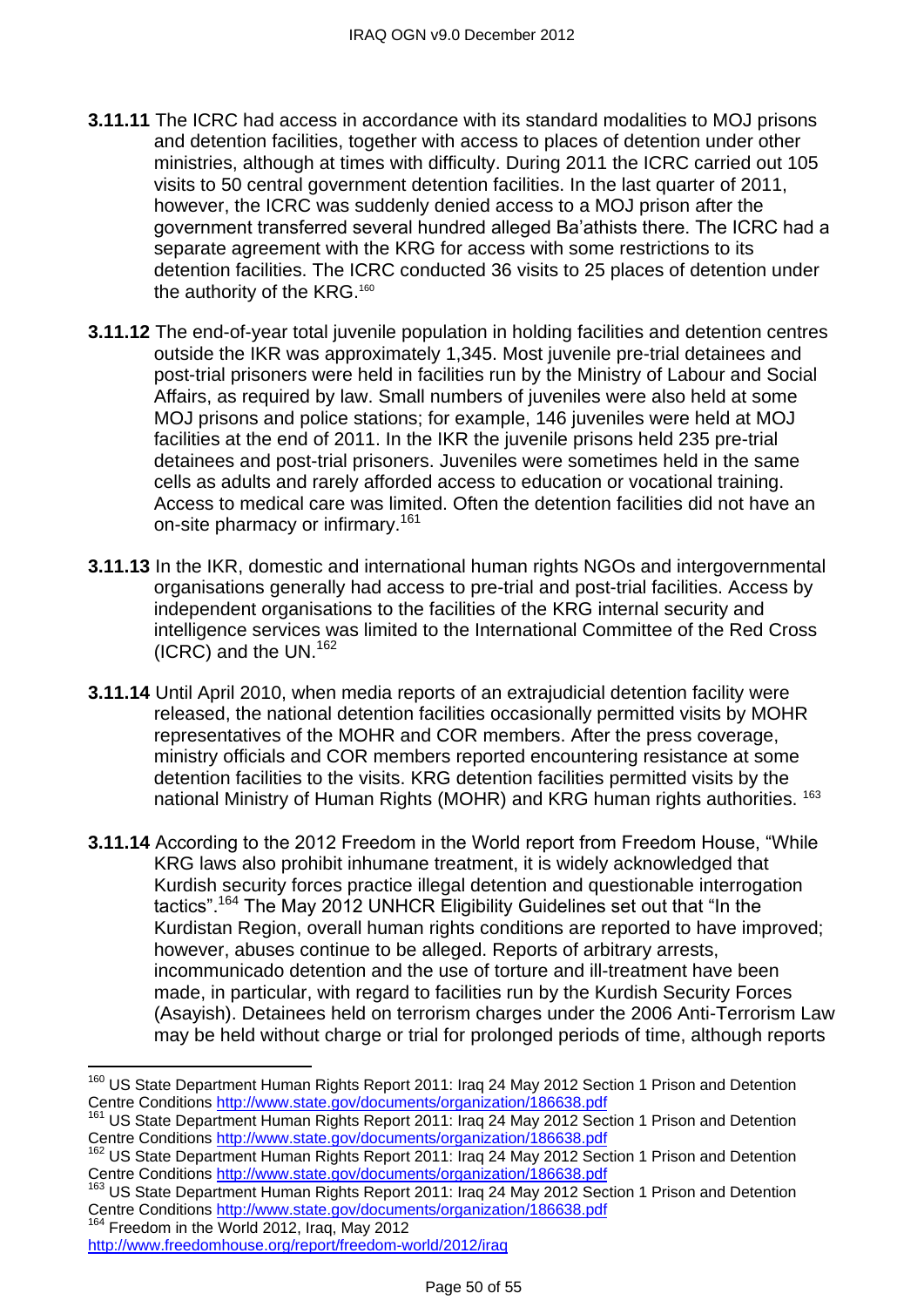- **3.11.11** The ICRC had access in accordance with its standard modalities to MOJ prisons and detention facilities, together with access to places of detention under other ministries, although at times with difficulty. During 2011 the ICRC carried out 105 visits to 50 central government detention facilities. In the last quarter of 2011, however, the ICRC was suddenly denied access to a MOJ prison after the government transferred several hundred alleged Ba'athists there. The ICRC had a separate agreement with the KRG for access with some restrictions to its detention facilities. The ICRC conducted 36 visits to 25 places of detention under the authority of the KRG.<sup>160</sup>
- **3.11.12** The end-of-year total juvenile population in holding facilities and detention centres outside the IKR was approximately 1,345. Most juvenile pre-trial detainees and post-trial prisoners were held in facilities run by the Ministry of Labour and Social Affairs, as required by law. Small numbers of juveniles were also held at some MOJ prisons and police stations; for example, 146 juveniles were held at MOJ facilities at the end of 2011. In the IKR the juvenile prisons held 235 pre-trial detainees and post-trial prisoners. Juveniles were sometimes held in the same cells as adults and rarely afforded access to education or vocational training. Access to medical care was limited. Often the detention facilities did not have an on-site pharmacy or infirmary.<sup>161</sup>
- **3.11.13** In the IKR, domestic and international human rights NGOs and intergovernmental organisations generally had access to pre-trial and post-trial facilities. Access by independent organisations to the facilities of the KRG internal security and intelligence services was limited to the International Committee of the Red Cross (ICRC) and the UN.<sup>162</sup>
- **3.11.14** Until April 2010, when media reports of an extrajudicial detention facility were released, the national detention facilities occasionally permitted visits by MOHR representatives of the MOHR and COR members. After the press coverage, ministry officials and COR members reported encountering resistance at some detention facilities to the visits. KRG detention facilities permitted visits by the national Ministry of Human Rights (MOHR) and KRG human rights authorities. <sup>163</sup>
- **3.11.14** According to the 2012 Freedom in the World report from Freedom House, "While KRG laws also prohibit inhumane treatment, it is widely acknowledged that Kurdish security forces practice illegal detention and questionable interrogation tactics".<sup>164</sup> The May 2012 UNHCR Eligibility Guidelines set out that "In the Kurdistan Region, overall human rights conditions are reported to have improved; however, abuses continue to be alleged. Reports of arbitrary arrests, incommunicado detention and the use of torture and ill-treatment have been made, in particular, with regard to facilities run by the Kurdish Security Forces (Asayish). Detainees held on terrorism charges under the 2006 Anti-Terrorism Law may be held without charge or trial for prolonged periods of time, although reports

<sup>&</sup>lt;sup>160</sup> US State Department Human Rights Report 2011: Iraq 24 May 2012 Section 1 Prison and Detention Centre Conditions<http://www.state.gov/documents/organization/186638.pdf>

<sup>&</sup>lt;sup>161</sup> US State Department Human Rights Report 2011: Iraq 24 May 2012 Section 1 Prison and Detention Centre Conditions<http://www.state.gov/documents/organization/186638.pdf>

<sup>162</sup> US State Department Human Rights Report 2011: Iraq 24 May 2012 Section 1 Prison and Detention Centre Conditions<http://www.state.gov/documents/organization/186638.pdf>

<sup>&</sup>lt;sup>163</sup> US State Department Human Rights Report 2011: Iraq 24 May 2012 Section 1 Prison and Detention Centre Conditions<http://www.state.gov/documents/organization/186638.pdf>

<sup>&</sup>lt;sup>164</sup> Freedom in the World 2012, Iraq, May 2012

<http://www.freedomhouse.org/report/freedom-world/2012/iraq>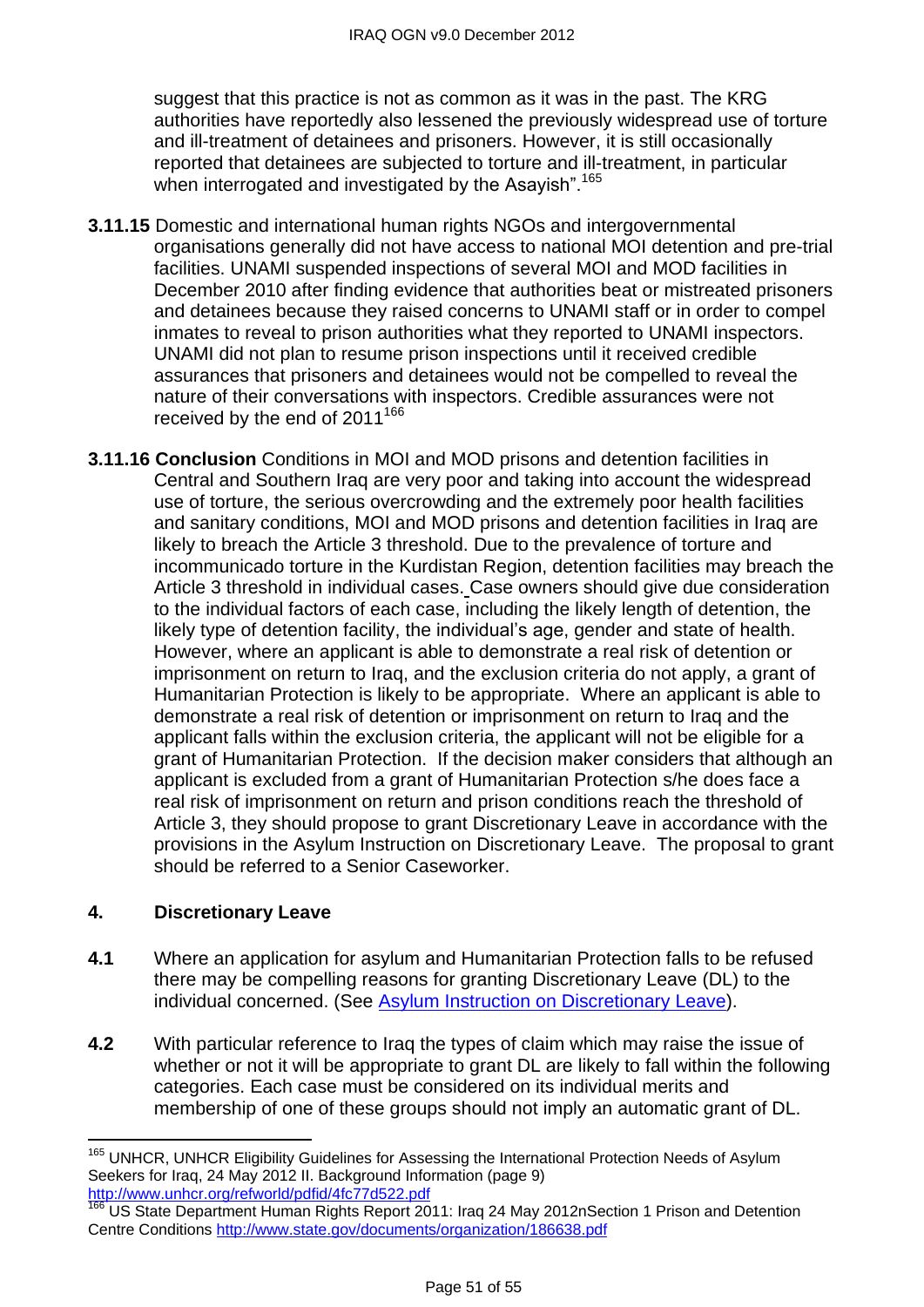suggest that this practice is not as common as it was in the past. The KRG authorities have reportedly also lessened the previously widespread use of torture and ill-treatment of detainees and prisoners. However, it is still occasionally reported that detainees are subjected to torture and ill-treatment, in particular when interrogated and investigated by the Asayish".<sup>165</sup>

- **3.11.15** Domestic and international human rights NGOs and intergovernmental organisations generally did not have access to national MOI detention and pre-trial facilities. UNAMI suspended inspections of several MOI and MOD facilities in December 2010 after finding evidence that authorities beat or mistreated prisoners and detainees because they raised concerns to UNAMI staff or in order to compel inmates to reveal to prison authorities what they reported to UNAMI inspectors. UNAMI did not plan to resume prison inspections until it received credible assurances that prisoners and detainees would not be compelled to reveal the nature of their conversations with inspectors. Credible assurances were not received by the end of  $2011^{166}$
- **3.11.16 Conclusion** Conditions in MOI and MOD prisons and detention facilities in Central and Southern Iraq are very poor and taking into account the widespread use of torture, the serious overcrowding and the extremely poor health facilities and sanitary conditions, MOI and MOD prisons and detention facilities in Iraq are likely to breach the Article 3 threshold. Due to the prevalence of torture and incommunicado torture in the Kurdistan Region, detention facilities may breach the Article 3 threshold in individual cases. Case owners should give due consideration to the individual factors of each case, including the likely length of detention, the likely type of detention facility, the individual's age, gender and state of health. However, where an applicant is able to demonstrate a real risk of detention or imprisonment on return to Iraq, and the exclusion criteria do not apply, a grant of Humanitarian Protection is likely to be appropriate. Where an applicant is able to demonstrate a real risk of detention or imprisonment on return to Iraq and the applicant falls within the exclusion criteria, the applicant will not be eligible for a grant of Humanitarian Protection. If the decision maker considers that although an applicant is excluded from a grant of Humanitarian Protection s/he does face a real risk of imprisonment on return and prison conditions reach the threshold of Article 3, they should propose to grant Discretionary Leave in accordance with the provisions in the Asylum Instruction on Discretionary Leave. The proposal to grant should be referred to a Senior Caseworker.

# **4. Discretionary Leave**

- **4.1** Where an application for asylum and Humanitarian Protection falls to be refused there may be compelling reasons for granting Discretionary Leave (DL) to the individual concerned. (See Asylum Instruction on [Discretionary Leave\)](http://www.ukba.homeoffice.gov.uk/sitecontent/documents/policyandlaw/asylumpolicyinstructions/apis/discretionaryleave.pdf?view=Binary).
- **4.2** With particular reference to Iraq the types of claim which may raise the issue of whether or not it will be appropriate to grant DL are likely to fall within the following categories. Each case must be considered on its individual merits and membership of one of these groups should not imply an automatic grant of DL.

 $\overline{a}$ <sup>165</sup> UNHCR, UNHCR Eligibility Guidelines for Assessing the International Protection Needs of Asylum Seekers for Iraq, 24 May 2012 II. Background Information (page 9) <http://www.unhcr.org/refworld/pdfid/4fc77d522.pdf>

<sup>166</sup> US State Department Human Rights Report 2011: Iraq 24 May 2012nSection 1 Prison and Detention Centre Conditions<http://www.state.gov/documents/organization/186638.pdf>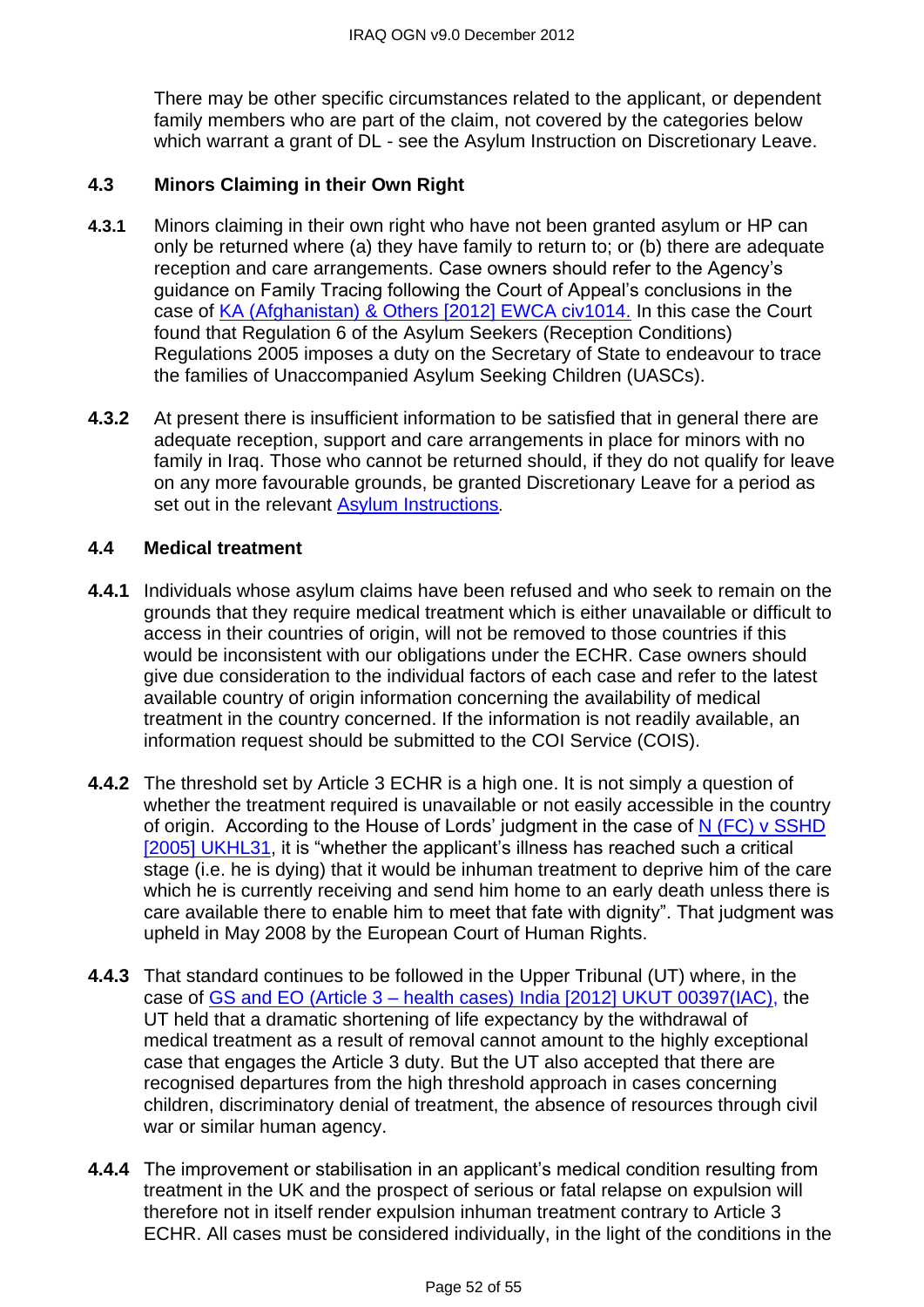There may be other specific circumstances related to the applicant, or dependent family members who are part of the claim, not covered by the categories below which warrant a grant of DL - see the Asylum Instruction on Discretionary Leave.

# **4.3 Minors Claiming in their Own Right**

- **4.3.1** Minors claiming in their own right who have not been granted asylum or HP can only be returned where (a) they have family to return to; or (b) there are adequate reception and care arrangements. Case owners should refer to the Agency's guidance on Family Tracing following the Court of Appeal's conclusions in the case of [KA \(Afghanistan\) & Others \[2012\] EWCA civ1014.](http://www.bailii.org/ew/cases/EWCA/Civ/2012/1014.html) In this case the Court found that Regulation 6 of the Asylum Seekers (Reception Conditions) Regulations 2005 imposes a duty on the Secretary of State to endeavour to trace the families of Unaccompanied Asylum Seeking Children (UASCs).
- **4.3.2** At present there is insufficient information to be satisfied that in general there are adequate reception, support and care arrangements in place for minors with no family in Iraq. Those who cannot be returned should, if they do not qualify for leave on any more favourable grounds, be granted Discretionary Leave for a period as set out in the relevant [Asylum Instructions](http://www.ukba.homeoffice.gov.uk/sitecontent/documents/policyandlaw/asylumpolicyinstructions/apis/discretionaryleave.pdf?view=Binary).

#### <span id="page-51-1"></span><span id="page-51-0"></span>**4.4 Medical treatment**

- **4.4.1** Individuals whose asylum claims have been refused and who seek to remain on the grounds that they require medical treatment which is either unavailable or difficult to access in their countries of origin, will not be removed to those countries if this would be inconsistent with our obligations under the ECHR. Case owners should give due consideration to the individual factors of each case and refer to the latest available country of origin information concerning the availability of medical treatment in the country concerned. If the information is not readily available, an information request should be submitted to the COI Service (COIS).
- **4.4.2** The threshold set by Article 3 ECHR is a high one. It is not simply a question of whether the treatment required is unavailable or not easily accessible in the country of origin. According to the House of Lords' judgment in the case of [N \(FC\) v SSHD](http://www.bailii.org/uk/cases/UKHL/2005/31.html)  [\[2005\] UKHL31,](http://www.bailii.org/uk/cases/UKHL/2005/31.html) it is "whether the applicant's illness has reached such a critical stage (i.e. he is dying) that it would be inhuman treatment to deprive him of the care which he is currently receiving and send him home to an early death unless there is care available there to enable him to meet that fate with dignity". That judgment was upheld in May 2008 by the European Court of Human Rights.
- **4.4.3** That standard continues to be followed in the Upper Tribunal (UT) where, in the case of GS and EO (Article 3 – [health cases\) India \[2012\] UKUT 00397\(IAC\),](http://www.bailii.org/uk/cases/UKUT/IAC/2012/00397_ukut_iac_2012_gs_eo_india_ghana.html) the UT held that a dramatic shortening of life expectancy by the withdrawal of medical treatment as a result of removal cannot amount to the highly exceptional case that engages the Article 3 duty. But the UT also accepted that there are recognised departures from the high threshold approach in cases concerning children, discriminatory denial of treatment, the absence of resources through civil war or similar human agency.
- **4.4.4** The improvement or stabilisation in an applicant's medical condition resulting from treatment in the UK and the prospect of serious or fatal relapse on expulsion will therefore not in itself render expulsion inhuman treatment contrary to Article 3 ECHR. All cases must be considered individually, in the light of the conditions in the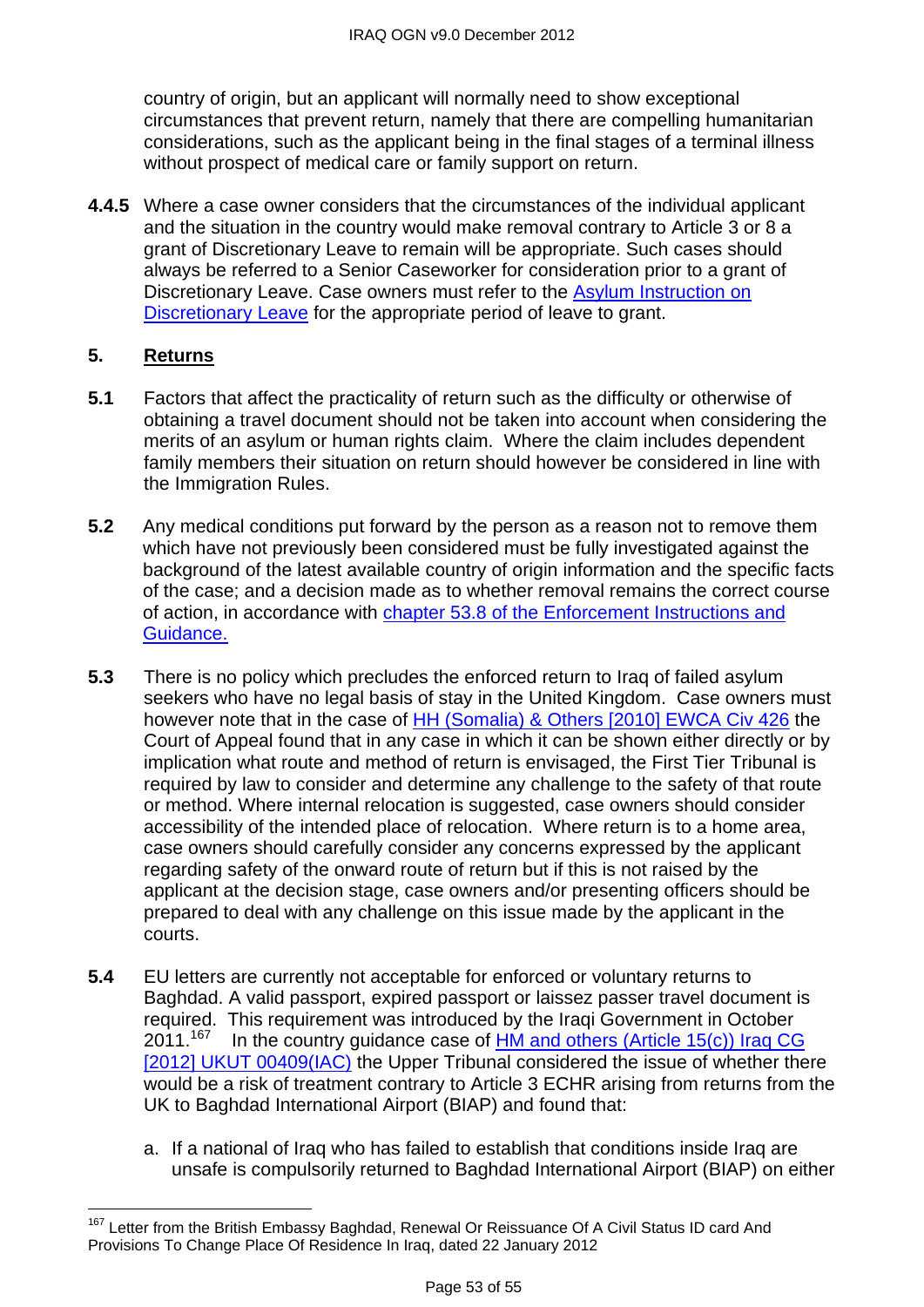country of origin, but an applicant will normally need to show exceptional circumstances that prevent return, namely that there are compelling humanitarian considerations, such as the applicant being in the final stages of a terminal illness without prospect of medical care or family support on return.

**4.4.5** Where a case owner considers that the circumstances of the individual applicant and the situation in the country would make removal contrary to Article 3 or 8 a grant of Discretionary Leave to remain will be appropriate. Such cases should always be referred to a Senior Caseworker for consideration prior to a grant of Discretionary Leave. Case owners must refer to the Asylum Instruction on [Discretionary Leave](http://www.ukba.homeoffice.gov.uk/sitecontent/documents/policyandlaw/asylumpolicyinstructions/apis/discretionaryleave.pdf?view=Binary) for the appropriate period of leave to grant.

#### <span id="page-52-0"></span>**5. Returns**

- **5.1** Factors that affect the practicality of return such as the difficulty or otherwise of obtaining a travel document should not be taken into account when considering the merits of an asylum or human rights claim. Where the claim includes dependent family members their situation on return should however be considered in line with the Immigration Rules.
- **5.2** Any medical conditions put forward by the person as a reason not to remove them which have not previously been considered must be fully investigated against the background of the latest available country of origin information and the specific facts of the case; and a decision made as to whether removal remains the correct course of action, in accordance with [chapter 53.8 of the Enforcement Instructions and](http://www.ukba.homeoffice.gov.uk/sitecontent/documents/policyandlaw/enforcement/detentionandremovals/chapter53?view=Binary)  [Guidance.](http://www.ukba.homeoffice.gov.uk/sitecontent/documents/policyandlaw/enforcement/detentionandremovals/chapter53?view=Binary)
- **5.3** There is no policy which precludes the enforced return to Iraq of failed asylum seekers who have no legal basis of stay in the United Kingdom. Case owners must however note that in the case of [HH \(Somalia\) & Others \[2010\] EWCA Civ 426](http://www.bailii.org/ew/cases/EWCA/Civ/2010/426.html) the Court of Appeal found that in any case in which it can be shown either directly or by implication what route and method of return is envisaged, the First Tier Tribunal is required by law to consider and determine any challenge to the safety of that route or method. Where internal relocation is suggested, case owners should consider accessibility of the intended place of relocation. Where return is to a home area, case owners should carefully consider any concerns expressed by the applicant regarding safety of the onward route of return but if this is not raised by the applicant at the decision stage, case owners and/or presenting officers should be prepared to deal with any challenge on this issue made by the applicant in the courts.
- **5.4** EU letters are currently not acceptable for enforced or voluntary returns to Baghdad. A valid passport, expired passport or laissez passer travel document is required. This requirement was introduced by the Iraqi Government in October  $2011.<sup>167</sup>$ In the country guidance case of HM and others (Article 15(c)) Iraq CG [\[2012\] UKUT 00409\(IAC\)](http://www.bailii.org/uk/cases/UKUT/IAC/2012/00409_ukut_iac_2012_hm_ors_iraq_cg.html) the Upper Tribunal considered the issue of whether there would be a risk of treatment contrary to Article 3 ECHR arising from returns from the UK to Baghdad International Airport (BIAP) and found that:
	- a. If a national of Iraq who has failed to establish that conditions inside Iraq are unsafe is compulsorily returned to Baghdad International Airport (BIAP) on either

 $\overline{\phantom{a}}$ <sup>167</sup> Letter from the British Embassy Baghdad, Renewal Or Reissuance Of A Civil Status ID card And Provisions To Change Place Of Residence In Iraq, dated 22 January 2012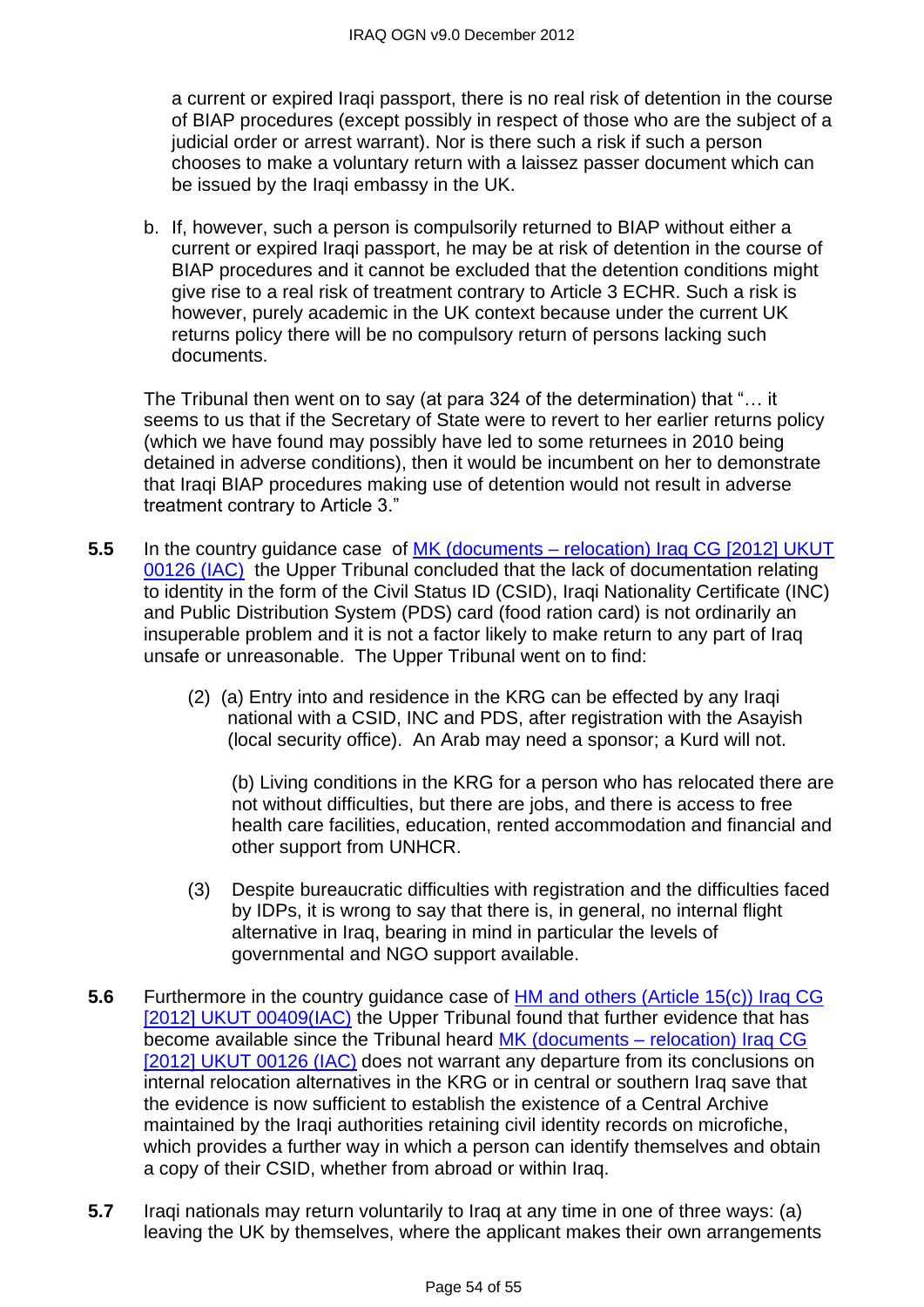a current or expired Iraqi passport, there is no real risk of detention in the course of BIAP procedures (except possibly in respect of those who are the subject of a judicial order or arrest warrant). Nor is there such a risk if such a person chooses to make a voluntary return with a laissez passer document which can be issued by the Iraqi embassy in the UK.

b. If, however, such a person is compulsorily returned to BIAP without either a current or expired Iraqi passport, he may be at risk of detention in the course of BIAP procedures and it cannot be excluded that the detention conditions might give rise to a real risk of treatment contrary to Article 3 ECHR. Such a risk is however, purely academic in the UK context because under the current UK returns policy there will be no compulsory return of persons lacking such documents.

The Tribunal then went on to say (at para 324 of the determination) that "... it seems to us that if the Secretary of State were to revert to her earlier returns policy (which we have found may possibly have led to some returnees in 2010 being detained in adverse conditions), then it would be incumbent on her to demonstrate that Iraqi BIAP procedures making use of detention would not result in adverse treatment contrary to Article 3."

- **5.5** In the country guidance case of MK (documents relocation) Iraq CG [2012] UKUT [00126 \(IAC\)](http://www.bailii.org/uk/cases/UKUT/IAC/2012/00126_ukut_iac_2012_mk_iraq_cg.html) the Upper Tribunal concluded that the lack of documentation relating to identity in the form of the Civil Status ID (CSID), Iraqi Nationality Certificate (INC) and Public Distribution System (PDS) card (food ration card) is not ordinarily an insuperable problem and it is not a factor likely to make return to any part of Iraq unsafe or unreasonable. The Upper Tribunal went on to find:
	- (2) (a) Entry into and residence in the KRG can be effected by any Iraqi national with a CSID, INC and PDS, after registration with the Asayish (local security office). An Arab may need a sponsor; a Kurd will not.

(b) Living conditions in the KRG for a person who has relocated there are not without difficulties, but there are jobs, and there is access to free health care facilities, education, rented accommodation and financial and other support from UNHCR.

- (3) Despite bureaucratic difficulties with registration and the difficulties faced by IDPs, it is wrong to say that there is, in general, no internal flight alternative in Iraq, bearing in mind in particular the levels of governmental and NGO support available.
- **5.6** Furthermore in the country quidance case of HM and others (Article 15(c)) Iraq CG [\[2012\] UKUT 00409\(IAC\)](http://www.bailii.org/uk/cases/UKUT/IAC/2012/00409_ukut_iac_2012_hm_ors_iraq_cg.html) the Upper Tribunal found that further evidence that has become available since the Tribunal heard MK (documents – relocation) Iraq CG [\[2012\] UKUT 00126 \(IAC\)](http://www.bailii.org/uk/cases/UKUT/IAC/2012/00126_ukut_iac_2012_mk_iraq_cg.html) does not warrant any departure from its conclusions on internal relocation alternatives in the KRG or in central or southern Iraq save that the evidence is now sufficient to establish the existence of a Central Archive maintained by the Iraqi authorities retaining civil identity records on microfiche, which provides a further way in which a person can identify themselves and obtain a copy of their CSID, whether from abroad or within Iraq.
- **5.7** Iraqi nationals may return voluntarily to Iraq at any time in one of three ways: (a) leaving the UK by themselves, where the applicant makes their own arrangements